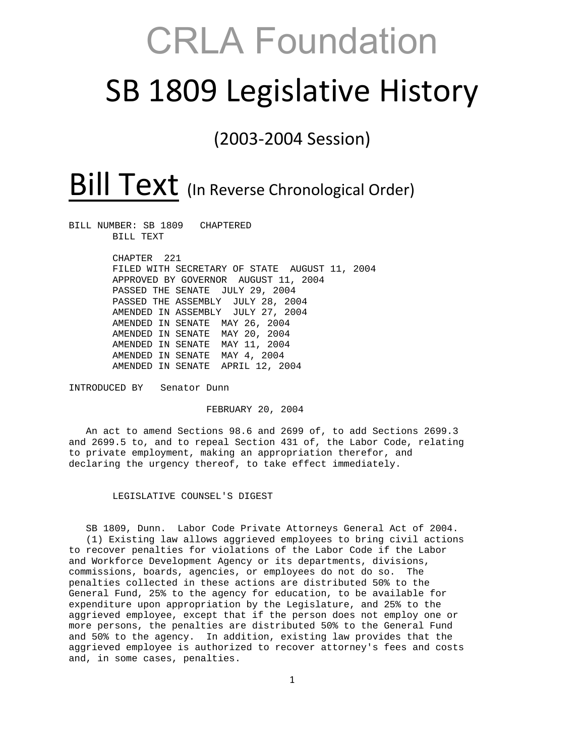#### SB 1809 Legislative History

(2003‐2004 Session)

#### Bill Text (In Reverse Chronological Order)

BILL NUMBER: SB 1809 CHAPTERED BILL TEXT

> CHAPTER 221 FILED WITH SECRETARY OF STATE AUGUST 11, 2004 APPROVED BY GOVERNOR AUGUST 11, 2004 PASSED THE SENATE JULY 29, 2004 PASSED THE ASSEMBLY JULY 28, 2004 AMENDED IN ASSEMBLY JULY 27, 2004 AMENDED IN SENATE MAY 26, 2004 AMENDED IN SENATE MAY 20, 2004 AMENDED IN SENATE MAY 11, 2004 AMENDED IN SENATE MAY 4, 2004 AMENDED IN SENATE APRIL 12, 2004

INTRODUCED BY Senator Dunn

FEBRUARY 20, 2004

 An act to amend Sections 98.6 and 2699 of, to add Sections 2699.3 and 2699.5 to, and to repeal Section 431 of, the Labor Code, relating to private employment, making an appropriation therefor, and declaring the urgency thereof, to take effect immediately.

#### LEGISLATIVE COUNSEL'S DIGEST

 SB 1809, Dunn. Labor Code Private Attorneys General Act of 2004. (1) Existing law allows aggrieved employees to bring civil actions to recover penalties for violations of the Labor Code if the Labor and Workforce Development Agency or its departments, divisions, commissions, boards, agencies, or employees do not do so. The penalties collected in these actions are distributed 50% to the General Fund, 25% to the agency for education, to be available for expenditure upon appropriation by the Legislature, and 25% to the aggrieved employee, except that if the person does not employ one or more persons, the penalties are distributed 50% to the General Fund and 50% to the agency. In addition, existing law provides that the aggrieved employee is authorized to recover attorney's fees and costs and, in some cases, penalties.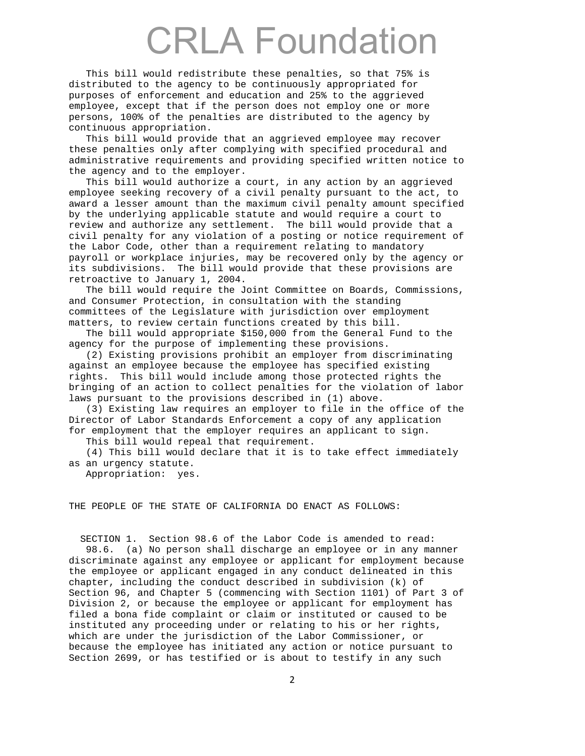This bill would redistribute these penalties, so that 75% is distributed to the agency to be continuously appropriated for purposes of enforcement and education and 25% to the aggrieved employee, except that if the person does not employ one or more persons, 100% of the penalties are distributed to the agency by continuous appropriation.

 This bill would provide that an aggrieved employee may recover these penalties only after complying with specified procedural and administrative requirements and providing specified written notice to the agency and to the employer.

 This bill would authorize a court, in any action by an aggrieved employee seeking recovery of a civil penalty pursuant to the act, to award a lesser amount than the maximum civil penalty amount specified by the underlying applicable statute and would require a court to review and authorize any settlement. The bill would provide that a civil penalty for any violation of a posting or notice requirement of the Labor Code, other than a requirement relating to mandatory payroll or workplace injuries, may be recovered only by the agency or its subdivisions. The bill would provide that these provisions are retroactive to January 1, 2004.

 The bill would require the Joint Committee on Boards, Commissions, and Consumer Protection, in consultation with the standing committees of the Legislature with jurisdiction over employment matters, to review certain functions created by this bill.

 The bill would appropriate \$150,000 from the General Fund to the agency for the purpose of implementing these provisions.

 (2) Existing provisions prohibit an employer from discriminating against an employee because the employee has specified existing rights. This bill would include among those protected rights the bringing of an action to collect penalties for the violation of labor laws pursuant to the provisions described in (1) above.

 (3) Existing law requires an employer to file in the office of the Director of Labor Standards Enforcement a copy of any application for employment that the employer requires an applicant to sign.

This bill would repeal that requirement.

 (4) This bill would declare that it is to take effect immediately as an urgency statute.

Appropriation: yes.

THE PEOPLE OF THE STATE OF CALIFORNIA DO ENACT AS FOLLOWS:

 SECTION 1. Section 98.6 of the Labor Code is amended to read: 98.6. (a) No person shall discharge an employee or in any manner discriminate against any employee or applicant for employment because the employee or applicant engaged in any conduct delineated in this chapter, including the conduct described in subdivision (k) of Section 96, and Chapter 5 (commencing with Section 1101) of Part 3 of Division 2, or because the employee or applicant for employment has filed a bona fide complaint or claim or instituted or caused to be instituted any proceeding under or relating to his or her rights, which are under the jurisdiction of the Labor Commissioner, or because the employee has initiated any action or notice pursuant to Section 2699, or has testified or is about to testify in any such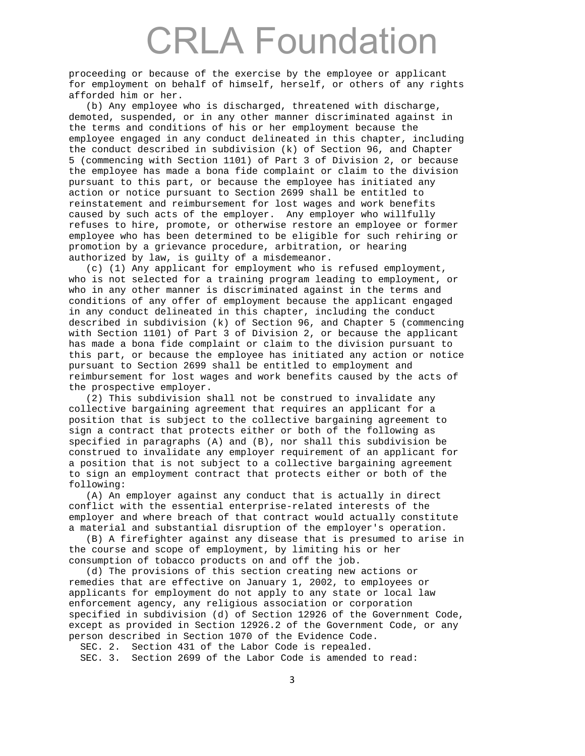proceeding or because of the exercise by the employee or applicant for employment on behalf of himself, herself, or others of any rights afforded him or her.

 (b) Any employee who is discharged, threatened with discharge, demoted, suspended, or in any other manner discriminated against in the terms and conditions of his or her employment because the employee engaged in any conduct delineated in this chapter, including the conduct described in subdivision (k) of Section 96, and Chapter 5 (commencing with Section 1101) of Part 3 of Division 2, or because the employee has made a bona fide complaint or claim to the division pursuant to this part, or because the employee has initiated any action or notice pursuant to Section 2699 shall be entitled to reinstatement and reimbursement for lost wages and work benefits caused by such acts of the employer. Any employer who willfully refuses to hire, promote, or otherwise restore an employee or former employee who has been determined to be eligible for such rehiring or promotion by a grievance procedure, arbitration, or hearing authorized by law, is guilty of a misdemeanor.

 (c) (1) Any applicant for employment who is refused employment, who is not selected for a training program leading to employment, or who in any other manner is discriminated against in the terms and conditions of any offer of employment because the applicant engaged in any conduct delineated in this chapter, including the conduct described in subdivision (k) of Section 96, and Chapter 5 (commencing with Section 1101) of Part 3 of Division 2, or because the applicant has made a bona fide complaint or claim to the division pursuant to this part, or because the employee has initiated any action or notice pursuant to Section 2699 shall be entitled to employment and reimbursement for lost wages and work benefits caused by the acts of the prospective employer.

 (2) This subdivision shall not be construed to invalidate any collective bargaining agreement that requires an applicant for a position that is subject to the collective bargaining agreement to sign a contract that protects either or both of the following as specified in paragraphs (A) and (B), nor shall this subdivision be construed to invalidate any employer requirement of an applicant for a position that is not subject to a collective bargaining agreement to sign an employment contract that protects either or both of the following:

 (A) An employer against any conduct that is actually in direct conflict with the essential enterprise-related interests of the employer and where breach of that contract would actually constitute a material and substantial disruption of the employer's operation.

 (B) A firefighter against any disease that is presumed to arise in the course and scope of employment, by limiting his or her consumption of tobacco products on and off the job.

 (d) The provisions of this section creating new actions or remedies that are effective on January 1, 2002, to employees or applicants for employment do not apply to any state or local law enforcement agency, any religious association or corporation specified in subdivision (d) of Section 12926 of the Government Code, except as provided in Section 12926.2 of the Government Code, or any person described in Section 1070 of the Evidence Code.

SEC. 2. Section 431 of the Labor Code is repealed.

SEC. 3. Section 2699 of the Labor Code is amended to read: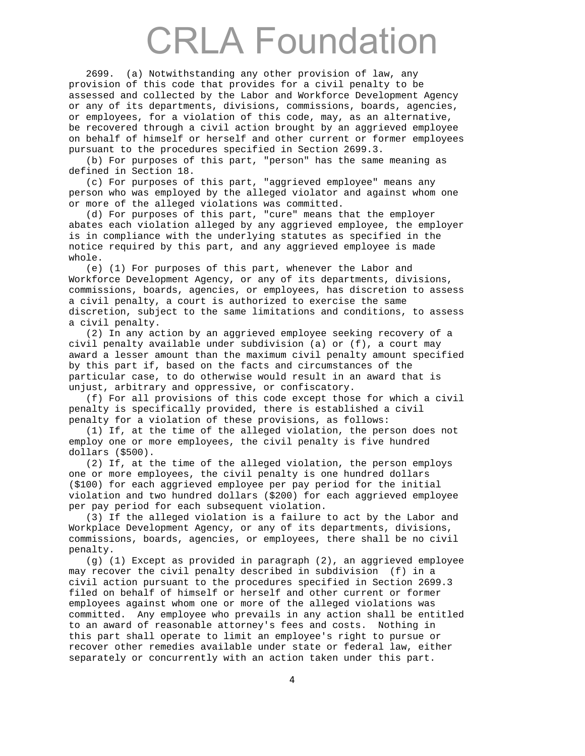2699. (a) Notwithstanding any other provision of law, any provision of this code that provides for a civil penalty to be assessed and collected by the Labor and Workforce Development Agency or any of its departments, divisions, commissions, boards, agencies, or employees, for a violation of this code, may, as an alternative, be recovered through a civil action brought by an aggrieved employee on behalf of himself or herself and other current or former employees pursuant to the procedures specified in Section 2699.3.

 (b) For purposes of this part, "person" has the same meaning as defined in Section 18.

 (c) For purposes of this part, "aggrieved employee" means any person who was employed by the alleged violator and against whom one or more of the alleged violations was committed.

 (d) For purposes of this part, "cure" means that the employer abates each violation alleged by any aggrieved employee, the employer is in compliance with the underlying statutes as specified in the notice required by this part, and any aggrieved employee is made whole.

 (e) (1) For purposes of this part, whenever the Labor and Workforce Development Agency, or any of its departments, divisions, commissions, boards, agencies, or employees, has discretion to assess a civil penalty, a court is authorized to exercise the same discretion, subject to the same limitations and conditions, to assess a civil penalty.

 (2) In any action by an aggrieved employee seeking recovery of a civil penalty available under subdivision (a) or (f), a court may award a lesser amount than the maximum civil penalty amount specified by this part if, based on the facts and circumstances of the particular case, to do otherwise would result in an award that is unjust, arbitrary and oppressive, or confiscatory.

 (f) For all provisions of this code except those for which a civil penalty is specifically provided, there is established a civil penalty for a violation of these provisions, as follows:

 (1) If, at the time of the alleged violation, the person does not employ one or more employees, the civil penalty is five hundred dollars (\$500).

 (2) If, at the time of the alleged violation, the person employs one or more employees, the civil penalty is one hundred dollars (\$100) for each aggrieved employee per pay period for the initial violation and two hundred dollars (\$200) for each aggrieved employee per pay period for each subsequent violation.

 (3) If the alleged violation is a failure to act by the Labor and Workplace Development Agency, or any of its departments, divisions, commissions, boards, agencies, or employees, there shall be no civil penalty.

 (g) (1) Except as provided in paragraph (2), an aggrieved employee may recover the civil penalty described in subdivision (f) in a civil action pursuant to the procedures specified in Section 2699.3 filed on behalf of himself or herself and other current or former employees against whom one or more of the alleged violations was committed. Any employee who prevails in any action shall be entitled to an award of reasonable attorney's fees and costs. Nothing in this part shall operate to limit an employee's right to pursue or recover other remedies available under state or federal law, either separately or concurrently with an action taken under this part.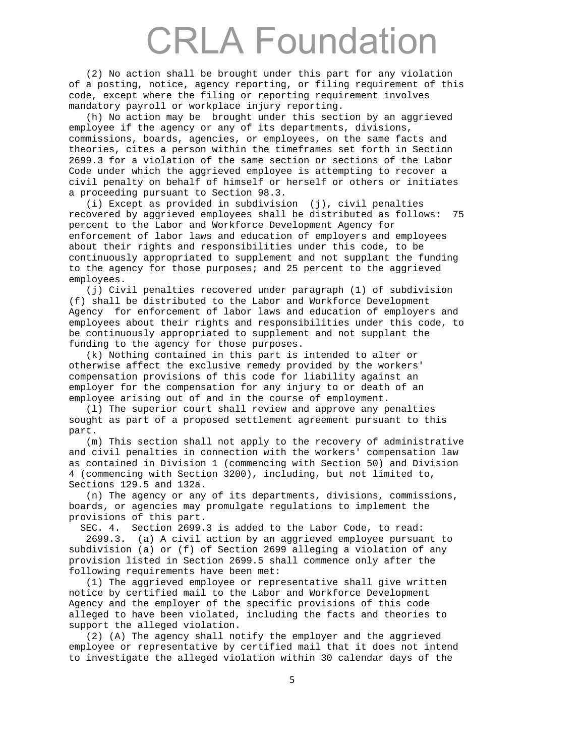(2) No action shall be brought under this part for any violation of a posting, notice, agency reporting, or filing requirement of this code, except where the filing or reporting requirement involves mandatory payroll or workplace injury reporting.

 (h) No action may be brought under this section by an aggrieved employee if the agency or any of its departments, divisions, commissions, boards, agencies, or employees, on the same facts and theories, cites a person within the timeframes set forth in Section 2699.3 for a violation of the same section or sections of the Labor Code under which the aggrieved employee is attempting to recover a civil penalty on behalf of himself or herself or others or initiates a proceeding pursuant to Section 98.3.

 (i) Except as provided in subdivision (j), civil penalties recovered by aggrieved employees shall be distributed as follows: 75 percent to the Labor and Workforce Development Agency for enforcement of labor laws and education of employers and employees about their rights and responsibilities under this code, to be continuously appropriated to supplement and not supplant the funding to the agency for those purposes; and 25 percent to the aggrieved employees.

 (j) Civil penalties recovered under paragraph (1) of subdivision (f) shall be distributed to the Labor and Workforce Development Agency for enforcement of labor laws and education of employers and employees about their rights and responsibilities under this code, to be continuously appropriated to supplement and not supplant the funding to the agency for those purposes.

 (k) Nothing contained in this part is intended to alter or otherwise affect the exclusive remedy provided by the workers' compensation provisions of this code for liability against an employer for the compensation for any injury to or death of an employee arising out of and in the course of employment.

 (l) The superior court shall review and approve any penalties sought as part of a proposed settlement agreement pursuant to this part.

 (m) This section shall not apply to the recovery of administrative and civil penalties in connection with the workers' compensation law as contained in Division 1 (commencing with Section 50) and Division 4 (commencing with Section 3200), including, but not limited to, Sections 129.5 and 132a.

 (n) The agency or any of its departments, divisions, commissions, boards, or agencies may promulgate regulations to implement the provisions of this part.

SEC. 4. Section 2699.3 is added to the Labor Code, to read:

 2699.3. (a) A civil action by an aggrieved employee pursuant to subdivision (a) or (f) of Section 2699 alleging a violation of any provision listed in Section 2699.5 shall commence only after the following requirements have been met:

 (1) The aggrieved employee or representative shall give written notice by certified mail to the Labor and Workforce Development Agency and the employer of the specific provisions of this code alleged to have been violated, including the facts and theories to support the alleged violation.

 (2) (A) The agency shall notify the employer and the aggrieved employee or representative by certified mail that it does not intend to investigate the alleged violation within 30 calendar days of the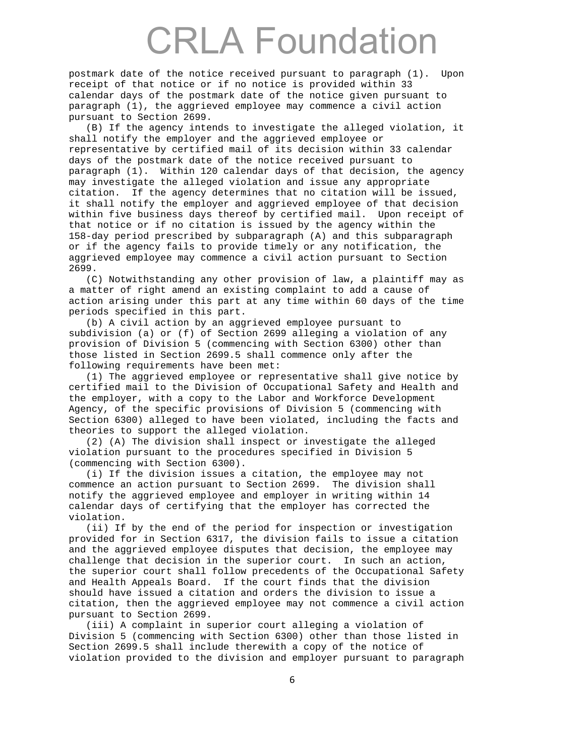postmark date of the notice received pursuant to paragraph (1). Upon receipt of that notice or if no notice is provided within 33 calendar days of the postmark date of the notice given pursuant to paragraph (1), the aggrieved employee may commence a civil action pursuant to Section 2699.

 (B) If the agency intends to investigate the alleged violation, it shall notify the employer and the aggrieved employee or representative by certified mail of its decision within 33 calendar days of the postmark date of the notice received pursuant to paragraph (1). Within 120 calendar days of that decision, the agency may investigate the alleged violation and issue any appropriate citation. If the agency determines that no citation will be issued, it shall notify the employer and aggrieved employee of that decision within five business days thereof by certified mail. Upon receipt of that notice or if no citation is issued by the agency within the 158-day period prescribed by subparagraph (A) and this subparagraph or if the agency fails to provide timely or any notification, the aggrieved employee may commence a civil action pursuant to Section 2699.

 (C) Notwithstanding any other provision of law, a plaintiff may as a matter of right amend an existing complaint to add a cause of action arising under this part at any time within 60 days of the time periods specified in this part.

 (b) A civil action by an aggrieved employee pursuant to subdivision (a) or (f) of Section 2699 alleging a violation of any provision of Division 5 (commencing with Section 6300) other than those listed in Section 2699.5 shall commence only after the following requirements have been met:

 (1) The aggrieved employee or representative shall give notice by certified mail to the Division of Occupational Safety and Health and the employer, with a copy to the Labor and Workforce Development Agency, of the specific provisions of Division 5 (commencing with Section 6300) alleged to have been violated, including the facts and theories to support the alleged violation.

 (2) (A) The division shall inspect or investigate the alleged violation pursuant to the procedures specified in Division 5 (commencing with Section 6300).

 (i) If the division issues a citation, the employee may not commence an action pursuant to Section 2699. The division shall notify the aggrieved employee and employer in writing within 14 calendar days of certifying that the employer has corrected the violation.

 (ii) If by the end of the period for inspection or investigation provided for in Section 6317, the division fails to issue a citation and the aggrieved employee disputes that decision, the employee may challenge that decision in the superior court. In such an action, the superior court shall follow precedents of the Occupational Safety and Health Appeals Board. If the court finds that the division should have issued a citation and orders the division to issue a citation, then the aggrieved employee may not commence a civil action pursuant to Section 2699.

 (iii) A complaint in superior court alleging a violation of Division 5 (commencing with Section 6300) other than those listed in Section 2699.5 shall include therewith a copy of the notice of violation provided to the division and employer pursuant to paragraph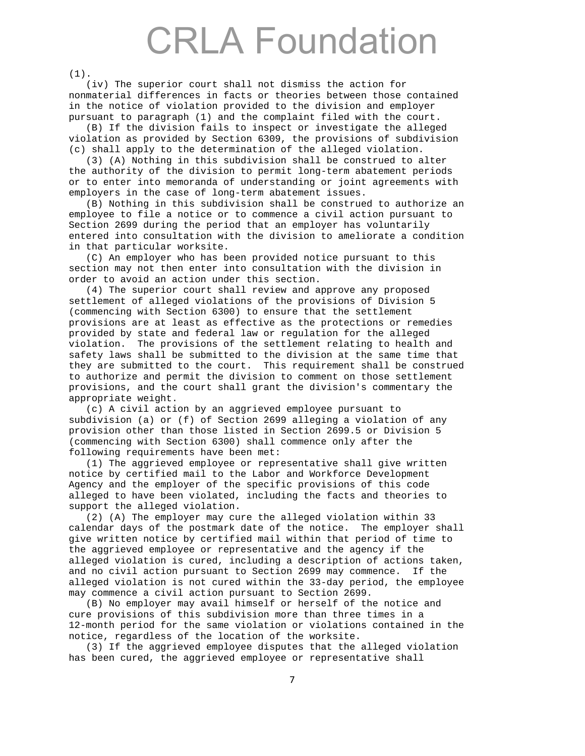(1).

 (iv) The superior court shall not dismiss the action for nonmaterial differences in facts or theories between those contained in the notice of violation provided to the division and employer pursuant to paragraph (1) and the complaint filed with the court.

 (B) If the division fails to inspect or investigate the alleged violation as provided by Section 6309, the provisions of subdivision (c) shall apply to the determination of the alleged violation.

 (3) (A) Nothing in this subdivision shall be construed to alter the authority of the division to permit long-term abatement periods or to enter into memoranda of understanding or joint agreements with employers in the case of long-term abatement issues.

 (B) Nothing in this subdivision shall be construed to authorize an employee to file a notice or to commence a civil action pursuant to Section 2699 during the period that an employer has voluntarily entered into consultation with the division to ameliorate a condition in that particular worksite.

 (C) An employer who has been provided notice pursuant to this section may not then enter into consultation with the division in order to avoid an action under this section.

 (4) The superior court shall review and approve any proposed settlement of alleged violations of the provisions of Division 5 (commencing with Section 6300) to ensure that the settlement provisions are at least as effective as the protections or remedies provided by state and federal law or regulation for the alleged violation. The provisions of the settlement relating to health and safety laws shall be submitted to the division at the same time that they are submitted to the court. This requirement shall be construed to authorize and permit the division to comment on those settlement provisions, and the court shall grant the division's commentary the appropriate weight.

 (c) A civil action by an aggrieved employee pursuant to subdivision (a) or (f) of Section 2699 alleging a violation of any provision other than those listed in Section 2699.5 or Division 5 (commencing with Section 6300) shall commence only after the following requirements have been met:

 (1) The aggrieved employee or representative shall give written notice by certified mail to the Labor and Workforce Development Agency and the employer of the specific provisions of this code alleged to have been violated, including the facts and theories to support the alleged violation.

 (2) (A) The employer may cure the alleged violation within 33 calendar days of the postmark date of the notice. The employer shall give written notice by certified mail within that period of time to the aggrieved employee or representative and the agency if the alleged violation is cured, including a description of actions taken, and no civil action pursuant to Section 2699 may commence. If the alleged violation is not cured within the 33-day period, the employee may commence a civil action pursuant to Section 2699.

 (B) No employer may avail himself or herself of the notice and cure provisions of this subdivision more than three times in a 12-month period for the same violation or violations contained in the notice, regardless of the location of the worksite.

 (3) If the aggrieved employee disputes that the alleged violation has been cured, the aggrieved employee or representative shall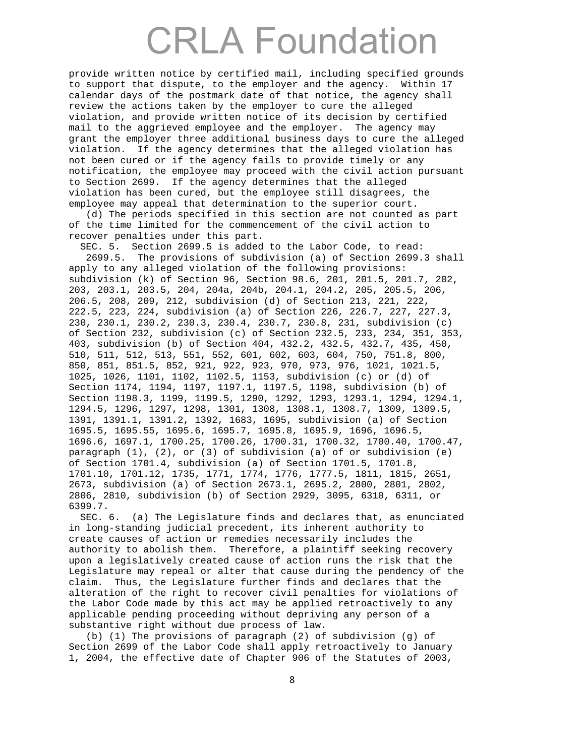provide written notice by certified mail, including specified grounds to support that dispute, to the employer and the agency. Within 17 calendar days of the postmark date of that notice, the agency shall review the actions taken by the employer to cure the alleged violation, and provide written notice of its decision by certified mail to the aggrieved employee and the employer. The agency may grant the employer three additional business days to cure the alleged violation. If the agency determines that the alleged violation has not been cured or if the agency fails to provide timely or any notification, the employee may proceed with the civil action pursuant to Section 2699. If the agency determines that the alleged violation has been cured, but the employee still disagrees, the employee may appeal that determination to the superior court.

 (d) The periods specified in this section are not counted as part of the time limited for the commencement of the civil action to recover penalties under this part.

 SEC. 5. Section 2699.5 is added to the Labor Code, to read: 2699.5. The provisions of subdivision (a) of Section 2699.3 shall apply to any alleged violation of the following provisions: subdivision (k) of Section 96, Section 98.6, 201, 201.5, 201.7, 202, 203, 203.1, 203.5, 204, 204a, 204b, 204.1, 204.2, 205, 205.5, 206, 206.5, 208, 209, 212, subdivision (d) of Section 213, 221, 222, 222.5, 223, 224, subdivision (a) of Section 226, 226.7, 227, 227.3, 230, 230.1, 230.2, 230.3, 230.4, 230.7, 230.8, 231, subdivision (c) of Section 232, subdivision (c) of Section 232.5, 233, 234, 351, 353, 403, subdivision (b) of Section 404, 432.2, 432.5, 432.7, 435, 450, 510, 511, 512, 513, 551, 552, 601, 602, 603, 604, 750, 751.8, 800, 850, 851, 851.5, 852, 921, 922, 923, 970, 973, 976, 1021, 1021.5, 1025, 1026, 1101, 1102, 1102.5, 1153, subdivision (c) or (d) of Section 1174, 1194, 1197, 1197.1, 1197.5, 1198, subdivision (b) of Section 1198.3, 1199, 1199.5, 1290, 1292, 1293, 1293.1, 1294, 1294.1, 1294.5, 1296, 1297, 1298, 1301, 1308, 1308.1, 1308.7, 1309, 1309.5, 1391, 1391.1, 1391.2, 1392, 1683, 1695, subdivision (a) of Section 1695.5, 1695.55, 1695.6, 1695.7, 1695.8, 1695.9, 1696, 1696.5, 1696.6, 1697.1, 1700.25, 1700.26, 1700.31, 1700.32, 1700.40, 1700.47, paragraph (1), (2), or (3) of subdivision (a) of or subdivision (e) of Section 1701.4, subdivision (a) of Section 1701.5, 1701.8, 1701.10, 1701.12, 1735, 1771, 1774, 1776, 1777.5, 1811, 1815, 2651, 2673, subdivision (a) of Section 2673.1, 2695.2, 2800, 2801, 2802, 2806, 2810, subdivision (b) of Section 2929, 3095, 6310, 6311, or 6399.7.

 SEC. 6. (a) The Legislature finds and declares that, as enunciated in long-standing judicial precedent, its inherent authority to create causes of action or remedies necessarily includes the authority to abolish them. Therefore, a plaintiff seeking recovery upon a legislatively created cause of action runs the risk that the Legislature may repeal or alter that cause during the pendency of the claim. Thus, the Legislature further finds and declares that the alteration of the right to recover civil penalties for violations of the Labor Code made by this act may be applied retroactively to any applicable pending proceeding without depriving any person of a substantive right without due process of law.

 (b) (1) The provisions of paragraph (2) of subdivision (g) of Section 2699 of the Labor Code shall apply retroactively to January 1, 2004, the effective date of Chapter 906 of the Statutes of 2003,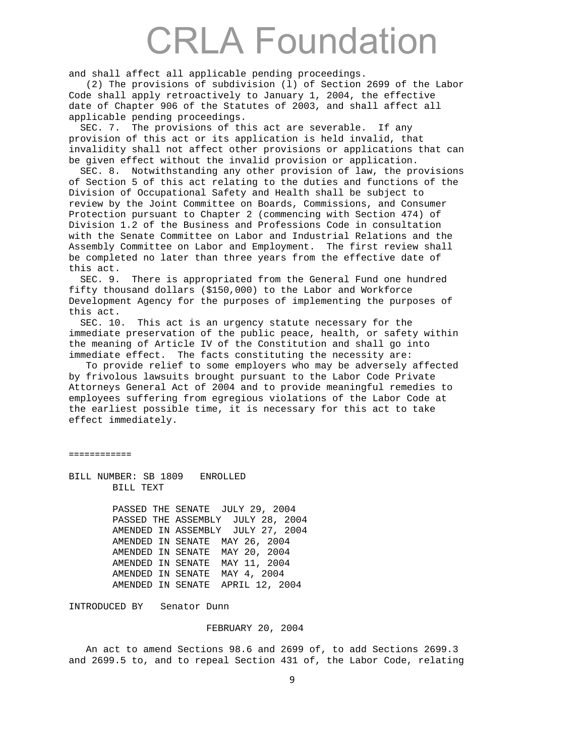and shall affect all applicable pending proceedings.

 (2) The provisions of subdivision (l) of Section 2699 of the Labor Code shall apply retroactively to January 1, 2004, the effective date of Chapter 906 of the Statutes of 2003, and shall affect all applicable pending proceedings.

 SEC. 7. The provisions of this act are severable. If any provision of this act or its application is held invalid, that invalidity shall not affect other provisions or applications that can be given effect without the invalid provision or application.

 SEC. 8. Notwithstanding any other provision of law, the provisions of Section 5 of this act relating to the duties and functions of the Division of Occupational Safety and Health shall be subject to review by the Joint Committee on Boards, Commissions, and Consumer Protection pursuant to Chapter 2 (commencing with Section 474) of Division 1.2 of the Business and Professions Code in consultation with the Senate Committee on Labor and Industrial Relations and the Assembly Committee on Labor and Employment. The first review shall be completed no later than three years from the effective date of this act.

 SEC. 9. There is appropriated from the General Fund one hundred fifty thousand dollars (\$150,000) to the Labor and Workforce Development Agency for the purposes of implementing the purposes of this act.

 SEC. 10. This act is an urgency statute necessary for the immediate preservation of the public peace, health, or safety within the meaning of Article IV of the Constitution and shall go into immediate effect. The facts constituting the necessity are:

 To provide relief to some employers who may be adversely affected by frivolous lawsuits brought pursuant to the Labor Code Private Attorneys General Act of 2004 and to provide meaningful remedies to employees suffering from egregious violations of the Labor Code at the earliest possible time, it is necessary for this act to take effect immediately.

============

BILL NUMBER: SB 1809 ENROLLED BILL TEXT

> PASSED THE SENATE JULY 29, 2004 PASSED THE ASSEMBLY JULY 28, 2004 AMENDED IN ASSEMBLY JULY 27, 2004 AMENDED IN SENATE MAY 26, 2004 AMENDED IN SENATE MAY 20, 2004 AMENDED IN SENATE MAY 11, 2004 AMENDED IN SENATE MAY 4, 2004 AMENDED IN SENATE APRIL 12, 2004

INTRODUCED BY Senator Dunn

#### FEBRUARY 20, 2004

 An act to amend Sections 98.6 and 2699 of, to add Sections 2699.3 and 2699.5 to, and to repeal Section 431 of, the Labor Code, relating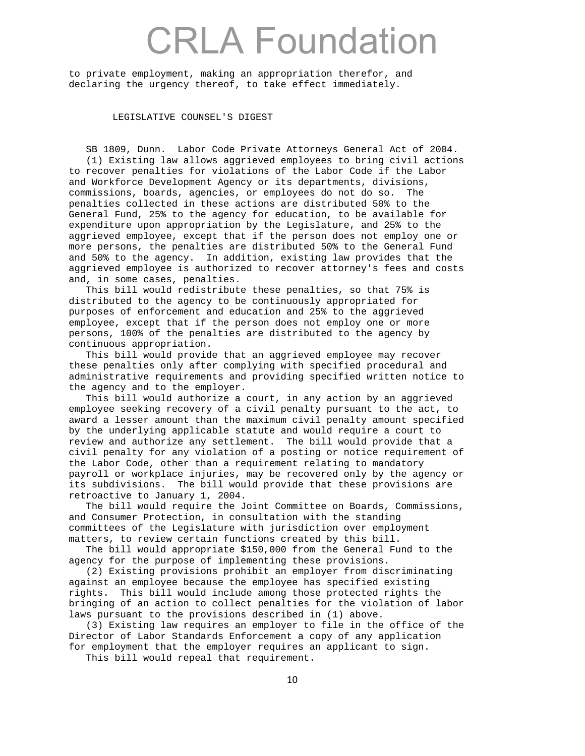to private employment, making an appropriation therefor, and declaring the urgency thereof, to take effect immediately.

LEGISLATIVE COUNSEL'S DIGEST

 SB 1809, Dunn. Labor Code Private Attorneys General Act of 2004. (1) Existing law allows aggrieved employees to bring civil actions to recover penalties for violations of the Labor Code if the Labor and Workforce Development Agency or its departments, divisions, commissions, boards, agencies, or employees do not do so. The penalties collected in these actions are distributed 50% to the General Fund, 25% to the agency for education, to be available for expenditure upon appropriation by the Legislature, and 25% to the aggrieved employee, except that if the person does not employ one or more persons, the penalties are distributed 50% to the General Fund and 50% to the agency. In addition, existing law provides that the aggrieved employee is authorized to recover attorney's fees and costs and, in some cases, penalties.

 This bill would redistribute these penalties, so that 75% is distributed to the agency to be continuously appropriated for purposes of enforcement and education and 25% to the aggrieved employee, except that if the person does not employ one or more persons, 100% of the penalties are distributed to the agency by continuous appropriation.

 This bill would provide that an aggrieved employee may recover these penalties only after complying with specified procedural and administrative requirements and providing specified written notice to the agency and to the employer.

 This bill would authorize a court, in any action by an aggrieved employee seeking recovery of a civil penalty pursuant to the act, to award a lesser amount than the maximum civil penalty amount specified by the underlying applicable statute and would require a court to review and authorize any settlement. The bill would provide that a civil penalty for any violation of a posting or notice requirement of the Labor Code, other than a requirement relating to mandatory payroll or workplace injuries, may be recovered only by the agency or its subdivisions. The bill would provide that these provisions are retroactive to January 1, 2004.

 The bill would require the Joint Committee on Boards, Commissions, and Consumer Protection, in consultation with the standing committees of the Legislature with jurisdiction over employment matters, to review certain functions created by this bill.

 The bill would appropriate \$150,000 from the General Fund to the agency for the purpose of implementing these provisions.

 (2) Existing provisions prohibit an employer from discriminating against an employee because the employee has specified existing rights. This bill would include among those protected rights the bringing of an action to collect penalties for the violation of labor laws pursuant to the provisions described in (1) above.

 (3) Existing law requires an employer to file in the office of the Director of Labor Standards Enforcement a copy of any application for employment that the employer requires an applicant to sign.

This bill would repeal that requirement.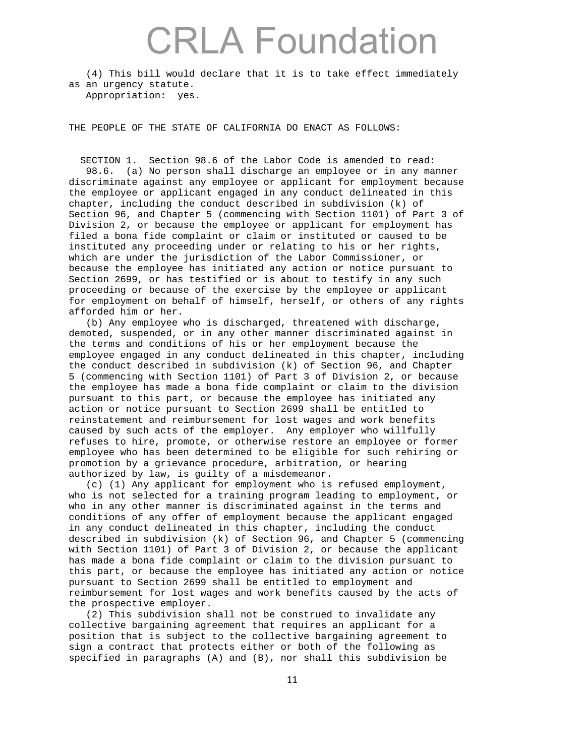(4) This bill would declare that it is to take effect immediately as an urgency statute.

Appropriation: yes.

THE PEOPLE OF THE STATE OF CALIFORNIA DO ENACT AS FOLLOWS:

 SECTION 1. Section 98.6 of the Labor Code is amended to read: 98.6. (a) No person shall discharge an employee or in any manner discriminate against any employee or applicant for employment because the employee or applicant engaged in any conduct delineated in this chapter, including the conduct described in subdivision (k) of Section 96, and Chapter 5 (commencing with Section 1101) of Part 3 of Division 2, or because the employee or applicant for employment has filed a bona fide complaint or claim or instituted or caused to be instituted any proceeding under or relating to his or her rights, which are under the jurisdiction of the Labor Commissioner, or because the employee has initiated any action or notice pursuant to Section 2699, or has testified or is about to testify in any such proceeding or because of the exercise by the employee or applicant for employment on behalf of himself, herself, or others of any rights afforded him or her.

 (b) Any employee who is discharged, threatened with discharge, demoted, suspended, or in any other manner discriminated against in the terms and conditions of his or her employment because the employee engaged in any conduct delineated in this chapter, including the conduct described in subdivision (k) of Section 96, and Chapter 5 (commencing with Section 1101) of Part 3 of Division 2, or because the employee has made a bona fide complaint or claim to the division pursuant to this part, or because the employee has initiated any action or notice pursuant to Section 2699 shall be entitled to reinstatement and reimbursement for lost wages and work benefits caused by such acts of the employer. Any employer who willfully refuses to hire, promote, or otherwise restore an employee or former employee who has been determined to be eligible for such rehiring or promotion by a grievance procedure, arbitration, or hearing authorized by law, is guilty of a misdemeanor.

 (c) (1) Any applicant for employment who is refused employment, who is not selected for a training program leading to employment, or who in any other manner is discriminated against in the terms and conditions of any offer of employment because the applicant engaged in any conduct delineated in this chapter, including the conduct described in subdivision (k) of Section 96, and Chapter 5 (commencing with Section 1101) of Part 3 of Division 2, or because the applicant has made a bona fide complaint or claim to the division pursuant to this part, or because the employee has initiated any action or notice pursuant to Section 2699 shall be entitled to employment and reimbursement for lost wages and work benefits caused by the acts of the prospective employer.

 (2) This subdivision shall not be construed to invalidate any collective bargaining agreement that requires an applicant for a position that is subject to the collective bargaining agreement to sign a contract that protects either or both of the following as specified in paragraphs (A) and (B), nor shall this subdivision be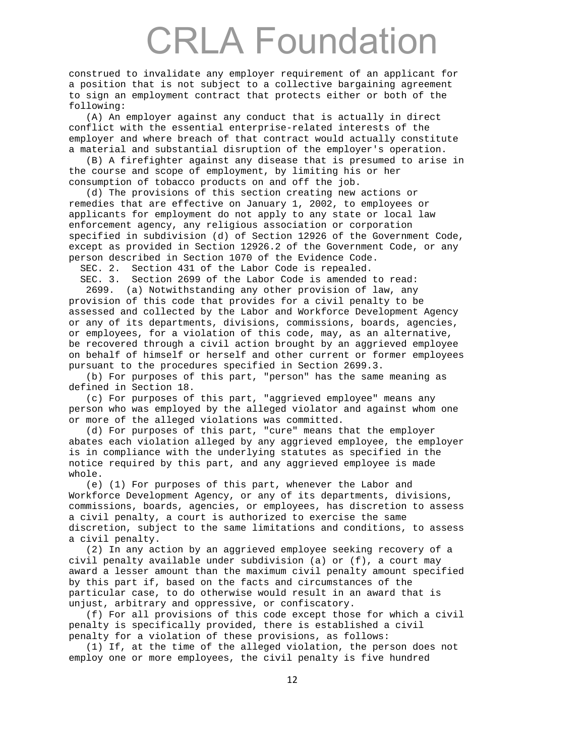construed to invalidate any employer requirement of an applicant for a position that is not subject to a collective bargaining agreement to sign an employment contract that protects either or both of the following:

 (A) An employer against any conduct that is actually in direct conflict with the essential enterprise-related interests of the employer and where breach of that contract would actually constitute a material and substantial disruption of the employer's operation.

 (B) A firefighter against any disease that is presumed to arise in the course and scope of employment, by limiting his or her consumption of tobacco products on and off the job.

 (d) The provisions of this section creating new actions or remedies that are effective on January 1, 2002, to employees or applicants for employment do not apply to any state or local law enforcement agency, any religious association or corporation specified in subdivision (d) of Section 12926 of the Government Code, except as provided in Section 12926.2 of the Government Code, or any person described in Section 1070 of the Evidence Code.

SEC. 2. Section 431 of the Labor Code is repealed.

SEC. 3. Section 2699 of the Labor Code is amended to read:

 2699. (a) Notwithstanding any other provision of law, any provision of this code that provides for a civil penalty to be assessed and collected by the Labor and Workforce Development Agency or any of its departments, divisions, commissions, boards, agencies, or employees, for a violation of this code, may, as an alternative, be recovered through a civil action brought by an aggrieved employee on behalf of himself or herself and other current or former employees pursuant to the procedures specified in Section 2699.3.

 (b) For purposes of this part, "person" has the same meaning as defined in Section 18.

 (c) For purposes of this part, "aggrieved employee" means any person who was employed by the alleged violator and against whom one or more of the alleged violations was committed.

 (d) For purposes of this part, "cure" means that the employer abates each violation alleged by any aggrieved employee, the employer is in compliance with the underlying statutes as specified in the notice required by this part, and any aggrieved employee is made whole.

 (e) (1) For purposes of this part, whenever the Labor and Workforce Development Agency, or any of its departments, divisions, commissions, boards, agencies, or employees, has discretion to assess a civil penalty, a court is authorized to exercise the same discretion, subject to the same limitations and conditions, to assess a civil penalty.

 (2) In any action by an aggrieved employee seeking recovery of a civil penalty available under subdivision (a) or (f), a court may award a lesser amount than the maximum civil penalty amount specified by this part if, based on the facts and circumstances of the particular case, to do otherwise would result in an award that is unjust, arbitrary and oppressive, or confiscatory.

 (f) For all provisions of this code except those for which a civil penalty is specifically provided, there is established a civil penalty for a violation of these provisions, as follows:

 (1) If, at the time of the alleged violation, the person does not employ one or more employees, the civil penalty is five hundred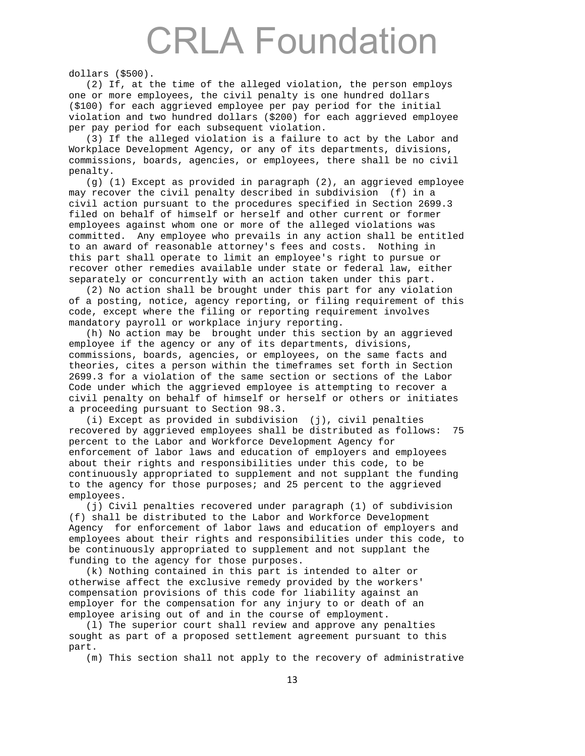dollars (\$500).

 (2) If, at the time of the alleged violation, the person employs one or more employees, the civil penalty is one hundred dollars (\$100) for each aggrieved employee per pay period for the initial violation and two hundred dollars (\$200) for each aggrieved employee per pay period for each subsequent violation.

 (3) If the alleged violation is a failure to act by the Labor and Workplace Development Agency, or any of its departments, divisions, commissions, boards, agencies, or employees, there shall be no civil penalty.

 (g) (1) Except as provided in paragraph (2), an aggrieved employee may recover the civil penalty described in subdivision (f) in a civil action pursuant to the procedures specified in Section 2699.3 filed on behalf of himself or herself and other current or former employees against whom one or more of the alleged violations was committed. Any employee who prevails in any action shall be entitled to an award of reasonable attorney's fees and costs. Nothing in this part shall operate to limit an employee's right to pursue or recover other remedies available under state or federal law, either separately or concurrently with an action taken under this part.

 (2) No action shall be brought under this part for any violation of a posting, notice, agency reporting, or filing requirement of this code, except where the filing or reporting requirement involves mandatory payroll or workplace injury reporting.

 (h) No action may be brought under this section by an aggrieved employee if the agency or any of its departments, divisions, commissions, boards, agencies, or employees, on the same facts and theories, cites a person within the timeframes set forth in Section 2699.3 for a violation of the same section or sections of the Labor Code under which the aggrieved employee is attempting to recover a civil penalty on behalf of himself or herself or others or initiates a proceeding pursuant to Section 98.3.

 (i) Except as provided in subdivision (j), civil penalties recovered by aggrieved employees shall be distributed as follows: 75 percent to the Labor and Workforce Development Agency for enforcement of labor laws and education of employers and employees about their rights and responsibilities under this code, to be continuously appropriated to supplement and not supplant the funding to the agency for those purposes; and 25 percent to the aggrieved employees.

 (j) Civil penalties recovered under paragraph (1) of subdivision (f) shall be distributed to the Labor and Workforce Development Agency for enforcement of labor laws and education of employers and employees about their rights and responsibilities under this code, to be continuously appropriated to supplement and not supplant the funding to the agency for those purposes.

 (k) Nothing contained in this part is intended to alter or otherwise affect the exclusive remedy provided by the workers' compensation provisions of this code for liability against an employer for the compensation for any injury to or death of an employee arising out of and in the course of employment.

 (l) The superior court shall review and approve any penalties sought as part of a proposed settlement agreement pursuant to this part.

(m) This section shall not apply to the recovery of administrative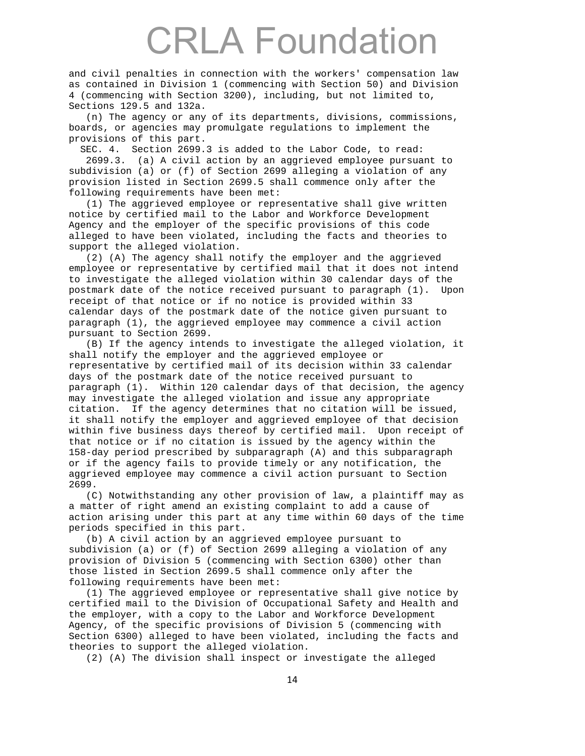and civil penalties in connection with the workers' compensation law as contained in Division 1 (commencing with Section 50) and Division 4 (commencing with Section 3200), including, but not limited to, Sections 129.5 and 132a.

 (n) The agency or any of its departments, divisions, commissions, boards, or agencies may promulgate regulations to implement the provisions of this part.

 SEC. 4. Section 2699.3 is added to the Labor Code, to read: 2699.3. (a) A civil action by an aggrieved employee pursuant to subdivision (a) or (f) of Section 2699 alleging a violation of any provision listed in Section 2699.5 shall commence only after the following requirements have been met:

 (1) The aggrieved employee or representative shall give written notice by certified mail to the Labor and Workforce Development Agency and the employer of the specific provisions of this code alleged to have been violated, including the facts and theories to support the alleged violation.

 (2) (A) The agency shall notify the employer and the aggrieved employee or representative by certified mail that it does not intend to investigate the alleged violation within 30 calendar days of the postmark date of the notice received pursuant to paragraph (1). Upon receipt of that notice or if no notice is provided within 33 calendar days of the postmark date of the notice given pursuant to paragraph (1), the aggrieved employee may commence a civil action pursuant to Section 2699.

 (B) If the agency intends to investigate the alleged violation, it shall notify the employer and the aggrieved employee or representative by certified mail of its decision within 33 calendar days of the postmark date of the notice received pursuant to paragraph (1). Within 120 calendar days of that decision, the agency may investigate the alleged violation and issue any appropriate citation. If the agency determines that no citation will be issued, it shall notify the employer and aggrieved employee of that decision within five business days thereof by certified mail. Upon receipt of that notice or if no citation is issued by the agency within the 158-day period prescribed by subparagraph (A) and this subparagraph or if the agency fails to provide timely or any notification, the aggrieved employee may commence a civil action pursuant to Section 2699.

 (C) Notwithstanding any other provision of law, a plaintiff may as a matter of right amend an existing complaint to add a cause of action arising under this part at any time within 60 days of the time periods specified in this part.

 (b) A civil action by an aggrieved employee pursuant to subdivision (a) or (f) of Section 2699 alleging a violation of any provision of Division 5 (commencing with Section 6300) other than those listed in Section 2699.5 shall commence only after the following requirements have been met:

 (1) The aggrieved employee or representative shall give notice by certified mail to the Division of Occupational Safety and Health and the employer, with a copy to the Labor and Workforce Development Agency, of the specific provisions of Division 5 (commencing with Section 6300) alleged to have been violated, including the facts and theories to support the alleged violation.

(2) (A) The division shall inspect or investigate the alleged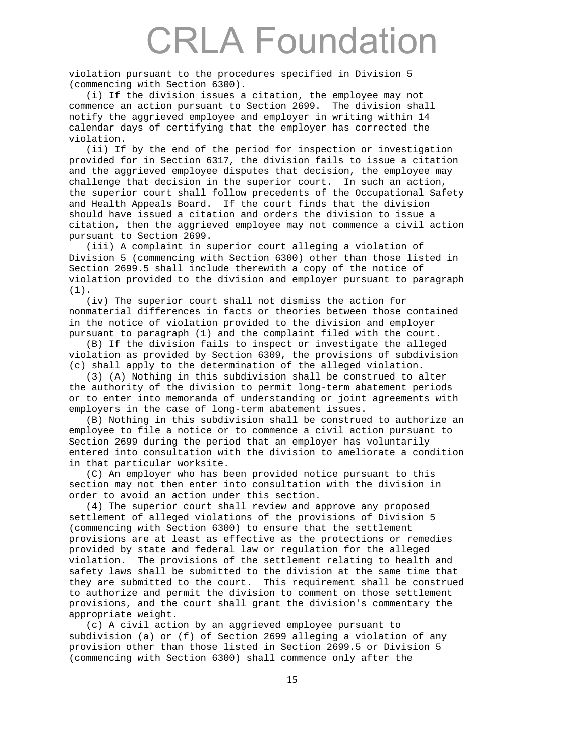violation pursuant to the procedures specified in Division 5 (commencing with Section 6300).

 (i) If the division issues a citation, the employee may not commence an action pursuant to Section 2699. The division shall notify the aggrieved employee and employer in writing within 14 calendar days of certifying that the employer has corrected the violation.

 (ii) If by the end of the period for inspection or investigation provided for in Section 6317, the division fails to issue a citation and the aggrieved employee disputes that decision, the employee may challenge that decision in the superior court. In such an action, the superior court shall follow precedents of the Occupational Safety and Health Appeals Board. If the court finds that the division should have issued a citation and orders the division to issue a citation, then the aggrieved employee may not commence a civil action pursuant to Section 2699.

 (iii) A complaint in superior court alleging a violation of Division 5 (commencing with Section 6300) other than those listed in Section 2699.5 shall include therewith a copy of the notice of violation provided to the division and employer pursuant to paragraph (1).

 (iv) The superior court shall not dismiss the action for nonmaterial differences in facts or theories between those contained in the notice of violation provided to the division and employer pursuant to paragraph (1) and the complaint filed with the court.

 (B) If the division fails to inspect or investigate the alleged violation as provided by Section 6309, the provisions of subdivision (c) shall apply to the determination of the alleged violation.

 (3) (A) Nothing in this subdivision shall be construed to alter the authority of the division to permit long-term abatement periods or to enter into memoranda of understanding or joint agreements with employers in the case of long-term abatement issues.

 (B) Nothing in this subdivision shall be construed to authorize an employee to file a notice or to commence a civil action pursuant to Section 2699 during the period that an employer has voluntarily entered into consultation with the division to ameliorate a condition in that particular worksite.

 (C) An employer who has been provided notice pursuant to this section may not then enter into consultation with the division in order to avoid an action under this section.

 (4) The superior court shall review and approve any proposed settlement of alleged violations of the provisions of Division 5 (commencing with Section 6300) to ensure that the settlement provisions are at least as effective as the protections or remedies provided by state and federal law or regulation for the alleged violation. The provisions of the settlement relating to health and safety laws shall be submitted to the division at the same time that they are submitted to the court. This requirement shall be construed to authorize and permit the division to comment on those settlement provisions, and the court shall grant the division's commentary the appropriate weight.

 (c) A civil action by an aggrieved employee pursuant to subdivision (a) or (f) of Section 2699 alleging a violation of any provision other than those listed in Section 2699.5 or Division 5 (commencing with Section 6300) shall commence only after the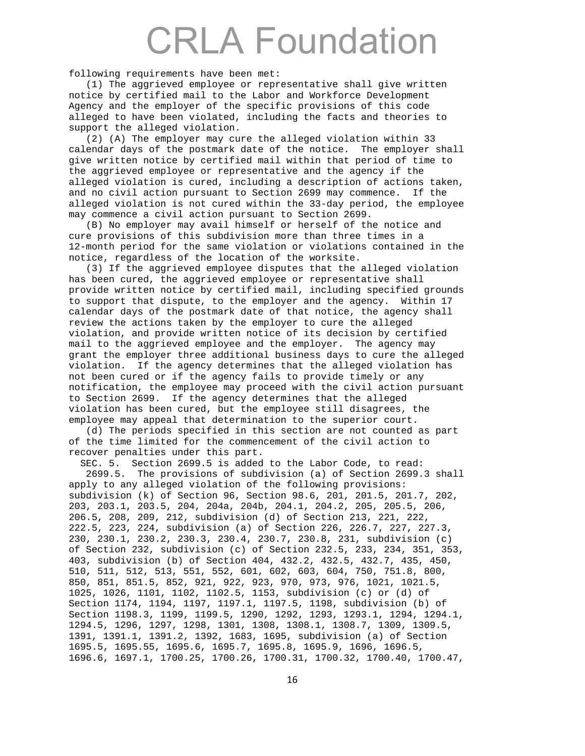following requirements have been met:

 (1) The aggrieved employee or representative shall give written notice by certified mail to the Labor and Workforce Development Agency and the employer of the specific provisions of this code alleged to have been violated, including the facts and theories to support the alleged violation.

 (2) (A) The employer may cure the alleged violation within 33 calendar days of the postmark date of the notice. The employer shall give written notice by certified mail within that period of time to the aggrieved employee or representative and the agency if the alleged violation is cured, including a description of actions taken, and no civil action pursuant to Section 2699 may commence. If the alleged violation is not cured within the 33-day period, the employee may commence a civil action pursuant to Section 2699.

 (B) No employer may avail himself or herself of the notice and cure provisions of this subdivision more than three times in a 12-month period for the same violation or violations contained in the notice, regardless of the location of the worksite.

 (3) If the aggrieved employee disputes that the alleged violation has been cured, the aggrieved employee or representative shall provide written notice by certified mail, including specified grounds to support that dispute, to the employer and the agency. Within 17 calendar days of the postmark date of that notice, the agency shall review the actions taken by the employer to cure the alleged violation, and provide written notice of its decision by certified mail to the aggrieved employee and the employer. The agency may grant the employer three additional business days to cure the alleged violation. If the agency determines that the alleged violation has not been cured or if the agency fails to provide timely or any notification, the employee may proceed with the civil action pursuant to Section 2699. If the agency determines that the alleged violation has been cured, but the employee still disagrees, the employee may appeal that determination to the superior court.

 (d) The periods specified in this section are not counted as part of the time limited for the commencement of the civil action to recover penalties under this part.

SEC. 5. Section 2699.5 is added to the Labor Code, to read:

 2699.5. The provisions of subdivision (a) of Section 2699.3 shall apply to any alleged violation of the following provisions: subdivision (k) of Section 96, Section 98.6, 201, 201.5, 201.7, 202, 203, 203.1, 203.5, 204, 204a, 204b, 204.1, 204.2, 205, 205.5, 206, 206.5, 208, 209, 212, subdivision (d) of Section 213, 221, 222, 222.5, 223, 224, subdivision (a) of Section 226, 226.7, 227, 227.3, 230, 230.1, 230.2, 230.3, 230.4, 230.7, 230.8, 231, subdivision (c) of Section 232, subdivision (c) of Section 232.5, 233, 234, 351, 353, 403, subdivision (b) of Section 404, 432.2, 432.5, 432.7, 435, 450, 510, 511, 512, 513, 551, 552, 601, 602, 603, 604, 750, 751.8, 800, 850, 851, 851.5, 852, 921, 922, 923, 970, 973, 976, 1021, 1021.5, 1025, 1026, 1101, 1102, 1102.5, 1153, subdivision (c) or (d) of Section 1174, 1194, 1197, 1197.1, 1197.5, 1198, subdivision (b) of Section 1198.3, 1199, 1199.5, 1290, 1292, 1293, 1293.1, 1294, 1294.1, 1294.5, 1296, 1297, 1298, 1301, 1308, 1308.1, 1308.7, 1309, 1309.5, 1391, 1391.1, 1391.2, 1392, 1683, 1695, subdivision (a) of Section 1695.5, 1695.55, 1695.6, 1695.7, 1695.8, 1695.9, 1696, 1696.5, 1696.6, 1697.1, 1700.25, 1700.26, 1700.31, 1700.32, 1700.40, 1700.47,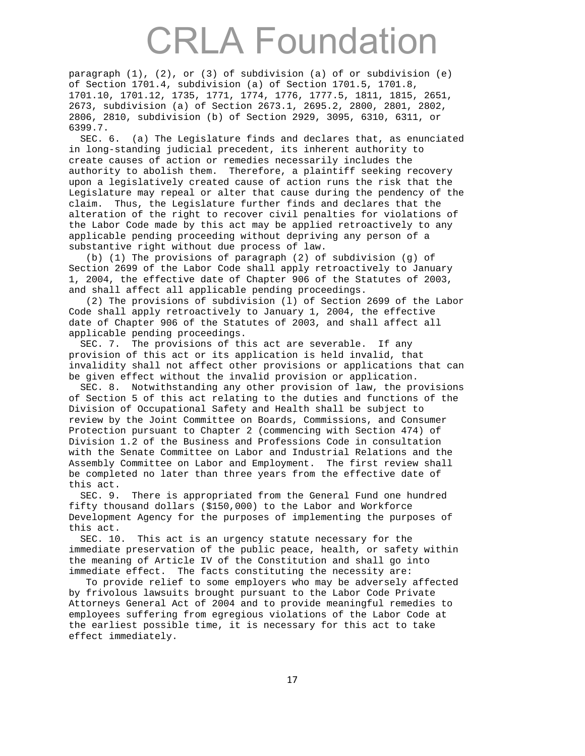paragraph (1), (2), or (3) of subdivision (a) of or subdivision (e) of Section 1701.4, subdivision (a) of Section 1701.5, 1701.8, 1701.10, 1701.12, 1735, 1771, 1774, 1776, 1777.5, 1811, 1815, 2651, 2673, subdivision (a) of Section 2673.1, 2695.2, 2800, 2801, 2802, 2806, 2810, subdivision (b) of Section 2929, 3095, 6310, 6311, or 6399.7.

 SEC. 6. (a) The Legislature finds and declares that, as enunciated in long-standing judicial precedent, its inherent authority to create causes of action or remedies necessarily includes the authority to abolish them. Therefore, a plaintiff seeking recovery upon a legislatively created cause of action runs the risk that the Legislature may repeal or alter that cause during the pendency of the claim. Thus, the Legislature further finds and declares that the alteration of the right to recover civil penalties for violations of the Labor Code made by this act may be applied retroactively to any applicable pending proceeding without depriving any person of a substantive right without due process of law.

 (b) (1) The provisions of paragraph (2) of subdivision (g) of Section 2699 of the Labor Code shall apply retroactively to January 1, 2004, the effective date of Chapter 906 of the Statutes of 2003, and shall affect all applicable pending proceedings.

 (2) The provisions of subdivision (l) of Section 2699 of the Labor Code shall apply retroactively to January 1, 2004, the effective date of Chapter 906 of the Statutes of 2003, and shall affect all applicable pending proceedings.

 SEC. 7. The provisions of this act are severable. If any provision of this act or its application is held invalid, that invalidity shall not affect other provisions or applications that can be given effect without the invalid provision or application.

 SEC. 8. Notwithstanding any other provision of law, the provisions of Section 5 of this act relating to the duties and functions of the Division of Occupational Safety and Health shall be subject to review by the Joint Committee on Boards, Commissions, and Consumer Protection pursuant to Chapter 2 (commencing with Section 474) of Division 1.2 of the Business and Professions Code in consultation with the Senate Committee on Labor and Industrial Relations and the Assembly Committee on Labor and Employment. The first review shall be completed no later than three years from the effective date of this act.

 SEC. 9. There is appropriated from the General Fund one hundred fifty thousand dollars (\$150,000) to the Labor and Workforce Development Agency for the purposes of implementing the purposes of this act.

 SEC. 10. This act is an urgency statute necessary for the immediate preservation of the public peace, health, or safety within the meaning of Article IV of the Constitution and shall go into immediate effect. The facts constituting the necessity are:

 To provide relief to some employers who may be adversely affected by frivolous lawsuits brought pursuant to the Labor Code Private Attorneys General Act of 2004 and to provide meaningful remedies to employees suffering from egregious violations of the Labor Code at the earliest possible time, it is necessary for this act to take effect immediately.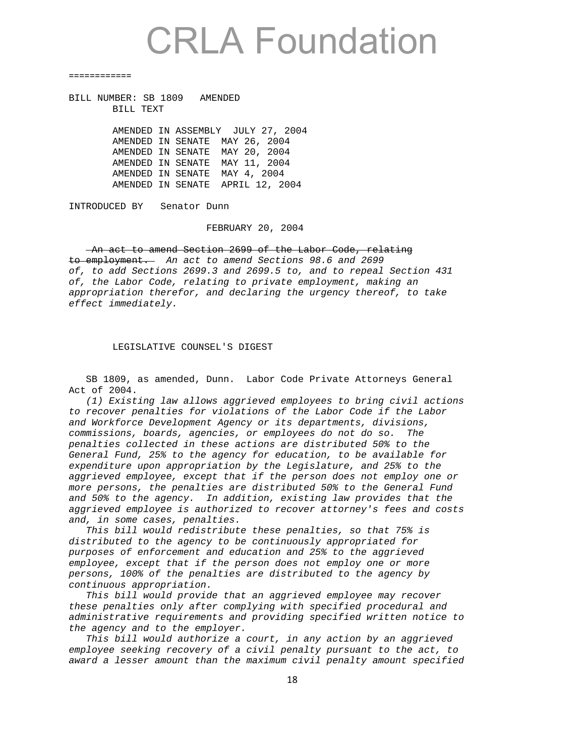============

BILL NUMBER: SB 1809 AMENDED BILL TEXT AMENDED IN ASSEMBLY JULY 27, 2004 AMENDED IN SENATE MAY 26, 2004 AMENDED IN SENATE MAY 20, 2004 AMENDED IN SENATE MAY 11, 2004 AMENDED IN SENATE MAY 4, 2004

AMENDED IN SENATE APRIL 12, 2004

INTRODUCED BY Senator Dunn

FEBRUARY 20, 2004

 An act to amend Section 2699 of the Labor Code, relating to employment. *An act to amend Sections 98.6 and 2699 of, to add Sections 2699.3 and 2699.5 to, and to repeal Section 431 of, the Labor Code, relating to private employment, making an appropriation therefor, and declaring the urgency thereof, to take effect immediately.* 

#### LEGISLATIVE COUNSEL'S DIGEST

 SB 1809, as amended, Dunn. Labor Code Private Attorneys General Act of 2004.

 *(1) Existing law allows aggrieved employees to bring civil actions to recover penalties for violations of the Labor Code if the Labor and Workforce Development Agency or its departments, divisions, commissions, boards, agencies, or employees do not do so. The penalties collected in these actions are distributed 50% to the General Fund, 25% to the agency for education, to be available for expenditure upon appropriation by the Legislature, and 25% to the aggrieved employee, except that if the person does not employ one or more persons, the penalties are distributed 50% to the General Fund and 50% to the agency. In addition, existing law provides that the aggrieved employee is authorized to recover attorney's fees and costs and, in some cases, penalties.* 

 *This bill would redistribute these penalties, so that 75% is distributed to the agency to be continuously appropriated for purposes of enforcement and education and 25% to the aggrieved employee, except that if the person does not employ one or more persons, 100% of the penalties are distributed to the agency by continuous appropriation.* 

 *This bill would provide that an aggrieved employee may recover these penalties only after complying with specified procedural and administrative requirements and providing specified written notice to the agency and to the employer.* 

 *This bill would authorize a court, in any action by an aggrieved employee seeking recovery of a civil penalty pursuant to the act, to award a lesser amount than the maximum civil penalty amount specified*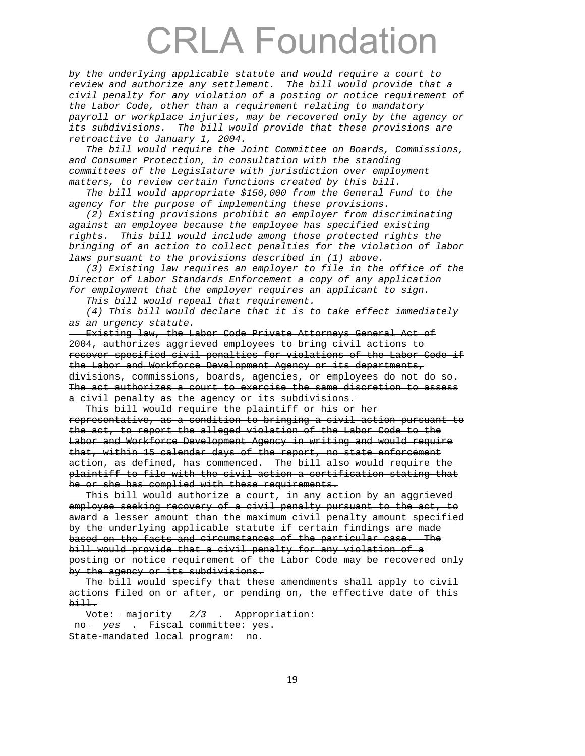*by the underlying applicable statute and would require a court to review and authorize any settlement. The bill would provide that a civil penalty for any violation of a posting or notice requirement of the Labor Code, other than a requirement relating to mandatory payroll or workplace injuries, may be recovered only by the agency or its subdivisions. The bill would provide that these provisions are retroactive to January 1, 2004.* 

 *The bill would require the Joint Committee on Boards, Commissions, and Consumer Protection, in consultation with the standing committees of the Legislature with jurisdiction over employment matters, to review certain functions created by this bill.* 

 *The bill would appropriate \$150,000 from the General Fund to the agency for the purpose of implementing these provisions.* 

 *(2) Existing provisions prohibit an employer from discriminating against an employee because the employee has specified existing rights. This bill would include among those protected rights the bringing of an action to collect penalties for the violation of labor laws pursuant to the provisions described in (1) above.* 

 *(3) Existing law requires an employer to file in the office of the Director of Labor Standards Enforcement a copy of any application for employment that the employer requires an applicant to sign.* 

 *This bill would repeal that requirement.* 

 *(4) This bill would declare that it is to take effect immediately as an urgency statute.* 

 Existing law, the Labor Code Private Attorneys General Act of 2004, authorizes aggrieved employees to bring civil actions to recover specified civil penalties for violations of the Labor Code if the Labor and Workforce Development Agency or its departments, divisions, commissions, boards, agencies, or employees do not do so. The act authorizes a court to exercise the same discretion to assess a civil penalty as the agency or its subdivisions.

 This bill would require the plaintiff or his or her representative, as a condition to bringing a civil action pursuant to the act, to report the alleged violation of the Labor Code to the Labor and Workforce Development Agency in writing and would require that, within 15 calendar days of the report, no state enforcement action, as defined, has commenced. The bill also would require the plaintiff to file with the civil action a certification stating that he or she has complied with these requirements.

 This bill would authorize a court, in any action by an aggrieved employee seeking recovery of a civil penalty pursuant to the act, to award a lesser amount than the maximum civil penalty amount specified by the underlying applicable statute if certain findings are made based on the facts and circumstances of the particular case. The bill would provide that a civil penalty for any violation of a posting or notice requirement of the Labor Code may be recovered only by the agency or its subdivisions.

The bill would specify that these amendments shall apply to civil actions filed on or after, or pending on, the effective date of this bill.

Vote:  $\frac{1}{\text{max} + \text{max}}$  2/3. Appropriation: no *yes* . Fiscal committee: yes. State-mandated local program: no.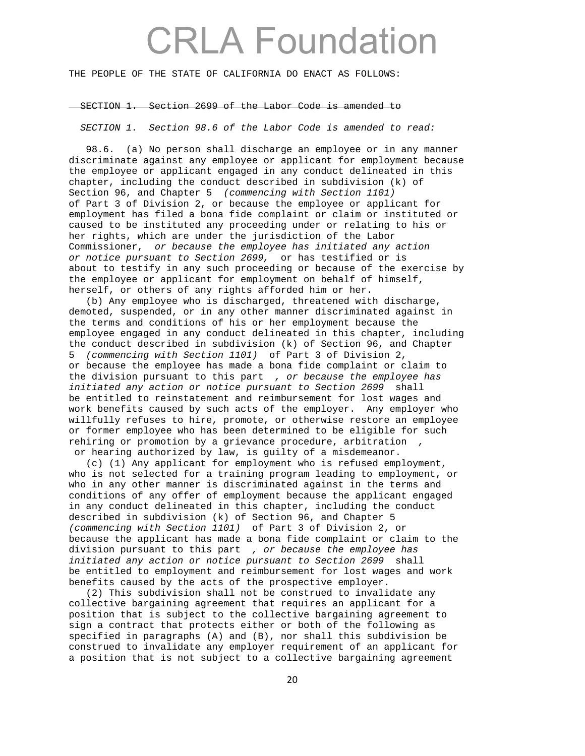THE PEOPLE OF THE STATE OF CALIFORNIA DO ENACT AS FOLLOWS:

#### SECTION 1. Section 2699 of the Labor Code is amended to

 *SECTION 1. Section 98.6 of the Labor Code is amended to read:* 

 98.6. (a) No person shall discharge an employee or in any manner discriminate against any employee or applicant for employment because the employee or applicant engaged in any conduct delineated in this chapter, including the conduct described in subdivision (k) of Section 96, and Chapter 5 *(commencing with Section 1101)*  of Part 3 of Division 2, or because the employee or applicant for employment has filed a bona fide complaint or claim or instituted or caused to be instituted any proceeding under or relating to his or her rights, which are under the jurisdiction of the Labor Commissioner, *or because the employee has initiated any action or notice pursuant to Section 2699,* or has testified or is about to testify in any such proceeding or because of the exercise by the employee or applicant for employment on behalf of himself, herself, or others of any rights afforded him or her.

 (b) Any employee who is discharged, threatened with discharge, demoted, suspended, or in any other manner discriminated against in the terms and conditions of his or her employment because the employee engaged in any conduct delineated in this chapter, including the conduct described in subdivision (k) of Section 96, and Chapter 5 *(commencing with Section 1101)* of Part 3 of Division 2, or because the employee has made a bona fide complaint or claim to the division pursuant to this part *, or because the employee has initiated any action or notice pursuant to Section 2699* shall be entitled to reinstatement and reimbursement for lost wages and work benefits caused by such acts of the employer. Any employer who willfully refuses to hire, promote, or otherwise restore an employee or former employee who has been determined to be eligible for such rehiring or promotion by a grievance procedure, arbitration *,*  or hearing authorized by law, is guilty of a misdemeanor.

 (c) (1) Any applicant for employment who is refused employment, who is not selected for a training program leading to employment, or who in any other manner is discriminated against in the terms and conditions of any offer of employment because the applicant engaged in any conduct delineated in this chapter, including the conduct described in subdivision (k) of Section 96, and Chapter 5 *(commencing with Section 1101)* of Part 3 of Division 2, or because the applicant has made a bona fide complaint or claim to the division pursuant to this part *, or because the employee has initiated any action or notice pursuant to Section 2699* shall be entitled to employment and reimbursement for lost wages and work benefits caused by the acts of the prospective employer.

 (2) This subdivision shall not be construed to invalidate any collective bargaining agreement that requires an applicant for a position that is subject to the collective bargaining agreement to sign a contract that protects either or both of the following as specified in paragraphs (A) and (B), nor shall this subdivision be construed to invalidate any employer requirement of an applicant for a position that is not subject to a collective bargaining agreement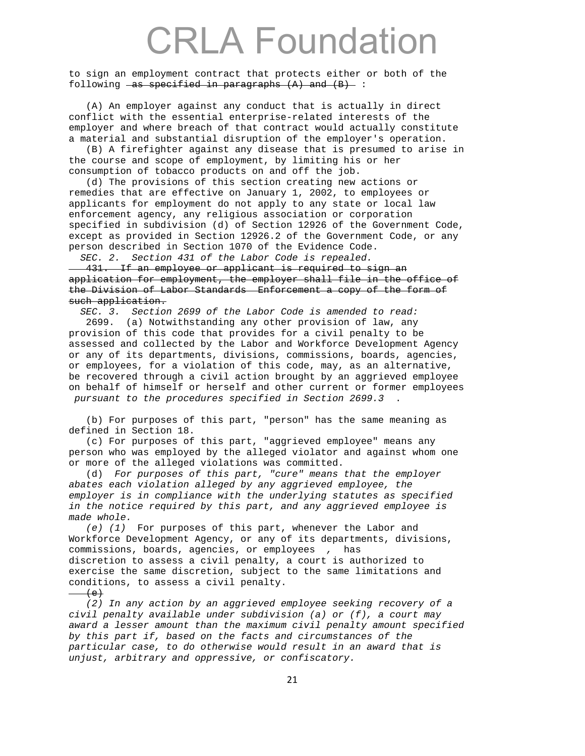to sign an employment contract that protects either or both of the following  $-a$ s specified in paragraphs  $(A)$  and  $(B)$  :

 (A) An employer against any conduct that is actually in direct conflict with the essential enterprise-related interests of the employer and where breach of that contract would actually constitute a material and substantial disruption of the employer's operation.

 (B) A firefighter against any disease that is presumed to arise in the course and scope of employment, by limiting his or her consumption of tobacco products on and off the job.

 (d) The provisions of this section creating new actions or remedies that are effective on January 1, 2002, to employees or applicants for employment do not apply to any state or local law enforcement agency, any religious association or corporation specified in subdivision (d) of Section 12926 of the Government Code, except as provided in Section 12926.2 of the Government Code, or any person described in Section 1070 of the Evidence Code.

 *SEC. 2. Section 431 of the Labor Code is repealed.* 

 431. If an employee or applicant is required to sign an application for employment, the employer shall file in the office of the Division of Labor Standards Enforcement a copy of the form of such application.

 *SEC. 3. Section 2699 of the Labor Code is amended to read:* 

 2699. (a) Notwithstanding any other provision of law, any provision of this code that provides for a civil penalty to be assessed and collected by the Labor and Workforce Development Agency or any of its departments, divisions, commissions, boards, agencies, or employees, for a violation of this code, may, as an alternative, be recovered through a civil action brought by an aggrieved employee on behalf of himself or herself and other current or former employees  *pursuant to the procedures specified in Section 2699.3* .

 (b) For purposes of this part, "person" has the same meaning as defined in Section 18.

 (c) For purposes of this part, "aggrieved employee" means any person who was employed by the alleged violator and against whom one or more of the alleged violations was committed.

 (d) *For purposes of this part, "cure" means that the employer abates each violation alleged by any aggrieved employee, the employer is in compliance with the underlying statutes as specified in the notice required by this part, and any aggrieved employee is made whole.* 

 *(e) (1)* For purposes of this part, whenever the Labor and Workforce Development Agency, or any of its departments, divisions, commissions, boards, agencies, or employees *,* has discretion to assess a civil penalty, a court is authorized to exercise the same discretion, subject to the same limitations and conditions, to assess a civil penalty.

 $(e)$ 

 *(2) In any action by an aggrieved employee seeking recovery of a civil penalty available under subdivision (a) or (f), a court may award a lesser amount than the maximum civil penalty amount specified by this part if, based on the facts and circumstances of the particular case, to do otherwise would result in an award that is unjust, arbitrary and oppressive, or confiscatory.*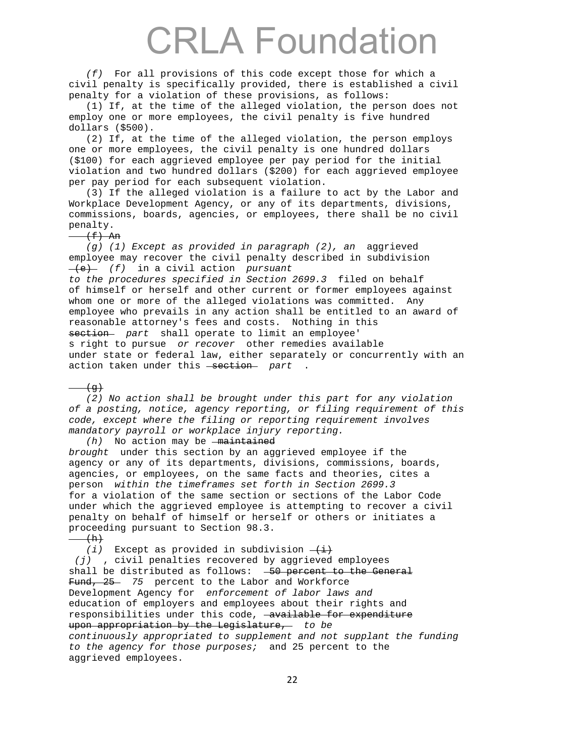*(f)* For all provisions of this code except those for which a civil penalty is specifically provided, there is established a civil penalty for a violation of these provisions, as follows:

 (1) If, at the time of the alleged violation, the person does not employ one or more employees, the civil penalty is five hundred dollars (\$500).

 (2) If, at the time of the alleged violation, the person employs one or more employees, the civil penalty is one hundred dollars (\$100) for each aggrieved employee per pay period for the initial violation and two hundred dollars (\$200) for each aggrieved employee per pay period for each subsequent violation.

 (3) If the alleged violation is a failure to act by the Labor and Workplace Development Agency, or any of its departments, divisions, commissions, boards, agencies, or employees, there shall be no civil penalty.

#### $\overline{f}$   $\overline{f}$   $\overline{f}$   $\overline{f}$

 *(g) (1) Except as provided in paragraph (2), an* aggrieved employee may recover the civil penalty described in subdivision (e) *(f)* in a civil action *pursuant to the procedures specified in Section 2699.3* filed on behalf of himself or herself and other current or former employees against whom one or more of the alleged violations was committed. Any employee who prevails in any action shall be entitled to an award of reasonable attorney's fees and costs. Nothing in this section *part* shall operate to limit an employee' s right to pursue *or recover* other remedies available under state or federal law, either separately or concurrently with an action taken under this **section** part

#### $\left( q\right)$

 *(2) No action shall be brought under this part for any violation of a posting, notice, agency reporting, or filing requirement of this code, except where the filing or reporting requirement involves mandatory payroll or workplace injury reporting.* 

*(h)* No action may be -maintained

*brought* under this section by an aggrieved employee if the agency or any of its departments, divisions, commissions, boards, agencies, or employees, on the same facts and theories, cites a person *within the timeframes set forth in Section 2699.3*  for a violation of the same section or sections of the Labor Code under which the aggrieved employee is attempting to recover a civil penalty on behalf of himself or herself or others or initiates a proceeding pursuant to Section 98.3.

#### $(h)$

 $(i)$  Except as provided in subdivision  $\overline{+i}$  *(j)* , civil penalties recovered by aggrieved employees shall be distributed as follows: -50 percent to the General Fund, 25 *75* percent to the Labor and Workforce Development Agency for *enforcement of labor laws and*  education of employers and employees about their rights and responsibilities under this code, -available for expenditure upon appropriation by the Legislature, *to be continuously appropriated to supplement and not supplant the funding to the agency for those purposes;* and 25 percent to the aggrieved employees.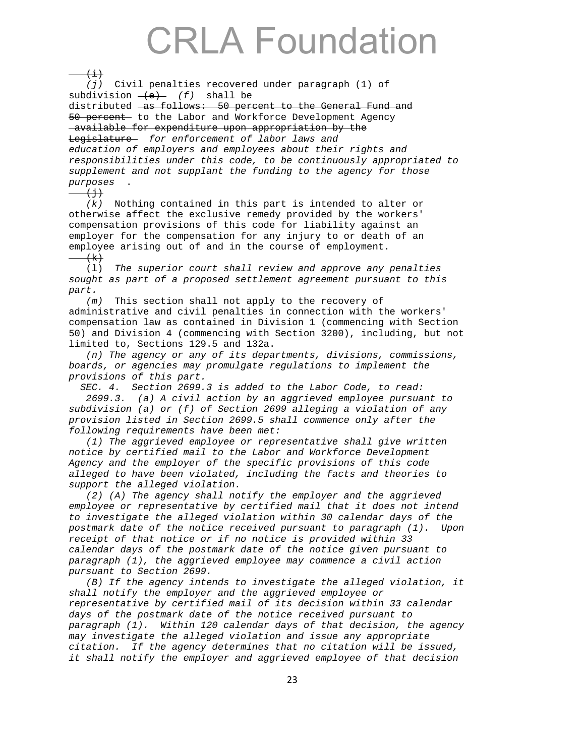#### $(i+)$

 *(j)* Civil penalties recovered under paragraph (1) of subdivision  $(e)$  *(f)* shall be distributed as follows: 50 percent to the General Fund and 50 percent to the Labor and Workforce Development Agency available for expenditure upon appropriation by the Legislature *for enforcement of labor laws and education of employers and employees about their rights and responsibilities under this code, to be continuously appropriated to supplement and not supplant the funding to the agency for those purposes* .

 $(+\dagger)$ 

 *(k)* Nothing contained in this part is intended to alter or otherwise affect the exclusive remedy provided by the workers' compensation provisions of this code for liability against an employer for the compensation for any injury to or death of an employee arising out of and in the course of employment.  $(\mathbf{k})$ 

 (l) *The superior court shall review and approve any penalties sought as part of a proposed settlement agreement pursuant to this part.* 

 *(m)* This section shall not apply to the recovery of administrative and civil penalties in connection with the workers' compensation law as contained in Division 1 (commencing with Section 50) and Division 4 (commencing with Section 3200), including, but not limited to, Sections 129.5 and 132a.

 *(n) The agency or any of its departments, divisions, commissions, boards, or agencies may promulgate regulations to implement the provisions of this part.* 

 *SEC. 4. Section 2699.3 is added to the Labor Code, to read:* 

 *2699.3. (a) A civil action by an aggrieved employee pursuant to subdivision (a) or (f) of Section 2699 alleging a violation of any provision listed in Section 2699.5 shall commence only after the following requirements have been met:* 

 *(1) The aggrieved employee or representative shall give written notice by certified mail to the Labor and Workforce Development Agency and the employer of the specific provisions of this code alleged to have been violated, including the facts and theories to support the alleged violation.* 

 *(2) (A) The agency shall notify the employer and the aggrieved employee or representative by certified mail that it does not intend to investigate the alleged violation within 30 calendar days of the postmark date of the notice received pursuant to paragraph (1). Upon receipt of that notice or if no notice is provided within 33 calendar days of the postmark date of the notice given pursuant to paragraph (1), the aggrieved employee may commence a civil action pursuant to Section 2699.* 

 *(B) If the agency intends to investigate the alleged violation, it shall notify the employer and the aggrieved employee or representative by certified mail of its decision within 33 calendar days of the postmark date of the notice received pursuant to paragraph (1). Within 120 calendar days of that decision, the agency may investigate the alleged violation and issue any appropriate citation. If the agency determines that no citation will be issued, it shall notify the employer and aggrieved employee of that decision*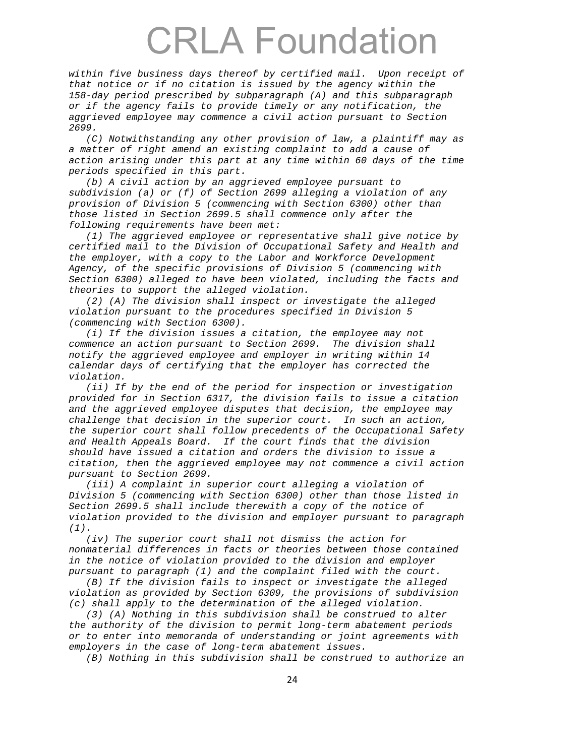*within five business days thereof by certified mail. Upon receipt of that notice or if no citation is issued by the agency within the 158-day period prescribed by subparagraph (A) and this subparagraph or if the agency fails to provide timely or any notification, the aggrieved employee may commence a civil action pursuant to Section 2699.* 

 *(C) Notwithstanding any other provision of law, a plaintiff may as a matter of right amend an existing complaint to add a cause of action arising under this part at any time within 60 days of the time periods specified in this part.* 

 *(b) A civil action by an aggrieved employee pursuant to subdivision (a) or (f) of Section 2699 alleging a violation of any provision of Division 5 (commencing with Section 6300) other than those listed in Section 2699.5 shall commence only after the following requirements have been met:* 

 *(1) The aggrieved employee or representative shall give notice by certified mail to the Division of Occupational Safety and Health and the employer, with a copy to the Labor and Workforce Development Agency, of the specific provisions of Division 5 (commencing with Section 6300) alleged to have been violated, including the facts and theories to support the alleged violation.* 

 *(2) (A) The division shall inspect or investigate the alleged violation pursuant to the procedures specified in Division 5 (commencing with Section 6300).* 

 *(i) If the division issues a citation, the employee may not commence an action pursuant to Section 2699. The division shall notify the aggrieved employee and employer in writing within 14 calendar days of certifying that the employer has corrected the violation.* 

 *(ii) If by the end of the period for inspection or investigation provided for in Section 6317, the division fails to issue a citation and the aggrieved employee disputes that decision, the employee may challenge that decision in the superior court. In such an action, the superior court shall follow precedents of the Occupational Safety and Health Appeals Board. If the court finds that the division should have issued a citation and orders the division to issue a citation, then the aggrieved employee may not commence a civil action pursuant to Section 2699.* 

 *(iii) A complaint in superior court alleging a violation of Division 5 (commencing with Section 6300) other than those listed in Section 2699.5 shall include therewith a copy of the notice of violation provided to the division and employer pursuant to paragraph (1).* 

 *(iv) The superior court shall not dismiss the action for nonmaterial differences in facts or theories between those contained in the notice of violation provided to the division and employer pursuant to paragraph (1) and the complaint filed with the court.* 

 *(B) If the division fails to inspect or investigate the alleged violation as provided by Section 6309, the provisions of subdivision (c) shall apply to the determination of the alleged violation.* 

 *(3) (A) Nothing in this subdivision shall be construed to alter the authority of the division to permit long-term abatement periods or to enter into memoranda of understanding or joint agreements with employers in the case of long-term abatement issues.* 

 *(B) Nothing in this subdivision shall be construed to authorize an*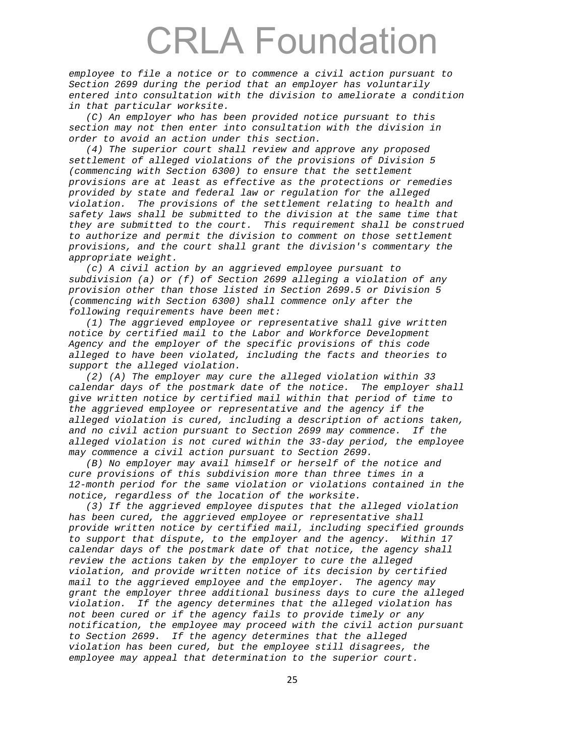*employee to file a notice or to commence a civil action pursuant to Section 2699 during the period that an employer has voluntarily entered into consultation with the division to ameliorate a condition in that particular worksite.* 

 *(C) An employer who has been provided notice pursuant to this section may not then enter into consultation with the division in order to avoid an action under this section.* 

 *(4) The superior court shall review and approve any proposed settlement of alleged violations of the provisions of Division 5 (commencing with Section 6300) to ensure that the settlement provisions are at least as effective as the protections or remedies provided by state and federal law or regulation for the alleged violation. The provisions of the settlement relating to health and safety laws shall be submitted to the division at the same time that they are submitted to the court. This requirement shall be construed to authorize and permit the division to comment on those settlement provisions, and the court shall grant the division's commentary the appropriate weight.* 

 *(c) A civil action by an aggrieved employee pursuant to subdivision (a) or (f) of Section 2699 alleging a violation of any provision other than those listed in Section 2699.5 or Division 5 (commencing with Section 6300) shall commence only after the following requirements have been met:* 

 *(1) The aggrieved employee or representative shall give written notice by certified mail to the Labor and Workforce Development Agency and the employer of the specific provisions of this code alleged to have been violated, including the facts and theories to support the alleged violation.* 

 *(2) (A) The employer may cure the alleged violation within 33 calendar days of the postmark date of the notice. The employer shall give written notice by certified mail within that period of time to the aggrieved employee or representative and the agency if the alleged violation is cured, including a description of actions taken, and no civil action pursuant to Section 2699 may commence. If the alleged violation is not cured within the 33-day period, the employee may commence a civil action pursuant to Section 2699.* 

 *(B) No employer may avail himself or herself of the notice and cure provisions of this subdivision more than three times in a 12-month period for the same violation or violations contained in the notice, regardless of the location of the worksite.* 

 *(3) If the aggrieved employee disputes that the alleged violation has been cured, the aggrieved employee or representative shall provide written notice by certified mail, including specified grounds to support that dispute, to the employer and the agency. Within 17 calendar days of the postmark date of that notice, the agency shall review the actions taken by the employer to cure the alleged violation, and provide written notice of its decision by certified mail to the aggrieved employee and the employer. The agency may grant the employer three additional business days to cure the alleged violation. If the agency determines that the alleged violation has not been cured or if the agency fails to provide timely or any notification, the employee may proceed with the civil action pursuant to Section 2699. If the agency determines that the alleged violation has been cured, but the employee still disagrees, the employee may appeal that determination to the superior court.*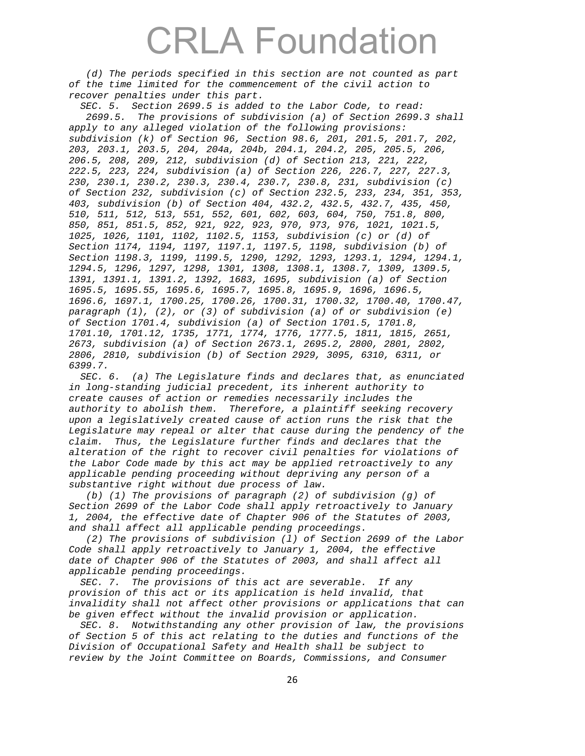*(d) The periods specified in this section are not counted as part of the time limited for the commencement of the civil action to recover penalties under this part.* 

 *SEC. 5. Section 2699.5 is added to the Labor Code, to read: 2699.5. The provisions of subdivision (a) of Section 2699.3 shall apply to any alleged violation of the following provisions: subdivision (k) of Section 96, Section 98.6, 201, 201.5, 201.7, 202, 203, 203.1, 203.5, 204, 204a, 204b, 204.1, 204.2, 205, 205.5, 206, 206.5, 208, 209, 212, subdivision (d) of Section 213, 221, 222, 222.5, 223, 224, subdivision (a) of Section 226, 226.7, 227, 227.3, 230, 230.1, 230.2, 230.3, 230.4, 230.7, 230.8, 231, subdivision (c) of Section 232, subdivision (c) of Section 232.5, 233, 234, 351, 353, 403, subdivision (b) of Section 404, 432.2, 432.5, 432.7, 435, 450, 510, 511, 512, 513, 551, 552, 601, 602, 603, 604, 750, 751.8, 800, 850, 851, 851.5, 852, 921, 922, 923, 970, 973, 976, 1021, 1021.5, 1025, 1026, 1101, 1102, 1102.5, 1153, subdivision (c) or (d) of Section 1174, 1194, 1197, 1197.1, 1197.5, 1198, subdivision (b) of Section 1198.3, 1199, 1199.5, 1290, 1292, 1293, 1293.1, 1294, 1294.1, 1294.5, 1296, 1297, 1298, 1301, 1308, 1308.1, 1308.7, 1309, 1309.5, 1391, 1391.1, 1391.2, 1392, 1683, 1695, subdivision (a) of Section 1695.5, 1695.55, 1695.6, 1695.7, 1695.8, 1695.9, 1696, 1696.5, 1696.6, 1697.1, 1700.25, 1700.26, 1700.31, 1700.32, 1700.40, 1700.47, paragraph (1), (2), or (3) of subdivision (a) of or subdivision (e) of Section 1701.4, subdivision (a) of Section 1701.5, 1701.8, 1701.10, 1701.12, 1735, 1771, 1774, 1776, 1777.5, 1811, 1815, 2651, 2673, subdivision (a) of Section 2673.1, 2695.2, 2800, 2801, 2802, 2806, 2810, subdivision (b) of Section 2929, 3095, 6310, 6311, or 6399.7.* 

 *SEC. 6. (a) The Legislature finds and declares that, as enunciated in long-standing judicial precedent, its inherent authority to create causes of action or remedies necessarily includes the authority to abolish them. Therefore, a plaintiff seeking recovery upon a legislatively created cause of action runs the risk that the*  Legislature may repeal or alter that cause during the pendency of the *claim. Thus, the Legislature further finds and declares that the alteration of the right to recover civil penalties for violations of the Labor Code made by this act may be applied retroactively to any applicable pending proceeding without depriving any person of a substantive right without due process of law.* 

 *(b) (1) The provisions of paragraph (2) of subdivision (g) of Section 2699 of the Labor Code shall apply retroactively to January 1, 2004, the effective date of Chapter 906 of the Statutes of 2003, and shall affect all applicable pending proceedings.* 

 *(2) The provisions of subdivision (l) of Section 2699 of the Labor*  Code shall apply retroactively to January 1, 2004, the effective *date of Chapter 906 of the Statutes of 2003, and shall affect all applicable pending proceedings.* 

 *SEC. 7. The provisions of this act are severable. If any provision of this act or its application is held invalid, that invalidity shall not affect other provisions or applications that can be given effect without the invalid provision or application.* 

 *SEC. 8. Notwithstanding any other provision of law, the provisions of Section 5 of this act relating to the duties and functions of the Division of Occupational Safety and Health shall be subject to review by the Joint Committee on Boards, Commissions, and Consumer*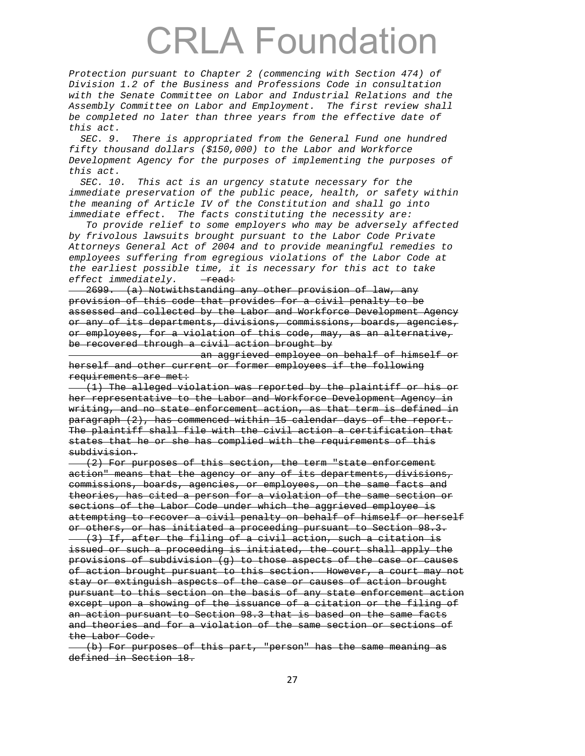*Protection pursuant to Chapter 2 (commencing with Section 474) of Division 1.2 of the Business and Professions Code in consultation with the Senate Committee on Labor and Industrial Relations and the Assembly Committee on Labor and Employment. The first review shall be completed no later than three years from the effective date of this act.* 

 *SEC. 9. There is appropriated from the General Fund one hundred fifty thousand dollars (\$150,000) to the Labor and Workforce Development Agency for the purposes of implementing the purposes of this act.* 

 *SEC. 10. This act is an urgency statute necessary for the immediate preservation of the public peace, health, or safety within the meaning of Article IV of the Constitution and shall go into immediate effect. The facts constituting the necessity are:* 

 *To provide relief to some employers who may be adversely affected by frivolous lawsuits brought pursuant to the Labor Code Private Attorneys General Act of 2004 and to provide meaningful remedies to employees suffering from egregious violations of the Labor Code at the earliest possible time, it is necessary for this act to take effect immediately.* <del>read:</del>

 2699. (a) Notwithstanding any other provision of law, any provision of this code that provides for a civil penalty to be assessed and collected by the Labor and Workforce Development Agency or any of its departments, divisions, commissions, boards, agencies, or employees, for a violation of this code, may, as an alternative, be recovered through a civil action brought by

 an aggrieved employee on behalf of himself or herself and other current or former employees if the following requirements are met:

 (1) The alleged violation was reported by the plaintiff or his or her representative to the Labor and Workforce Development Agency in writing, and no state enforcement action, as that term is defined in paragraph (2), has commenced within 15 calendar days of the report. The plaintiff shall file with the civil action a certification that states that he or she has complied with the requirements of this subdivision.

 (2) For purposes of this section, the term "state enforcement action" means that the agency or any of its departments, divisions, commissions, boards, agencies, or employees, on the same facts and theories, has cited a person for a violation of the same section or sections of the Labor Code under which the aggrieved employee is attempting to recover a civil penalty on behalf of himself or herself or others, or has initiated a proceeding pursuant to Section 98.3. (3) If, after the filing of a civil action, such a citation is issued or such a proceeding is initiated, the court shall apply the provisions of subdivision (g) to those aspects of the case or causes of action brought pursuant to this section. However, a court may not stay or extinguish aspects of the case or causes of action brought pursuant to this section on the basis of any state enforcement action except upon a showing of the issuance of a citation or the filing of an action pursuant to Section 98.3 that is based on the same facts and theories and for a violation of the same section or sections of the Labor Code.

 (b) For purposes of this part, "person" has the same meaning as defined in Section 18.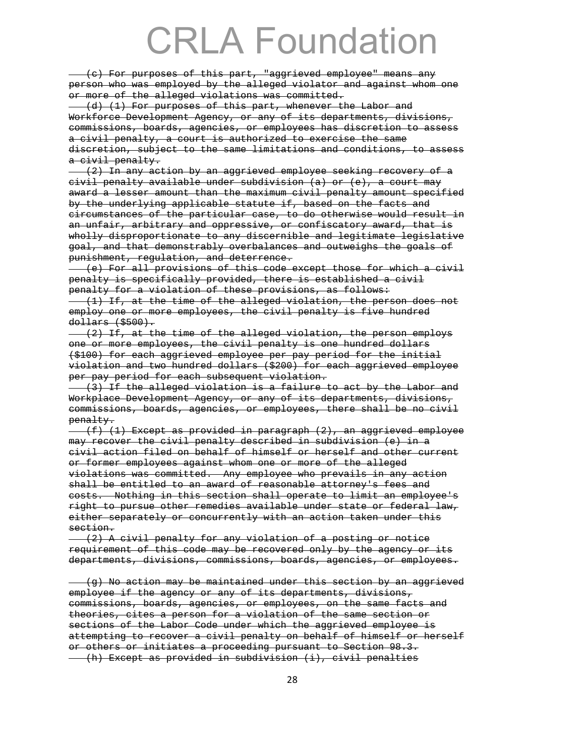(c) For purposes of this part, "aggrieved employee" means any person who was employed by the alleged violator and against whom one or more of the alleged violations was committed.

 (d) (1) For purposes of this part, whenever the Labor and Workforce Development Agency, or any of its departments, divisions, commissions, boards, agencies, or employees has discretion to assess a civil penalty, a court is authorized to exercise the same discretion, subject to the same limitations and conditions, to assess a civil penalty.

 (2) In any action by an aggrieved employee seeking recovery of a civil penalty available under subdivision (a) or (e), a court may award a lesser amount than the maximum civil penalty amount specified by the underlying applicable statute if, based on the facts and circumstances of the particular case, to do otherwise would result in an unfair, arbitrary and oppressive, or confiscatory award, that is wholly disproportionate to any discernible and legitimate legislative goal, and that demonstrably overbalances and outweighs the goals of punishment, regulation, and deterrence.

 (e) For all provisions of this code except those for which a civil penalty is specifically provided, there is established a civil penalty for a violation of these provisions, as follows:

 (1) If, at the time of the alleged violation, the person does not employ one or more employees, the civil penalty is five hundred dollars (\$500).

 (2) If, at the time of the alleged violation, the person employs one or more employees, the civil penalty is one hundred dollars (\$100) for each aggrieved employee per pay period for the initial violation and two hundred dollars (\$200) for each aggrieved employee per pay period for each subsequent violation.

 (3) If the alleged violation is a failure to act by the Labor and Workplace Development Agency, or any of its departments, divisions, commissions, boards, agencies, or employees, there shall be no civil penalty.

 (f) (1) Except as provided in paragraph (2), an aggrieved employee may recover the civil penalty described in subdivision (e) in a civil action filed on behalf of himself or herself and other current or former employees against whom one or more of the alleged violations was committed. Any employee who prevails in any action shall be entitled to an award of reasonable attorney's fees and costs. Nothing in this section shall operate to limit an employee's right to pursue other remedies available under state or federal law, either separately or concurrently with an action taken under this section.

 (2) A civil penalty for any violation of a posting or notice requirement of this code may be recovered only by the agency or its departments, divisions, commissions, boards, agencies, or employees.

 (g) No action may be maintained under this section by an aggrieved employee if the agency or any of its departments, divisions, commissions, boards, agencies, or employees, on the same facts and theories, cites a person for a violation of the same section or sections of the Labor Code under which the aggrieved employee is attempting to recover a civil penalty on behalf of himself or herself or others or initiates a proceeding pursuant to Section 98.3. (h) Except as provided in subdivision (i), civil penalties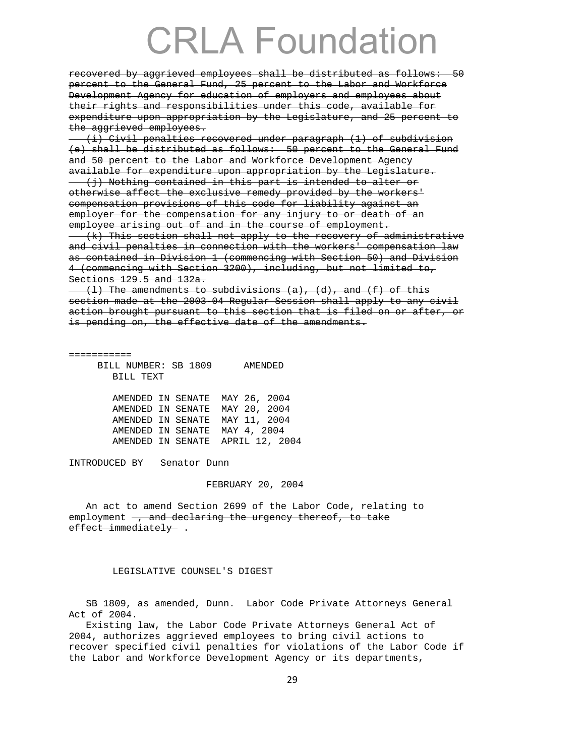recovered by aggrieved employees shall be distributed as follows: 50 percent to the General Fund, 25 percent to the Labor and Workforce Development Agency for education of employers and employees about their rights and responsibilities under this code, available for expenditure upon appropriation by the Legislature, and 25 percent to the aggrieved employees.

 (i) Civil penalties recovered under paragraph (1) of subdivision (e) shall be distributed as follows: 50 percent to the General Fund and 50 percent to the Labor and Workforce Development Agency available for expenditure upon appropriation by the Legislature. (j) Nothing contained in this part is intended to alter or otherwise affect the exclusive remedy provided by the workers' compensation provisions of this code for liability against an employer for the compensation for any injury to or death of an employee arising out of and in the course of employment.

 (k) This section shall not apply to the recovery of administrative and civil penalties in connection with the workers' compensation law as contained in Division 1 (commencing with Section 50) and Division 4 (commencing with Section 3200), including, but not limited to, Sections 129.5 and 132a.

 $(1)$  The amendments to subdivisions  $(a)$ ,  $(d)$ , and  $(f)$  of this section made at the 2003-04 Regular Session shall apply to any civil action brought pursuant to this section that is filed on or after, or is pending on, the effective date of the amendments.

===========

 BILL NUMBER: SB 1809 AMENDED BILL TEXT

 AMENDED IN SENATE MAY 26, 2004 AMENDED IN SENATE MAY 20, 2004 AMENDED IN SENATE MAY 11, 2004 AMENDED IN SENATE MAY 4, 2004 AMENDED IN SENATE APRIL 12, 2004

INTRODUCED BY Senator Dunn

FEBRUARY 20, 2004

 An act to amend Section 2699 of the Labor Code, relating to employment -, and declaring the urgency thereof, to take effect immediately .

#### LEGISLATIVE COUNSEL'S DIGEST

 SB 1809, as amended, Dunn. Labor Code Private Attorneys General Act of 2004.

 Existing law, the Labor Code Private Attorneys General Act of 2004, authorizes aggrieved employees to bring civil actions to recover specified civil penalties for violations of the Labor Code if the Labor and Workforce Development Agency or its departments,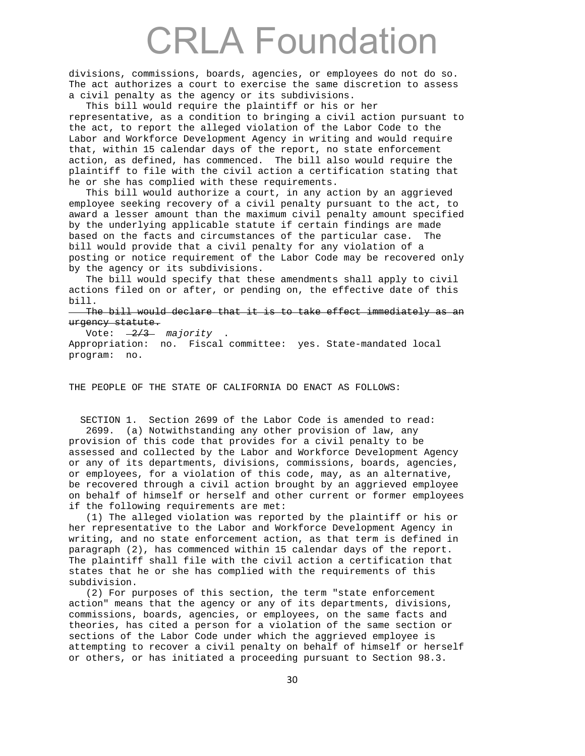divisions, commissions, boards, agencies, or employees do not do so. The act authorizes a court to exercise the same discretion to assess a civil penalty as the agency or its subdivisions.

 This bill would require the plaintiff or his or her representative, as a condition to bringing a civil action pursuant to the act, to report the alleged violation of the Labor Code to the Labor and Workforce Development Agency in writing and would require that, within 15 calendar days of the report, no state enforcement action, as defined, has commenced. The bill also would require the plaintiff to file with the civil action a certification stating that he or she has complied with these requirements.

 This bill would authorize a court, in any action by an aggrieved employee seeking recovery of a civil penalty pursuant to the act, to award a lesser amount than the maximum civil penalty amount specified by the underlying applicable statute if certain findings are made based on the facts and circumstances of the particular case. The bill would provide that a civil penalty for any violation of a posting or notice requirement of the Labor Code may be recovered only by the agency or its subdivisions.

 The bill would specify that these amendments shall apply to civil actions filed on or after, or pending on, the effective date of this bill.

 The bill would declare that it is to take effect immediately as an urgency statute.

 Vote: 2/3 *majority* . Appropriation: no. Fiscal committee: yes. State-mandated local program: no.

THE PEOPLE OF THE STATE OF CALIFORNIA DO ENACT AS FOLLOWS:

 SECTION 1. Section 2699 of the Labor Code is amended to read: 2699. (a) Notwithstanding any other provision of law, any provision of this code that provides for a civil penalty to be assessed and collected by the Labor and Workforce Development Agency or any of its departments, divisions, commissions, boards, agencies, or employees, for a violation of this code, may, as an alternative, be recovered through a civil action brought by an aggrieved employee on behalf of himself or herself and other current or former employees if the following requirements are met:

 (1) The alleged violation was reported by the plaintiff or his or her representative to the Labor and Workforce Development Agency in writing, and no state enforcement action, as that term is defined in paragraph (2), has commenced within 15 calendar days of the report. The plaintiff shall file with the civil action a certification that states that he or she has complied with the requirements of this subdivision.

 (2) For purposes of this section, the term "state enforcement action" means that the agency or any of its departments, divisions, commissions, boards, agencies, or employees, on the same facts and theories, has cited a person for a violation of the same section or sections of the Labor Code under which the aggrieved employee is attempting to recover a civil penalty on behalf of himself or herself or others, or has initiated a proceeding pursuant to Section 98.3.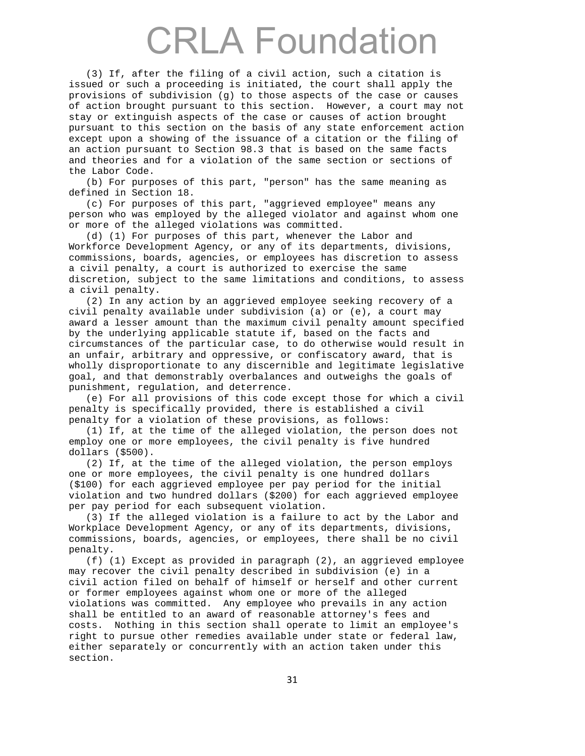(3) If, after the filing of a civil action, such a citation is issued or such a proceeding is initiated, the court shall apply the provisions of subdivision (g) to those aspects of the case or causes of action brought pursuant to this section. However, a court may not stay or extinguish aspects of the case or causes of action brought pursuant to this section on the basis of any state enforcement action except upon a showing of the issuance of a citation or the filing of an action pursuant to Section 98.3 that is based on the same facts and theories and for a violation of the same section or sections of the Labor Code.

 (b) For purposes of this part, "person" has the same meaning as defined in Section 18.

 (c) For purposes of this part, "aggrieved employee" means any person who was employed by the alleged violator and against whom one or more of the alleged violations was committed.

 (d) (1) For purposes of this part, whenever the Labor and Workforce Development Agency, or any of its departments, divisions, commissions, boards, agencies, or employees has discretion to assess a civil penalty, a court is authorized to exercise the same discretion, subject to the same limitations and conditions, to assess a civil penalty.

 (2) In any action by an aggrieved employee seeking recovery of a civil penalty available under subdivision (a) or (e), a court may award a lesser amount than the maximum civil penalty amount specified by the underlying applicable statute if, based on the facts and circumstances of the particular case, to do otherwise would result in an unfair, arbitrary and oppressive, or confiscatory award, that is wholly disproportionate to any discernible and legitimate legislative goal, and that demonstrably overbalances and outweighs the goals of punishment, regulation, and deterrence.

 (e) For all provisions of this code except those for which a civil penalty is specifically provided, there is established a civil penalty for a violation of these provisions, as follows:

 (1) If, at the time of the alleged violation, the person does not employ one or more employees, the civil penalty is five hundred dollars (\$500).

 (2) If, at the time of the alleged violation, the person employs one or more employees, the civil penalty is one hundred dollars (\$100) for each aggrieved employee per pay period for the initial violation and two hundred dollars (\$200) for each aggrieved employee per pay period for each subsequent violation.

 (3) If the alleged violation is a failure to act by the Labor and Workplace Development Agency, or any of its departments, divisions, commissions, boards, agencies, or employees, there shall be no civil penalty.

 (f) (1) Except as provided in paragraph (2), an aggrieved employee may recover the civil penalty described in subdivision (e) in a civil action filed on behalf of himself or herself and other current or former employees against whom one or more of the alleged violations was committed. Any employee who prevails in any action shall be entitled to an award of reasonable attorney's fees and costs. Nothing in this section shall operate to limit an employee's right to pursue other remedies available under state or federal law, either separately or concurrently with an action taken under this section.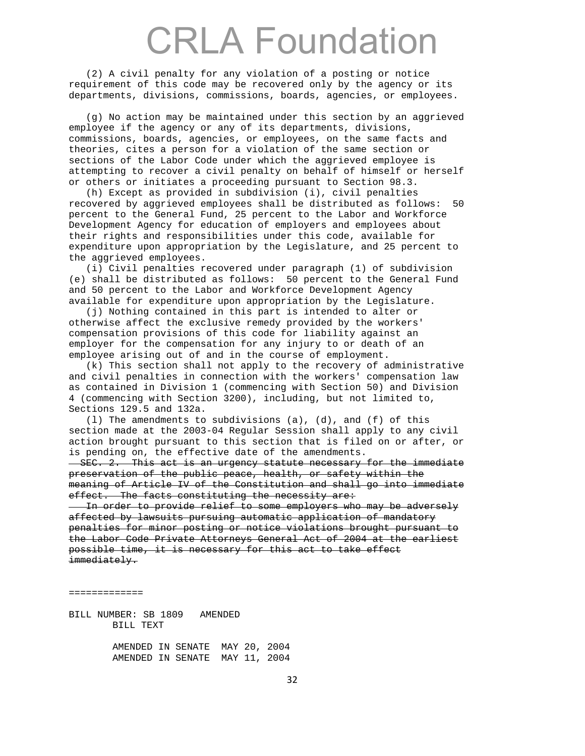(2) A civil penalty for any violation of a posting or notice requirement of this code may be recovered only by the agency or its departments, divisions, commissions, boards, agencies, or employees.

 (g) No action may be maintained under this section by an aggrieved employee if the agency or any of its departments, divisions, commissions, boards, agencies, or employees, on the same facts and theories, cites a person for a violation of the same section or sections of the Labor Code under which the aggrieved employee is attempting to recover a civil penalty on behalf of himself or herself or others or initiates a proceeding pursuant to Section 98.3.

 (h) Except as provided in subdivision (i), civil penalties recovered by aggrieved employees shall be distributed as follows: 50 percent to the General Fund, 25 percent to the Labor and Workforce Development Agency for education of employers and employees about their rights and responsibilities under this code, available for expenditure upon appropriation by the Legislature, and 25 percent to the aggrieved employees.

 (i) Civil penalties recovered under paragraph (1) of subdivision (e) shall be distributed as follows: 50 percent to the General Fund and 50 percent to the Labor and Workforce Development Agency available for expenditure upon appropriation by the Legislature.

 (j) Nothing contained in this part is intended to alter or otherwise affect the exclusive remedy provided by the workers' compensation provisions of this code for liability against an employer for the compensation for any injury to or death of an employee arising out of and in the course of employment.

 (k) This section shall not apply to the recovery of administrative and civil penalties in connection with the workers' compensation law as contained in Division 1 (commencing with Section 50) and Division 4 (commencing with Section 3200), including, but not limited to, Sections 129.5 and 132a.

 (l) The amendments to subdivisions (a), (d), and (f) of this section made at the 2003-04 Regular Session shall apply to any civil action brought pursuant to this section that is filed on or after, or is pending on, the effective date of the amendments.

- SEC. 2. This act is an urgency statute necessary for the immediate preservation of the public peace, health, or safety within the meaning of Article IV of the Constitution and shall go into immediate effect. The facts constituting the necessity are:

 In order to provide relief to some employers who may be adversely affected by lawsuits pursuing automatic application of mandatory penalties for minor posting or notice violations brought pursuant to the Labor Code Private Attorneys General Act of 2004 at the earliest possible time, it is necessary for this act to take effect immediately.

=============

BILL NUMBER: SB 1809 AMENDED BILL TEXT

> AMENDED IN SENATE MAY 20, 2004 AMENDED IN SENATE MAY 11, 2004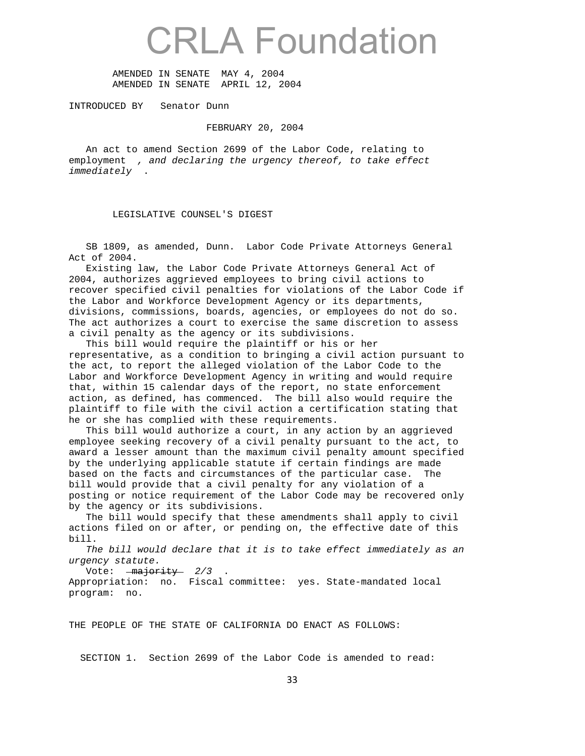AMENDED IN SENATE MAY 4, 2004 AMENDED IN SENATE APRIL 12, 2004

INTRODUCED BY Senator Dunn

FEBRUARY 20, 2004

 An act to amend Section 2699 of the Labor Code, relating to employment *, and declaring the urgency thereof, to take effect immediately* .

LEGISLATIVE COUNSEL'S DIGEST

 SB 1809, as amended, Dunn. Labor Code Private Attorneys General Act of 2004.

 Existing law, the Labor Code Private Attorneys General Act of 2004, authorizes aggrieved employees to bring civil actions to recover specified civil penalties for violations of the Labor Code if the Labor and Workforce Development Agency or its departments, divisions, commissions, boards, agencies, or employees do not do so. The act authorizes a court to exercise the same discretion to assess a civil penalty as the agency or its subdivisions.

 This bill would require the plaintiff or his or her representative, as a condition to bringing a civil action pursuant to the act, to report the alleged violation of the Labor Code to the Labor and Workforce Development Agency in writing and would require that, within 15 calendar days of the report, no state enforcement action, as defined, has commenced. The bill also would require the plaintiff to file with the civil action a certification stating that he or she has complied with these requirements.

 This bill would authorize a court, in any action by an aggrieved employee seeking recovery of a civil penalty pursuant to the act, to award a lesser amount than the maximum civil penalty amount specified by the underlying applicable statute if certain findings are made based on the facts and circumstances of the particular case. The bill would provide that a civil penalty for any violation of a posting or notice requirement of the Labor Code may be recovered only by the agency or its subdivisions.

 The bill would specify that these amendments shall apply to civil actions filed on or after, or pending on, the effective date of this bill.

 *The bill would declare that it is to take effect immediately as an urgency statute.* 

Vote:  $\frac{1}{2}$   $\frac{1}{2}$   $\frac{1}{2}$   $\frac{1}{2}$   $\frac{1}{2}$   $\frac{1}{2}$   $\frac{1}{2}$   $\frac{1}{2}$   $\frac{1}{2}$   $\frac{1}{2}$   $\frac{1}{2}$   $\frac{1}{2}$   $\frac{1}{2}$   $\frac{1}{2}$   $\frac{1}{2}$   $\frac{1}{2}$   $\frac{1}{2}$   $\frac{1}{2}$   $\frac{1}{2}$   $\frac{1}{2}$   $\frac{1}{2}$   $\frac{1}{$ 

Appropriation: no. Fiscal committee: yes. State-mandated local program: no.

THE PEOPLE OF THE STATE OF CALIFORNIA DO ENACT AS FOLLOWS:

SECTION 1. Section 2699 of the Labor Code is amended to read: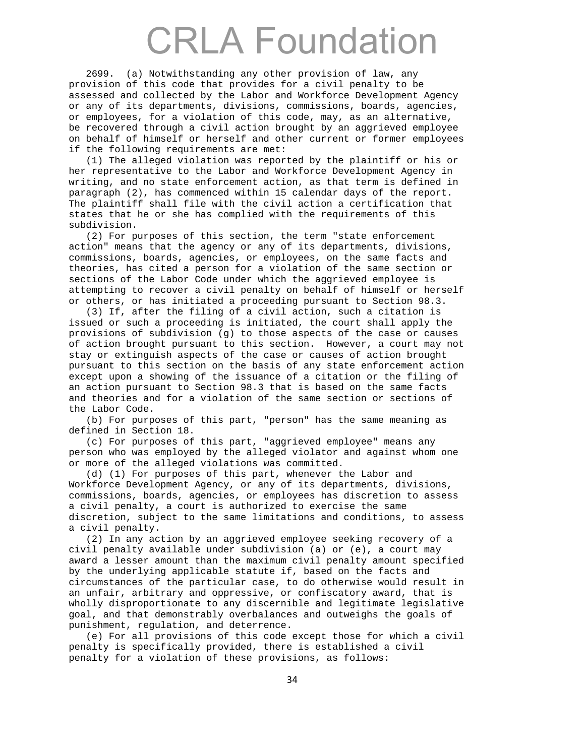2699. (a) Notwithstanding any other provision of law, any provision of this code that provides for a civil penalty to be assessed and collected by the Labor and Workforce Development Agency or any of its departments, divisions, commissions, boards, agencies, or employees, for a violation of this code, may, as an alternative, be recovered through a civil action brought by an aggrieved employee on behalf of himself or herself and other current or former employees if the following requirements are met:

 (1) The alleged violation was reported by the plaintiff or his or her representative to the Labor and Workforce Development Agency in writing, and no state enforcement action, as that term is defined in paragraph (2), has commenced within 15 calendar days of the report. The plaintiff shall file with the civil action a certification that states that he or she has complied with the requirements of this subdivision.

 (2) For purposes of this section, the term "state enforcement action" means that the agency or any of its departments, divisions, commissions, boards, agencies, or employees, on the same facts and theories, has cited a person for a violation of the same section or sections of the Labor Code under which the aggrieved employee is attempting to recover a civil penalty on behalf of himself or herself or others, or has initiated a proceeding pursuant to Section 98.3.

 (3) If, after the filing of a civil action, such a citation is issued or such a proceeding is initiated, the court shall apply the provisions of subdivision (g) to those aspects of the case or causes of action brought pursuant to this section. However, a court may not stay or extinguish aspects of the case or causes of action brought pursuant to this section on the basis of any state enforcement action except upon a showing of the issuance of a citation or the filing of an action pursuant to Section 98.3 that is based on the same facts and theories and for a violation of the same section or sections of the Labor Code.

 (b) For purposes of this part, "person" has the same meaning as defined in Section 18.

 (c) For purposes of this part, "aggrieved employee" means any person who was employed by the alleged violator and against whom one or more of the alleged violations was committed.

 (d) (1) For purposes of this part, whenever the Labor and Workforce Development Agency, or any of its departments, divisions, commissions, boards, agencies, or employees has discretion to assess a civil penalty, a court is authorized to exercise the same discretion, subject to the same limitations and conditions, to assess a civil penalty.

 (2) In any action by an aggrieved employee seeking recovery of a civil penalty available under subdivision (a) or (e), a court may award a lesser amount than the maximum civil penalty amount specified by the underlying applicable statute if, based on the facts and circumstances of the particular case, to do otherwise would result in an unfair, arbitrary and oppressive, or confiscatory award, that is wholly disproportionate to any discernible and legitimate legislative goal, and that demonstrably overbalances and outweighs the goals of punishment, regulation, and deterrence.

 (e) For all provisions of this code except those for which a civil penalty is specifically provided, there is established a civil penalty for a violation of these provisions, as follows: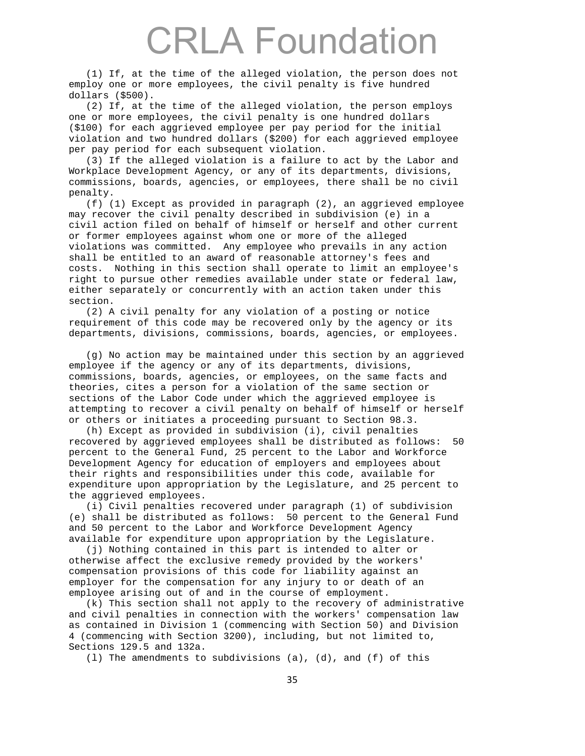(1) If, at the time of the alleged violation, the person does not employ one or more employees, the civil penalty is five hundred dollars (\$500).

 (2) If, at the time of the alleged violation, the person employs one or more employees, the civil penalty is one hundred dollars (\$100) for each aggrieved employee per pay period for the initial violation and two hundred dollars (\$200) for each aggrieved employee per pay period for each subsequent violation.

 (3) If the alleged violation is a failure to act by the Labor and Workplace Development Agency, or any of its departments, divisions, commissions, boards, agencies, or employees, there shall be no civil penalty.

 (f) (1) Except as provided in paragraph (2), an aggrieved employee may recover the civil penalty described in subdivision (e) in a civil action filed on behalf of himself or herself and other current or former employees against whom one or more of the alleged violations was committed. Any employee who prevails in any action shall be entitled to an award of reasonable attorney's fees and costs. Nothing in this section shall operate to limit an employee's right to pursue other remedies available under state or federal law, either separately or concurrently with an action taken under this section.

 (2) A civil penalty for any violation of a posting or notice requirement of this code may be recovered only by the agency or its departments, divisions, commissions, boards, agencies, or employees.

 (g) No action may be maintained under this section by an aggrieved employee if the agency or any of its departments, divisions, commissions, boards, agencies, or employees, on the same facts and theories, cites a person for a violation of the same section or sections of the Labor Code under which the aggrieved employee is attempting to recover a civil penalty on behalf of himself or herself or others or initiates a proceeding pursuant to Section 98.3.

 (h) Except as provided in subdivision (i), civil penalties recovered by aggrieved employees shall be distributed as follows: 50 percent to the General Fund, 25 percent to the Labor and Workforce Development Agency for education of employers and employees about their rights and responsibilities under this code, available for expenditure upon appropriation by the Legislature, and 25 percent to the aggrieved employees.

 (i) Civil penalties recovered under paragraph (1) of subdivision (e) shall be distributed as follows: 50 percent to the General Fund and 50 percent to the Labor and Workforce Development Agency available for expenditure upon appropriation by the Legislature.

 (j) Nothing contained in this part is intended to alter or otherwise affect the exclusive remedy provided by the workers' compensation provisions of this code for liability against an employer for the compensation for any injury to or death of an employee arising out of and in the course of employment.

 (k) This section shall not apply to the recovery of administrative and civil penalties in connection with the workers' compensation law as contained in Division 1 (commencing with Section 50) and Division 4 (commencing with Section 3200), including, but not limited to, Sections 129.5 and 132a.

(l) The amendments to subdivisions (a), (d), and (f) of this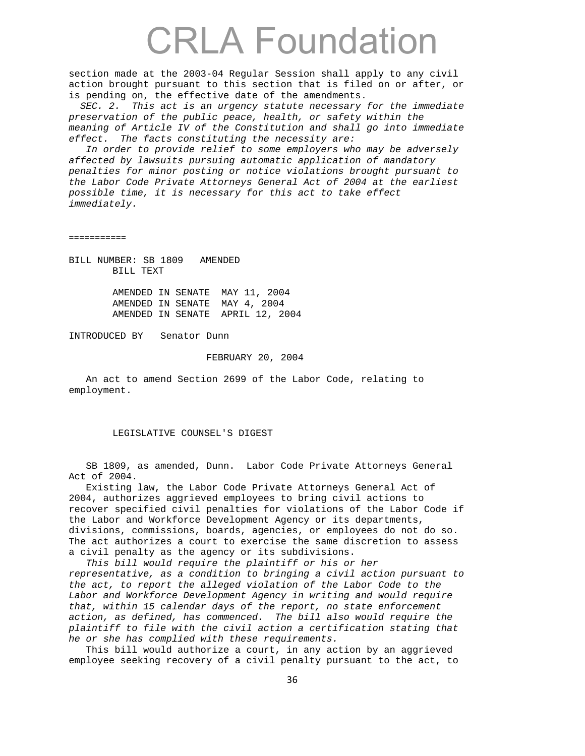section made at the 2003-04 Regular Session shall apply to any civil action brought pursuant to this section that is filed on or after, or is pending on, the effective date of the amendments.

 *SEC. 2. This act is an urgency statute necessary for the immediate preservation of the public peace, health, or safety within the meaning of Article IV of the Constitution and shall go into immediate effect. The facts constituting the necessity are:* 

 *In order to provide relief to some employers who may be adversely affected by lawsuits pursuing automatic application of mandatory penalties for minor posting or notice violations brought pursuant to the Labor Code Private Attorneys General Act of 2004 at the earliest possible time, it is necessary for this act to take effect immediately.* 

#### ===========

BILL NUMBER: SB 1809 AMENDED BILL TEXT

> AMENDED IN SENATE MAY 11, 2004 AMENDED IN SENATE MAY 4, 2004 AMENDED IN SENATE APRIL 12, 2004

INTRODUCED BY Senator Dunn

#### FEBRUARY 20, 2004

 An act to amend Section 2699 of the Labor Code, relating to employment.

#### LEGISLATIVE COUNSEL'S DIGEST

 SB 1809, as amended, Dunn. Labor Code Private Attorneys General Act of 2004.

 Existing law, the Labor Code Private Attorneys General Act of 2004, authorizes aggrieved employees to bring civil actions to recover specified civil penalties for violations of the Labor Code if the Labor and Workforce Development Agency or its departments, divisions, commissions, boards, agencies, or employees do not do so. The act authorizes a court to exercise the same discretion to assess a civil penalty as the agency or its subdivisions.

 *This bill would require the plaintiff or his or her representative, as a condition to bringing a civil action pursuant to the act, to report the alleged violation of the Labor Code to the*  Labor and Workforce Development Agency in writing and would require *that, within 15 calendar days of the report, no state enforcement action, as defined, has commenced. The bill also would require the plaintiff to file with the civil action a certification stating that he or she has complied with these requirements.* 

 This bill would authorize a court, in any action by an aggrieved employee seeking recovery of a civil penalty pursuant to the act, to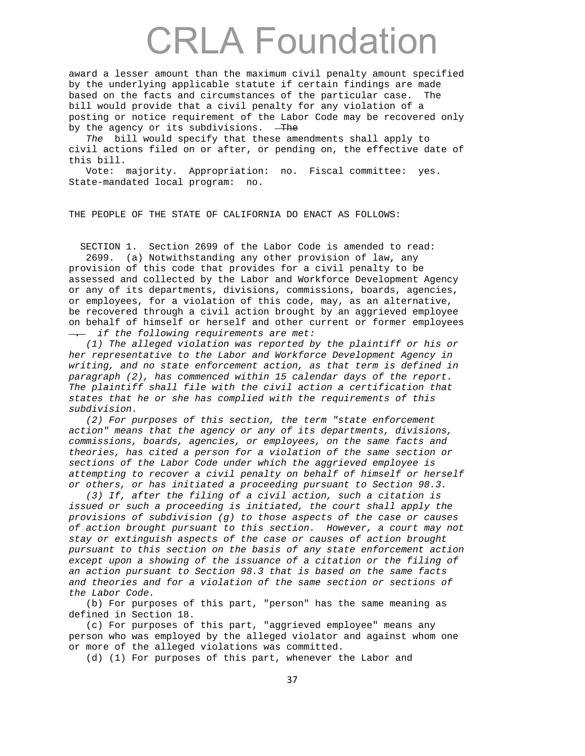award a lesser amount than the maximum civil penalty amount specified by the underlying applicable statute if certain findings are made based on the facts and circumstances of the particular case. The bill would provide that a civil penalty for any violation of a posting or notice requirement of the Labor Code may be recovered only by the agency or its subdivisions.  $-$ The

 *The* bill would specify that these amendments shall apply to civil actions filed on or after, or pending on, the effective date of this bill.

 Vote: majority. Appropriation: no. Fiscal committee: yes. State-mandated local program: no.

THE PEOPLE OF THE STATE OF CALIFORNIA DO ENACT AS FOLLOWS:

 SECTION 1. Section 2699 of the Labor Code is amended to read: 2699. (a) Notwithstanding any other provision of law, any

provision of this code that provides for a civil penalty to be assessed and collected by the Labor and Workforce Development Agency or any of its departments, divisions, commissions, boards, agencies, or employees, for a violation of this code, may, as an alternative, be recovered through a civil action brought by an aggrieved employee on behalf of himself or herself and other current or former employees . *if the following requirements are met:* 

 *(1) The alleged violation was reported by the plaintiff or his or her representative to the Labor and Workforce Development Agency in writing, and no state enforcement action, as that term is defined in paragraph (2), has commenced within 15 calendar days of the report. The plaintiff shall file with the civil action a certification that states that he or she has complied with the requirements of this subdivision.* 

 *(2) For purposes of this section, the term "state enforcement action" means that the agency or any of its departments, divisions, commissions, boards, agencies, or employees, on the same facts and theories, has cited a person for a violation of the same section or sections of the Labor Code under which the aggrieved employee is attempting to recover a civil penalty on behalf of himself or herself or others, or has initiated a proceeding pursuant to Section 98.3.* 

 *(3) If, after the filing of a civil action, such a citation is issued or such a proceeding is initiated, the court shall apply the provisions of subdivision (g) to those aspects of the case or causes of action brought pursuant to this section. However, a court may not stay or extinguish aspects of the case or causes of action brought pursuant to this section on the basis of any state enforcement action except upon a showing of the issuance of a citation or the filing of an action pursuant to Section 98.3 that is based on the same facts and theories and for a violation of the same section or sections of the Labor Code.* 

 (b) For purposes of this part, "person" has the same meaning as defined in Section 18.

 (c) For purposes of this part, "aggrieved employee" means any person who was employed by the alleged violator and against whom one or more of the alleged violations was committed.

(d) (1) For purposes of this part, whenever the Labor and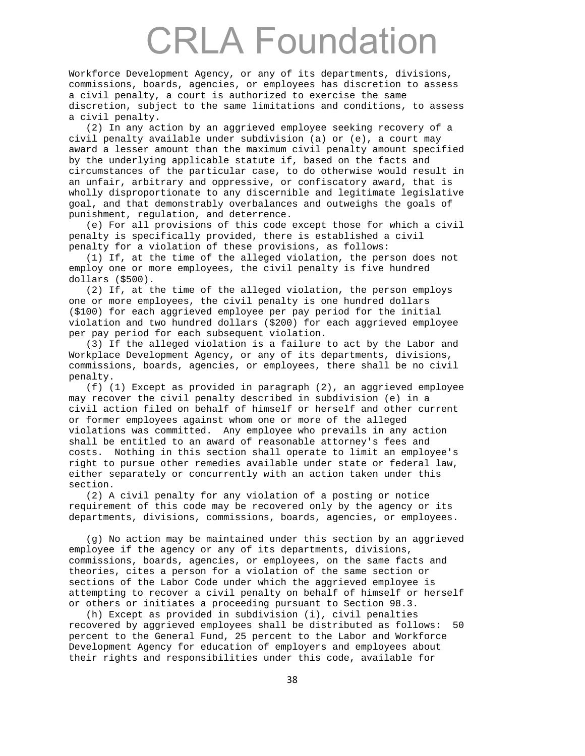Workforce Development Agency, or any of its departments, divisions, commissions, boards, agencies, or employees has discretion to assess a civil penalty, a court is authorized to exercise the same discretion, subject to the same limitations and conditions, to assess a civil penalty.

 (2) In any action by an aggrieved employee seeking recovery of a civil penalty available under subdivision (a) or (e), a court may award a lesser amount than the maximum civil penalty amount specified by the underlying applicable statute if, based on the facts and circumstances of the particular case, to do otherwise would result in an unfair, arbitrary and oppressive, or confiscatory award, that is wholly disproportionate to any discernible and legitimate legislative goal, and that demonstrably overbalances and outweighs the goals of punishment, regulation, and deterrence.

 (e) For all provisions of this code except those for which a civil penalty is specifically provided, there is established a civil penalty for a violation of these provisions, as follows:

 (1) If, at the time of the alleged violation, the person does not employ one or more employees, the civil penalty is five hundred dollars (\$500).

 (2) If, at the time of the alleged violation, the person employs one or more employees, the civil penalty is one hundred dollars (\$100) for each aggrieved employee per pay period for the initial violation and two hundred dollars (\$200) for each aggrieved employee per pay period for each subsequent violation.

 (3) If the alleged violation is a failure to act by the Labor and Workplace Development Agency, or any of its departments, divisions, commissions, boards, agencies, or employees, there shall be no civil penalty.

 (f) (1) Except as provided in paragraph (2), an aggrieved employee may recover the civil penalty described in subdivision (e) in a civil action filed on behalf of himself or herself and other current or former employees against whom one or more of the alleged violations was committed. Any employee who prevails in any action shall be entitled to an award of reasonable attorney's fees and costs. Nothing in this section shall operate to limit an employee's right to pursue other remedies available under state or federal law, either separately or concurrently with an action taken under this section.

 (2) A civil penalty for any violation of a posting or notice requirement of this code may be recovered only by the agency or its departments, divisions, commissions, boards, agencies, or employees.

 (g) No action may be maintained under this section by an aggrieved employee if the agency or any of its departments, divisions, commissions, boards, agencies, or employees, on the same facts and theories, cites a person for a violation of the same section or sections of the Labor Code under which the aggrieved employee is attempting to recover a civil penalty on behalf of himself or herself or others or initiates a proceeding pursuant to Section 98.3.

 (h) Except as provided in subdivision (i), civil penalties recovered by aggrieved employees shall be distributed as follows: 50 percent to the General Fund, 25 percent to the Labor and Workforce Development Agency for education of employers and employees about their rights and responsibilities under this code, available for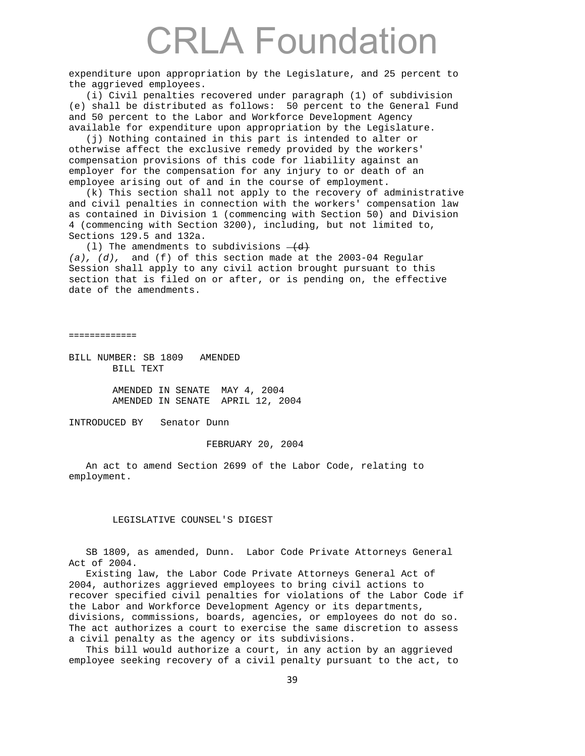expenditure upon appropriation by the Legislature, and 25 percent to the aggrieved employees.

 (i) Civil penalties recovered under paragraph (1) of subdivision (e) shall be distributed as follows: 50 percent to the General Fund and 50 percent to the Labor and Workforce Development Agency available for expenditure upon appropriation by the Legislature.

 (j) Nothing contained in this part is intended to alter or otherwise affect the exclusive remedy provided by the workers' compensation provisions of this code for liability against an employer for the compensation for any injury to or death of an employee arising out of and in the course of employment.

 (k) This section shall not apply to the recovery of administrative and civil penalties in connection with the workers' compensation law as contained in Division 1 (commencing with Section 50) and Division 4 (commencing with Section 3200), including, but not limited to, Sections 129.5 and 132a.

(1) The amendments to subdivisions  $-\left(\frac{d}{dx}\right)^2$ *(a), (d),* and (f) of this section made at the 2003-04 Regular

Session shall apply to any civil action brought pursuant to this section that is filed on or after, or is pending on, the effective date of the amendments.

=============

BILL NUMBER: SB 1809 AMENDED BILL TEXT

> AMENDED IN SENATE MAY 4, 2004 AMENDED IN SENATE APRIL 12, 2004

INTRODUCED BY Senator Dunn

FEBRUARY 20, 2004

 An act to amend Section 2699 of the Labor Code, relating to employment.

#### LEGISLATIVE COUNSEL'S DIGEST

 SB 1809, as amended, Dunn. Labor Code Private Attorneys General Act of 2004.

 Existing law, the Labor Code Private Attorneys General Act of 2004, authorizes aggrieved employees to bring civil actions to recover specified civil penalties for violations of the Labor Code if the Labor and Workforce Development Agency or its departments, divisions, commissions, boards, agencies, or employees do not do so. The act authorizes a court to exercise the same discretion to assess a civil penalty as the agency or its subdivisions.

 This bill would authorize a court, in any action by an aggrieved employee seeking recovery of a civil penalty pursuant to the act, to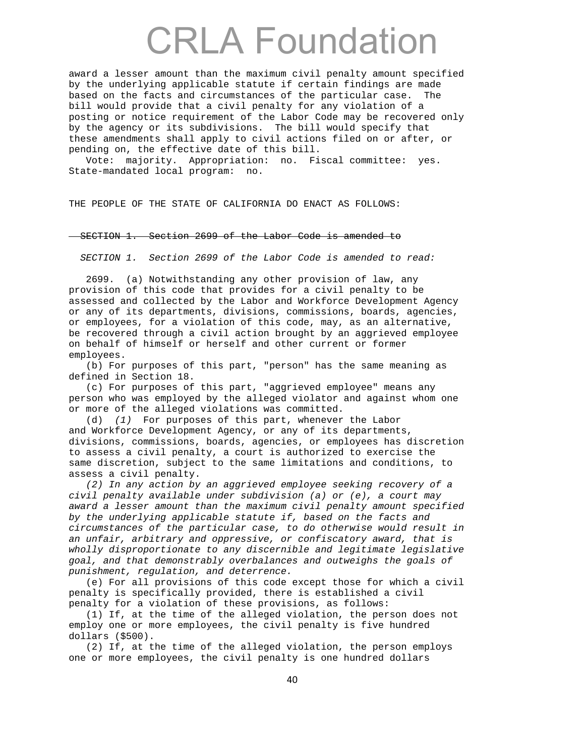award a lesser amount than the maximum civil penalty amount specified by the underlying applicable statute if certain findings are made based on the facts and circumstances of the particular case. The bill would provide that a civil penalty for any violation of a posting or notice requirement of the Labor Code may be recovered only by the agency or its subdivisions. The bill would specify that these amendments shall apply to civil actions filed on or after, or pending on, the effective date of this bill.

 Vote: majority. Appropriation: no. Fiscal committee: yes. State-mandated local program: no.

THE PEOPLE OF THE STATE OF CALIFORNIA DO ENACT AS FOLLOWS:

#### SECTION 1. Section 2699 of the Labor Code is amended to

 *SECTION 1. Section 2699 of the Labor Code is amended to read:* 

 2699. (a) Notwithstanding any other provision of law, any provision of this code that provides for a civil penalty to be assessed and collected by the Labor and Workforce Development Agency or any of its departments, divisions, commissions, boards, agencies, or employees, for a violation of this code, may, as an alternative, be recovered through a civil action brought by an aggrieved employee on behalf of himself or herself and other current or former employees.

 (b) For purposes of this part, "person" has the same meaning as defined in Section 18.

 (c) For purposes of this part, "aggrieved employee" means any person who was employed by the alleged violator and against whom one or more of the alleged violations was committed.

 (d) *(1)* For purposes of this part, whenever the Labor and Workforce Development Agency, or any of its departments, divisions, commissions, boards, agencies, or employees has discretion to assess a civil penalty, a court is authorized to exercise the same discretion, subject to the same limitations and conditions, to assess a civil penalty.

 *(2) In any action by an aggrieved employee seeking recovery of a civil penalty available under subdivision (a) or (e), a court may award a lesser amount than the maximum civil penalty amount specified by the underlying applicable statute if, based on the facts and circumstances of the particular case, to do otherwise would result in an unfair, arbitrary and oppressive, or confiscatory award, that is wholly disproportionate to any discernible and legitimate legislative goal, and that demonstrably overbalances and outweighs the goals of punishment, regulation, and deterrence.* 

 (e) For all provisions of this code except those for which a civil penalty is specifically provided, there is established a civil penalty for a violation of these provisions, as follows:

 (1) If, at the time of the alleged violation, the person does not employ one or more employees, the civil penalty is five hundred dollars (\$500).

 (2) If, at the time of the alleged violation, the person employs one or more employees, the civil penalty is one hundred dollars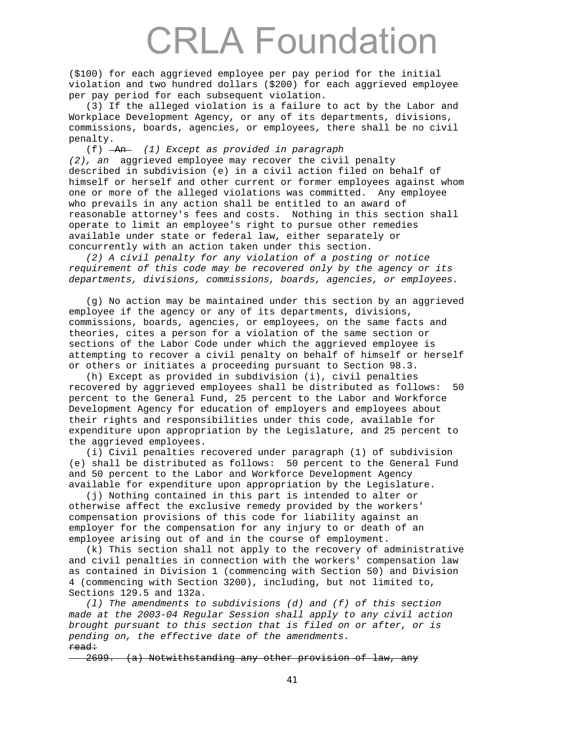(\$100) for each aggrieved employee per pay period for the initial violation and two hundred dollars (\$200) for each aggrieved employee per pay period for each subsequent violation.

 (3) If the alleged violation is a failure to act by the Labor and Workplace Development Agency, or any of its departments, divisions, commissions, boards, agencies, or employees, there shall be no civil penalty.

 (f) An *(1) Except as provided in paragraph (2), an* aggrieved employee may recover the civil penalty described in subdivision (e) in a civil action filed on behalf of himself or herself and other current or former employees against whom one or more of the alleged violations was committed. Any employee who prevails in any action shall be entitled to an award of reasonable attorney's fees and costs. Nothing in this section shall operate to limit an employee's right to pursue other remedies available under state or federal law, either separately or concurrently with an action taken under this section.

 *(2) A civil penalty for any violation of a posting or notice requirement of this code may be recovered only by the agency or its departments, divisions, commissions, boards, agencies, or employees.* 

 (g) No action may be maintained under this section by an aggrieved employee if the agency or any of its departments, divisions, commissions, boards, agencies, or employees, on the same facts and theories, cites a person for a violation of the same section or sections of the Labor Code under which the aggrieved employee is attempting to recover a civil penalty on behalf of himself or herself or others or initiates a proceeding pursuant to Section 98.3.

 (h) Except as provided in subdivision (i), civil penalties recovered by aggrieved employees shall be distributed as follows: 50 percent to the General Fund, 25 percent to the Labor and Workforce Development Agency for education of employers and employees about their rights and responsibilities under this code, available for expenditure upon appropriation by the Legislature, and 25 percent to the aggrieved employees.

 (i) Civil penalties recovered under paragraph (1) of subdivision (e) shall be distributed as follows: 50 percent to the General Fund and 50 percent to the Labor and Workforce Development Agency available for expenditure upon appropriation by the Legislature.

 (j) Nothing contained in this part is intended to alter or otherwise affect the exclusive remedy provided by the workers' compensation provisions of this code for liability against an employer for the compensation for any injury to or death of an employee arising out of and in the course of employment.

 (k) This section shall not apply to the recovery of administrative and civil penalties in connection with the workers' compensation law as contained in Division 1 (commencing with Section 50) and Division 4 (commencing with Section 3200), including, but not limited to, Sections 129.5 and 132a.

 *(l) The amendments to subdivisions (d) and (f) of this section made at the 2003-04 Regular Session shall apply to any civil action brought pursuant to this section that is filed on or after, or is pending on, the effective date of the amendments.*  read:

2699. (a) Notwithstanding any other provision of law, any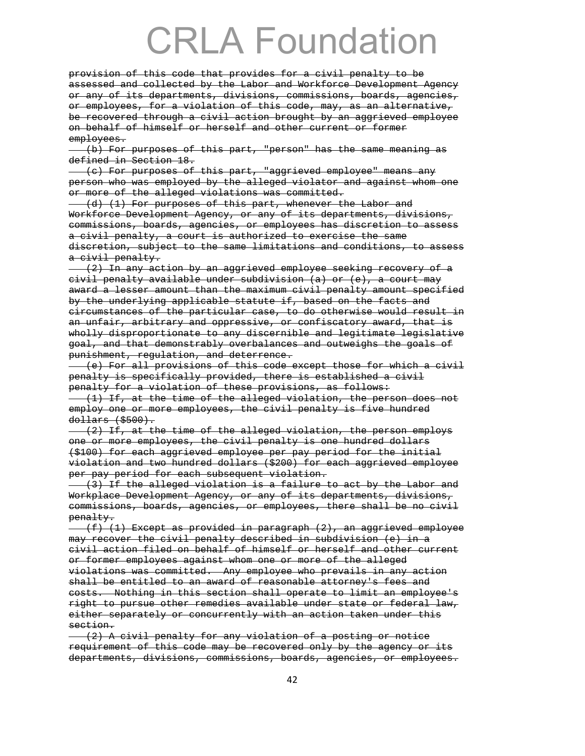provision of this code that provides for a civil penalty to be -<br>assessed and collected by the Labor and Workforce Development Agency or any of its departments, divisions, commissions, boards, agencies, or employees, for a violation of this code, may, as an alternative, be recovered through a civil action brought by an aggrieved employee on behalf of himself or herself and other current or former employees.

 (b) For purposes of this part, "person" has the same meaning as defined in Section 18.

 (c) For purposes of this part, "aggrieved employee" means any person who was employed by the alleged violator and against whom one or more of the alleged violations was committed.

 (d) (1) For purposes of this part, whenever the Labor and Workforce Development Agency, or any of its departments, divisions, commissions, boards, agencies, or employees has discretion to assess a civil penalty, a court is authorized to exercise the same discretion, subject to the same limitations and conditions, to assess a civil penalty.

 (2) In any action by an aggrieved employee seeking recovery of a civil penalty available under subdivision (a) or (e), a court may award a lesser amount than the maximum civil penalty amount specified by the underlying applicable statute if, based on the facts and circumstances of the particular case, to do otherwise would result in an unfair, arbitrary and oppressive, or confiscatory award, that is wholly disproportionate to any discernible and legitimate legislative goal, and that demonstrably overbalances and outweighs the goals of punishment, regulation, and deterrence.

 (e) For all provisions of this code except those for which a civil penalty is specifically provided, there is established a civil penalty for a violation of these provisions, as follows:

 (1) If, at the time of the alleged violation, the person does not employ one or more employees, the civil penalty is five hundred dollars (\$500).

 (2) If, at the time of the alleged violation, the person employs one or more employees, the civil penalty is one hundred dollars (\$100) for each aggrieved employee per pay period for the initial violation and two hundred dollars (\$200) for each aggrieved employee per pay period for each subsequent violation.

 (3) If the alleged violation is a failure to act by the Labor and Workplace Development Agency, or any of its departments, divisions, commissions, boards, agencies, or employees, there shall be no civil penalty.

 (f) (1) Except as provided in paragraph (2), an aggrieved employee may recover the civil penalty described in subdivision (e) in a civil action filed on behalf of himself or herself and other current or former employees against whom one or more of the alleged violations was committed. Any employee who prevails in any action shall be entitled to an award of reasonable attorney's fees and costs. Nothing in this section shall operate to limit an employee's right to pursue other remedies available under state or federal law, either separately or concurrently with an action taken under this section.

 (2) A civil penalty for any violation of a posting or notice requirement of this code may be recovered only by the agency or its departments, divisions, commissions, boards, agencies, or employees.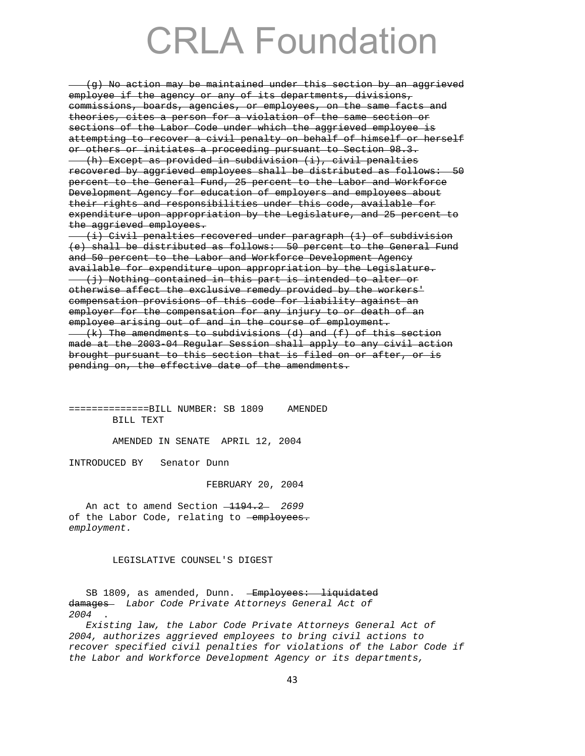(g) No action may be maintained under this section by an aggrieved employee if the agency or any of its departments, divisions, commissions, boards, agencies, or employees, on the same facts and theories, cites a person for a violation of the same section or sections of the Labor Code under which the aggrieved employee is attempting to recover a civil penalty on behalf of himself or herself or others or initiates a proceeding pursuant to Section 98.3. (h) Except as provided in subdivision (i), civil penalties recovered by aggrieved employees shall be distributed as follows: 50 percent to the General Fund, 25 percent to the Labor and Workforce Development Agency for education of employers and employees about their rights and responsibilities under this code, available for expenditure upon appropriation by the Legislature, and 25 percent to the aggrieved employees.

 (i) Civil penalties recovered under paragraph (1) of subdivision (e) shall be distributed as follows: 50 percent to the General Fund and 50 percent to the Labor and Workforce Development Agency available for expenditure upon appropriation by the Legislature. (j) Nothing contained in this part is intended to alter or otherwise affect the exclusive remedy provided by the workers' compensation provisions of this code for liability against an employer for the compensation for any injury to or death of an employee arising out of and in the course of employment. (k) The amendments to subdivisions (d) and (f) of this section made at the 2003-04 Regular Session shall apply to any civil action brought pursuant to this section that is filed on or after, or is pending on, the effective date of the amendments.

==============BILL NUMBER: SB 1809 AMENDED BILL TEXT

AMENDED IN SENATE APRIL 12, 2004

INTRODUCED BY Senator Dunn

FEBRUARY 20, 2004

An act to amend Section  $-1194.2$  2699 of the Labor Code, relating to -employees. *employment.* 

LEGISLATIVE COUNSEL'S DIGEST

SB 1809, as amended, Dunn. - Employees: liquidated damages *Labor Code Private Attorneys General Act of 2004* .

 *Existing law, the Labor Code Private Attorneys General Act of 2004, authorizes aggrieved employees to bring civil actions to recover specified civil penalties for violations of the Labor Code if the Labor and Workforce Development Agency or its departments,*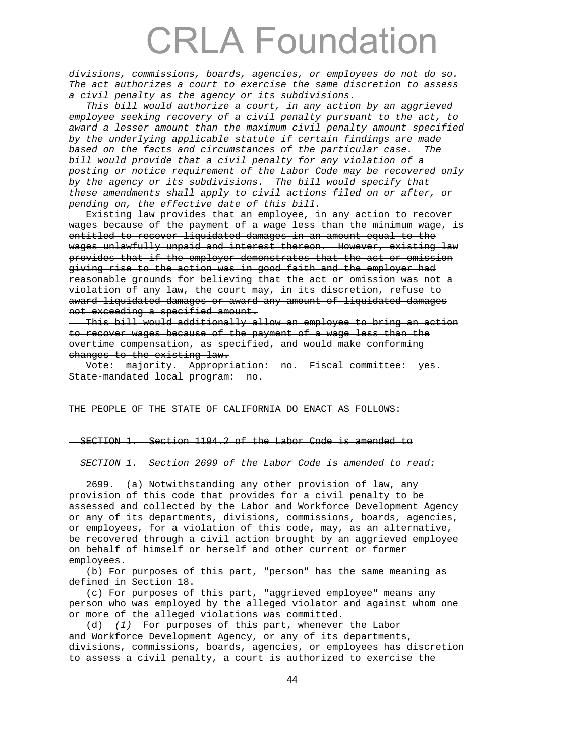*divisions, commissions, boards, agencies, or employees do not do so. The act authorizes a court to exercise the same discretion to assess a civil penalty as the agency or its subdivisions.* 

 *This bill would authorize a court, in any action by an aggrieved employee seeking recovery of a civil penalty pursuant to the act, to award a lesser amount than the maximum civil penalty amount specified by the underlying applicable statute if certain findings are made based on the facts and circumstances of the particular case. The bill would provide that a civil penalty for any violation of a posting or notice requirement of the Labor Code may be recovered only by the agency or its subdivisions. The bill would specify that these amendments shall apply to civil actions filed on or after, or pending on, the effective date of this bill.* 

 Existing law provides that an employee, in any action to recover wages because of the payment of a wage less than the minimum wage, is entitled to recover liquidated damages in an amount equal to the wages unlawfully unpaid and interest thereon. However, existing law provides that if the employer demonstrates that the act or omission giving rise to the action was in good faith and the employer had reasonable grounds for believing that the act or omission was not a violation of any law, the court may, in its discretion, refuse to award liquidated damages or award any amount of liquidated damages not exceeding a specified amount.

 This bill would additionally allow an employee to bring an action to recover wages because of the payment of a wage less than the overtime compensation, as specified, and would make conforming changes to the existing law.

 Vote: majority. Appropriation: no. Fiscal committee: yes. State-mandated local program: no.

THE PEOPLE OF THE STATE OF CALIFORNIA DO ENACT AS FOLLOWS:

#### SECTION 1. Section 1194.2 of the Labor Code is amended to

 *SECTION 1. Section 2699 of the Labor Code is amended to read:* 

 2699. (a) Notwithstanding any other provision of law, any provision of this code that provides for a civil penalty to be assessed and collected by the Labor and Workforce Development Agency or any of its departments, divisions, commissions, boards, agencies, or employees, for a violation of this code, may, as an alternative, be recovered through a civil action brought by an aggrieved employee on behalf of himself or herself and other current or former employees.

 (b) For purposes of this part, "person" has the same meaning as defined in Section 18.

 (c) For purposes of this part, "aggrieved employee" means any person who was employed by the alleged violator and against whom one or more of the alleged violations was committed.

 (d) *(1)* For purposes of this part, whenever the Labor and Workforce Development Agency, or any of its departments, divisions, commissions, boards, agencies, or employees has discretion to assess a civil penalty, a court is authorized to exercise the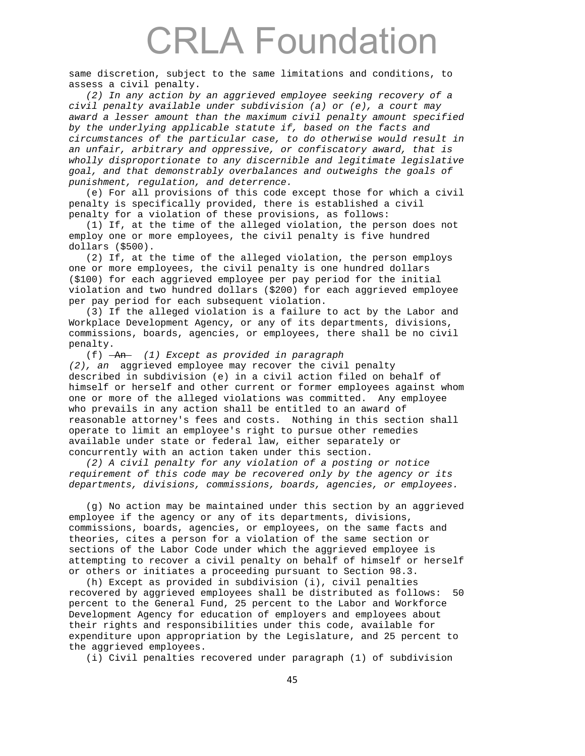same discretion, subject to the same limitations and conditions, to assess a civil penalty.

 *(2) In any action by an aggrieved employee seeking recovery of a civil penalty available under subdivision (a) or (e), a court may award a lesser amount than the maximum civil penalty amount specified by the underlying applicable statute if, based on the facts and circumstances of the particular case, to do otherwise would result in an unfair, arbitrary and oppressive, or confiscatory award, that is wholly disproportionate to any discernible and legitimate legislative goal, and that demonstrably overbalances and outweighs the goals of punishment, regulation, and deterrence.* 

 (e) For all provisions of this code except those for which a civil penalty is specifically provided, there is established a civil penalty for a violation of these provisions, as follows:

 (1) If, at the time of the alleged violation, the person does not employ one or more employees, the civil penalty is five hundred dollars (\$500).

 (2) If, at the time of the alleged violation, the person employs one or more employees, the civil penalty is one hundred dollars (\$100) for each aggrieved employee per pay period for the initial violation and two hundred dollars (\$200) for each aggrieved employee per pay period for each subsequent violation.

 (3) If the alleged violation is a failure to act by the Labor and Workplace Development Agency, or any of its departments, divisions, commissions, boards, agencies, or employees, there shall be no civil penalty.

 (f) An *(1) Except as provided in paragraph (2), an* aggrieved employee may recover the civil penalty described in subdivision (e) in a civil action filed on behalf of himself or herself and other current or former employees against whom one or more of the alleged violations was committed. Any employee who prevails in any action shall be entitled to an award of reasonable attorney's fees and costs. Nothing in this section shall operate to limit an employee's right to pursue other remedies available under state or federal law, either separately or concurrently with an action taken under this section.

 *(2) A civil penalty for any violation of a posting or notice requirement of this code may be recovered only by the agency or its departments, divisions, commissions, boards, agencies, or employees.* 

 (g) No action may be maintained under this section by an aggrieved employee if the agency or any of its departments, divisions, commissions, boards, agencies, or employees, on the same facts and theories, cites a person for a violation of the same section or sections of the Labor Code under which the aggrieved employee is attempting to recover a civil penalty on behalf of himself or herself or others or initiates a proceeding pursuant to Section 98.3.

 (h) Except as provided in subdivision (i), civil penalties recovered by aggrieved employees shall be distributed as follows: 50 percent to the General Fund, 25 percent to the Labor and Workforce Development Agency for education of employers and employees about their rights and responsibilities under this code, available for expenditure upon appropriation by the Legislature, and 25 percent to the aggrieved employees.

(i) Civil penalties recovered under paragraph (1) of subdivision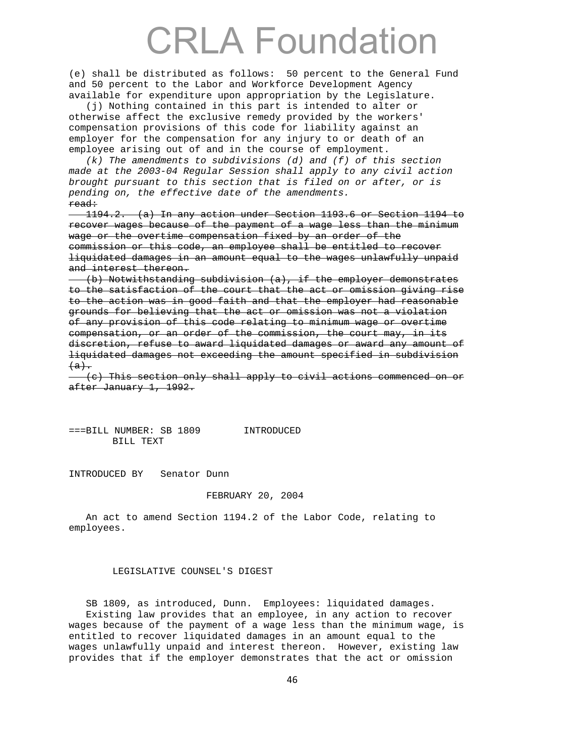(e) shall be distributed as follows: 50 percent to the General Fund and 50 percent to the Labor and Workforce Development Agency available for expenditure upon appropriation by the Legislature.

 (j) Nothing contained in this part is intended to alter or otherwise affect the exclusive remedy provided by the workers' compensation provisions of this code for liability against an employer for the compensation for any injury to or death of an employee arising out of and in the course of employment.

 *(k) The amendments to subdivisions (d) and (f) of this section made at the 2003-04 Regular Session shall apply to any civil action brought pursuant to this section that is filed on or after, or is pending on, the effective date of the amendments.*  read:

 1194.2. (a) In any action under Section 1193.6 or Section 1194 to recover wages because of the payment of a wage less than the minimum wage or the overtime compensation fixed by an order of the commission or this code, an employee shall be entitled to recover liquidated damages in an amount equal to the wages unlawfully unpaid and interest thereon.

 (b) Notwithstanding subdivision (a), if the employer demonstrates to the satisfaction of the court that the act or omission giving rise to the action was in good faith and that the employer had reasonable grounds for believing that the act or omission was not a violation of any provision of this code relating to minimum wage or overtime compensation, or an order of the commission, the court may, in its discretion, refuse to award liquidated damages or award any amount of liquidated damages not exceeding the amount specified in subdivision  $(a)$ .

 (c) This section only shall apply to civil actions commenced on or after January 1, 1992.

===BILL NUMBER: SB 1809 INTRODUCED BILL TEXT

INTRODUCED BY Senator Dunn

#### FEBRUARY 20, 2004

 An act to amend Section 1194.2 of the Labor Code, relating to employees.

#### LEGISLATIVE COUNSEL'S DIGEST

 SB 1809, as introduced, Dunn. Employees: liquidated damages. Existing law provides that an employee, in any action to recover wages because of the payment of a wage less than the minimum wage, is entitled to recover liquidated damages in an amount equal to the wages unlawfully unpaid and interest thereon. However, existing law provides that if the employer demonstrates that the act or omission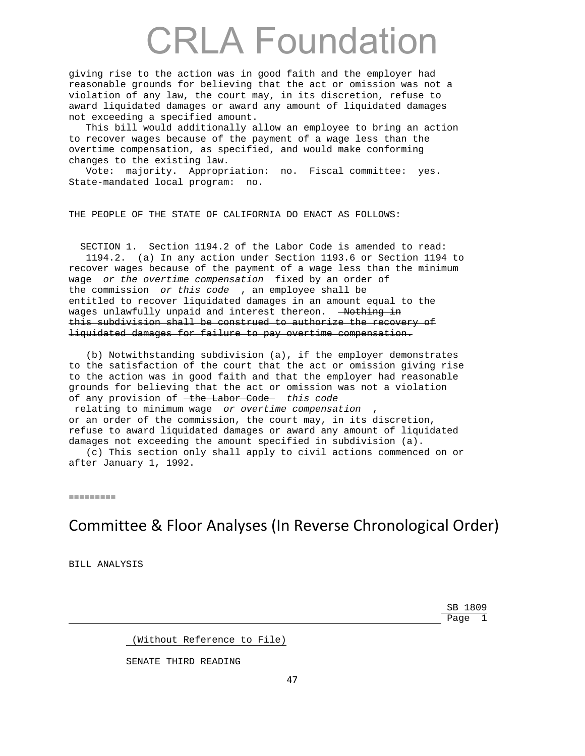giving rise to the action was in good faith and the employer had reasonable grounds for believing that the act or omission was not a violation of any law, the court may, in its discretion, refuse to award liquidated damages or award any amount of liquidated damages not exceeding a specified amount.

 This bill would additionally allow an employee to bring an action to recover wages because of the payment of a wage less than the overtime compensation, as specified, and would make conforming changes to the existing law.

 Vote: majority. Appropriation: no. Fiscal committee: yes. State-mandated local program: no.

THE PEOPLE OF THE STATE OF CALIFORNIA DO ENACT AS FOLLOWS:

 SECTION 1. Section 1194.2 of the Labor Code is amended to read: 1194.2. (a) In any action under Section 1193.6 or Section 1194 to recover wages because of the payment of a wage less than the minimum wage *or the overtime compensation* fixed by an order of the commission *or this code* , an employee shall be entitled to recover liquidated damages in an amount equal to the wages unlawfully unpaid and interest thereon. <del>Nothing in</del> this subdivision shall be construed to authorize the recovery of liquidated damages for failure to pay overtime compensation.

 (b) Notwithstanding subdivision (a), if the employer demonstrates to the satisfaction of the court that the act or omission giving rise to the action was in good faith and that the employer had reasonable grounds for believing that the act or omission was not a violation of any provision of the Labor Code *this code* 

 relating to minimum wage *or overtime compensation* , or an order of the commission, the court may, in its discretion, refuse to award liquidated damages or award any amount of liquidated damages not exceeding the amount specified in subdivision (a).

 (c) This section only shall apply to civil actions commenced on or after January 1, 1992.

=========

Committee & Floor Analyses (In Reverse Chronological Order)

BILL ANALYSIS

 SB 1809 Page 1

(Without Reference to File)

SENATE THIRD READING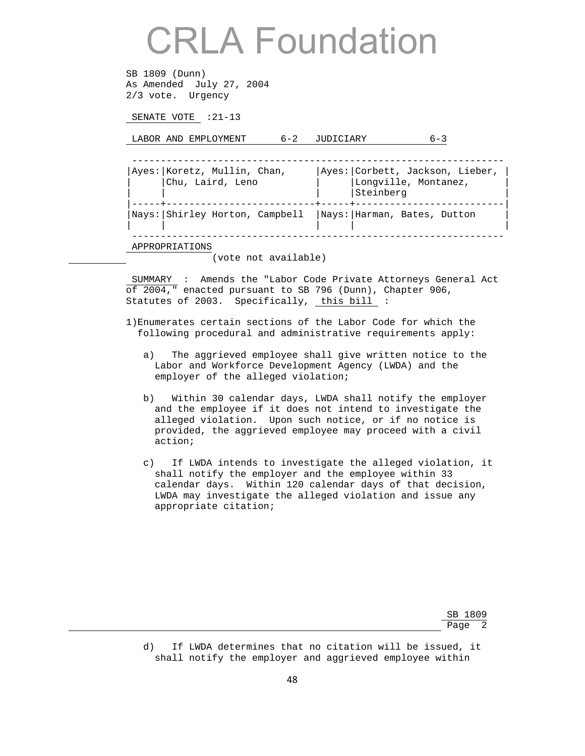SB 1809 (Dunn) As Amended July 27, 2004 2/3 vote. Urgency

SENATE VOTE : 21-13

LABOR AND EMPLOYMENT 6-2 JUDICIARY 6-3

 ----------------------------------------------------------------- |Ayes: Koretz, Mullin, Chan, | Ayes: Corbett, Jackson, Lieber,  $|$ Chu, Laird, Leno  $|$   $|$   $|$  Longville, Montanez, | | | |Steinberg | |-----+--------------------------+-----+--------------------------| |Nays:|Shirley Horton, Campbell |Nays:|Harman, Bates, Dutton | | | | | | ----------------------------------------------------------------- APPROPRIATIONS

(vote not available)

 SUMMARY : Amends the "Labor Code Private Attorneys General Act of 2004," enacted pursuant to SB 796 (Dunn), Chapter 906, Statutes of 2003. Specifically, this bill :

- 1)Enumerates certain sections of the Labor Code for which the following procedural and administrative requirements apply:
	- a) The aggrieved employee shall give written notice to the Labor and Workforce Development Agency (LWDA) and the employer of the alleged violation;
	- b) Within 30 calendar days, LWDA shall notify the employer and the employee if it does not intend to investigate the alleged violation. Upon such notice, or if no notice is provided, the aggrieved employee may proceed with a civil action;
	- c) If LWDA intends to investigate the alleged violation, it shall notify the employer and the employee within 33 calendar days. Within 120 calendar days of that decision, LWDA may investigate the alleged violation and issue any appropriate citation;

 SB 1809 Page 2

> d) If LWDA determines that no citation will be issued, it shall notify the employer and aggrieved employee within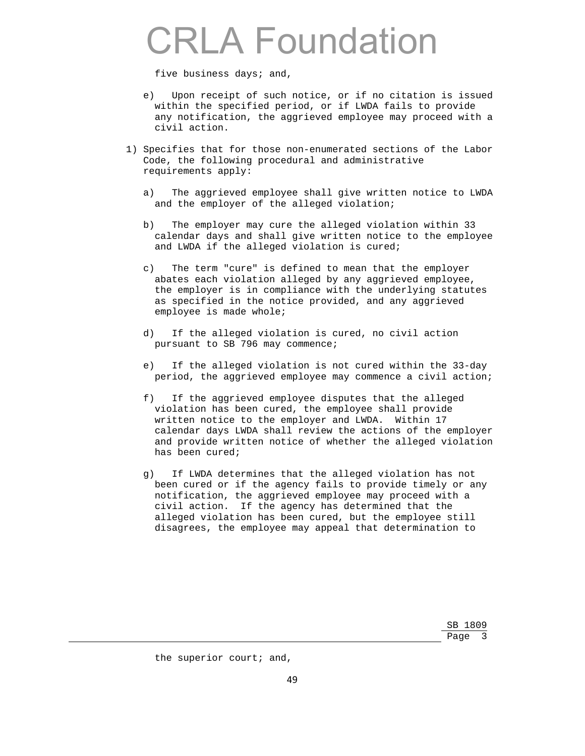five business days; and,

- e) Upon receipt of such notice, or if no citation is issued within the specified period, or if LWDA fails to provide any notification, the aggrieved employee may proceed with a civil action.
- 1) Specifies that for those non-enumerated sections of the Labor Code, the following procedural and administrative requirements apply:
	- a) The aggrieved employee shall give written notice to LWDA and the employer of the alleged violation;
	- b) The employer may cure the alleged violation within 33 calendar days and shall give written notice to the employee and LWDA if the alleged violation is cured;
	- c) The term "cure" is defined to mean that the employer abates each violation alleged by any aggrieved employee, the employer is in compliance with the underlying statutes as specified in the notice provided, and any aggrieved employee is made whole;
	- d) If the alleged violation is cured, no civil action pursuant to SB 796 may commence;
	- e) If the alleged violation is not cured within the 33-day period, the aggrieved employee may commence a civil action;
	- f) If the aggrieved employee disputes that the alleged violation has been cured, the employee shall provide written notice to the employer and LWDA. Within 17 calendar days LWDA shall review the actions of the employer and provide written notice of whether the alleged violation has been cured;
	- g) If LWDA determines that the alleged violation has not been cured or if the agency fails to provide timely or any notification, the aggrieved employee may proceed with a civil action. If the agency has determined that the alleged violation has been cured, but the employee still disagrees, the employee may appeal that determination to

 SB 1809  $\overline{\phantom{a}}$  Page 3

the superior court; and,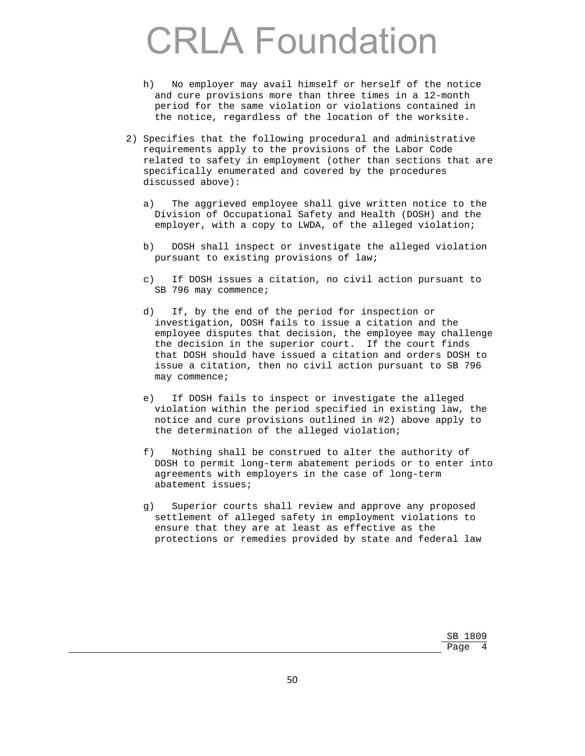- h) No employer may avail himself or herself of the notice and cure provisions more than three times in a 12-month period for the same violation or violations contained in the notice, regardless of the location of the worksite.
- 2) Specifies that the following procedural and administrative requirements apply to the provisions of the Labor Code related to safety in employment (other than sections that are specifically enumerated and covered by the procedures discussed above):
	- a) The aggrieved employee shall give written notice to the Division of Occupational Safety and Health (DOSH) and the employer, with a copy to LWDA, of the alleged violation;
	- b) DOSH shall inspect or investigate the alleged violation pursuant to existing provisions of law;
	- c) If DOSH issues a citation, no civil action pursuant to SB 796 may commence;
	- d) If, by the end of the period for inspection or investigation, DOSH fails to issue a citation and the employee disputes that decision, the employee may challenge the decision in the superior court. If the court finds that DOSH should have issued a citation and orders DOSH to issue a citation, then no civil action pursuant to SB 796 may commence;
	- e) If DOSH fails to inspect or investigate the alleged violation within the period specified in existing law, the notice and cure provisions outlined in #2) above apply to the determination of the alleged violation;
	- f) Nothing shall be construed to alter the authority of DOSH to permit long-term abatement periods or to enter into agreements with employers in the case of long-term abatement issues;
	- g) Superior courts shall review and approve any proposed settlement of alleged safety in employment violations to ensure that they are at least as effective as the protections or remedies provided by state and federal law

 $\overline{\text{SB}}$  1809 experience of the state of the state of the state of the state of the state of the state of the state of the state of the state of the state of the state of the state of the state of the state of the state of the state of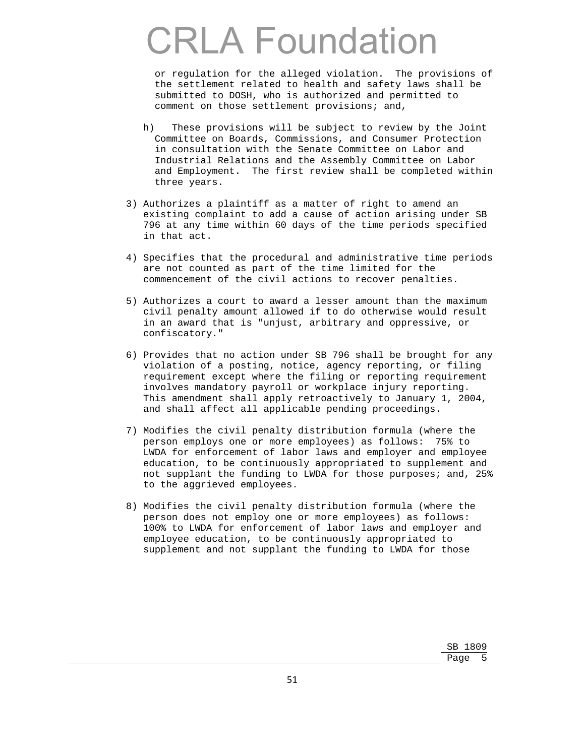or regulation for the alleged violation. The provisions of the settlement related to health and safety laws shall be submitted to DOSH, who is authorized and permitted to comment on those settlement provisions; and,

- h) These provisions will be subject to review by the Joint Committee on Boards, Commissions, and Consumer Protection in consultation with the Senate Committee on Labor and Industrial Relations and the Assembly Committee on Labor and Employment. The first review shall be completed within three years.
- 3) Authorizes a plaintiff as a matter of right to amend an existing complaint to add a cause of action arising under SB 796 at any time within 60 days of the time periods specified in that act.
- 4) Specifies that the procedural and administrative time periods are not counted as part of the time limited for the commencement of the civil actions to recover penalties.
- 5) Authorizes a court to award a lesser amount than the maximum civil penalty amount allowed if to do otherwise would result in an award that is "unjust, arbitrary and oppressive, or confiscatory."
- 6) Provides that no action under SB 796 shall be brought for any violation of a posting, notice, agency reporting, or filing requirement except where the filing or reporting requirement involves mandatory payroll or workplace injury reporting. This amendment shall apply retroactively to January 1, 2004, and shall affect all applicable pending proceedings.
- 7) Modifies the civil penalty distribution formula (where the person employs one or more employees) as follows: 75% to LWDA for enforcement of labor laws and employer and employee education, to be continuously appropriated to supplement and not supplant the funding to LWDA for those purposes; and, 25% to the aggrieved employees.
- 8) Modifies the civil penalty distribution formula (where the person does not employ one or more employees) as follows: 100% to LWDA for enforcement of labor laws and employer and employee education, to be continuously appropriated to supplement and not supplant the funding to LWDA for those

 SB 1809 <u>Page 5 and 2001 and 2001 and 2001 and 2001 and 2001 and 2001 and 2001 and 2001 and 2001 and 2001 and 2001 and 2001 and 2001 and 2001 and 2001 and 2001 and 2001 and 2001 and 2001 and 2001 and 2001 and 2001 and 2001 and 200</u>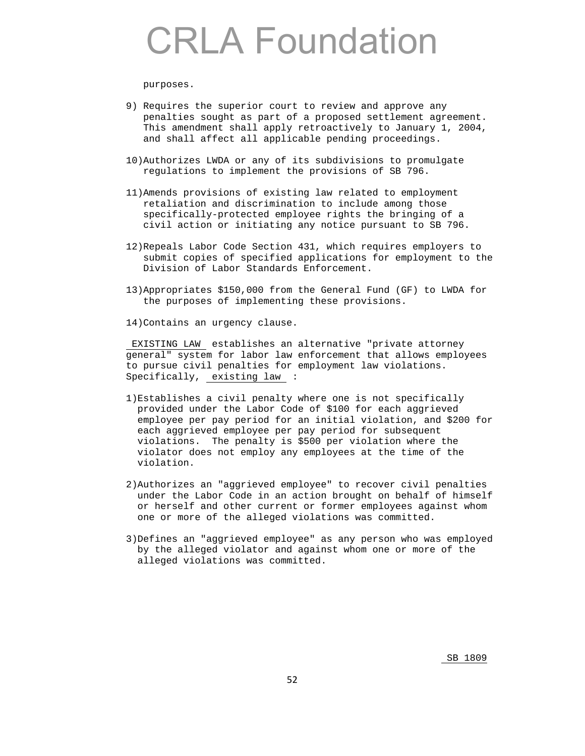#### purposes.

- 9) Requires the superior court to review and approve any penalties sought as part of a proposed settlement agreement. This amendment shall apply retroactively to January 1, 2004, and shall affect all applicable pending proceedings.
- 10)Authorizes LWDA or any of its subdivisions to promulgate regulations to implement the provisions of SB 796.
- 11)Amends provisions of existing law related to employment retaliation and discrimination to include among those specifically-protected employee rights the bringing of a civil action or initiating any notice pursuant to SB 796.
- 12)Repeals Labor Code Section 431, which requires employers to submit copies of specified applications for employment to the Division of Labor Standards Enforcement.
- 13)Appropriates \$150,000 from the General Fund (GF) to LWDA for the purposes of implementing these provisions.

14)Contains an urgency clause.

 EXISTING LAW establishes an alternative "private attorney general" system for labor law enforcement that allows employees to pursue civil penalties for employment law violations. Specifically, existing law :

- 1)Establishes a civil penalty where one is not specifically provided under the Labor Code of \$100 for each aggrieved employee per pay period for an initial violation, and \$200 for each aggrieved employee per pay period for subsequent violations. The penalty is \$500 per violation where the violator does not employ any employees at the time of the violation.
- 2)Authorizes an "aggrieved employee" to recover civil penalties under the Labor Code in an action brought on behalf of himself or herself and other current or former employees against whom one or more of the alleged violations was committed.
- 3)Defines an "aggrieved employee" as any person who was employed by the alleged violator and against whom one or more of the alleged violations was committed.

SB 1809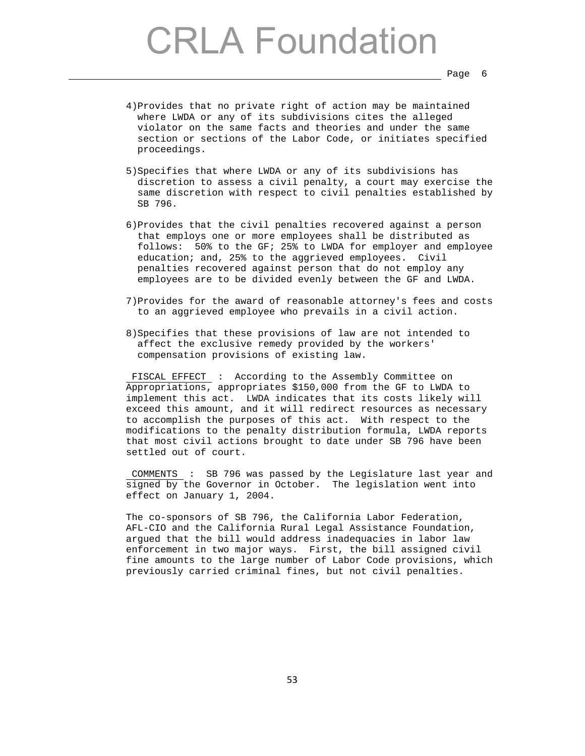- 4)Provides that no private right of action may be maintained where LWDA or any of its subdivisions cites the alleged violator on the same facts and theories and under the same section or sections of the Labor Code, or initiates specified proceedings.
- 5)Specifies that where LWDA or any of its subdivisions has discretion to assess a civil penalty, a court may exercise the same discretion with respect to civil penalties established by SB 796.
- 6)Provides that the civil penalties recovered against a person that employs one or more employees shall be distributed as follows: 50% to the GF; 25% to LWDA for employer and employee education; and, 25% to the aggrieved employees. Civil penalties recovered against person that do not employ any employees are to be divided evenly between the GF and LWDA.
- 7)Provides for the award of reasonable attorney's fees and costs to an aggrieved employee who prevails in a civil action.
- 8)Specifies that these provisions of law are not intended to affect the exclusive remedy provided by the workers' compensation provisions of existing law.

 FISCAL EFFECT : According to the Assembly Committee on Appropriations, appropriates \$150,000 from the GF to LWDA to implement this act. LWDA indicates that its costs likely will exceed this amount, and it will redirect resources as necessary to accomplish the purposes of this act. With respect to the modifications to the penalty distribution formula, LWDA reports that most civil actions brought to date under SB 796 have been settled out of court.

 COMMENTS : SB 796 was passed by the Legislature last year and signed by the Governor in October. The legislation went into effect on January 1, 2004.

 The co-sponsors of SB 796, the California Labor Federation, AFL-CIO and the California Rural Legal Assistance Foundation, argued that the bill would address inadequacies in labor law enforcement in two major ways. First, the bill assigned civil fine amounts to the large number of Labor Code provisions, which previously carried criminal fines, but not civil penalties.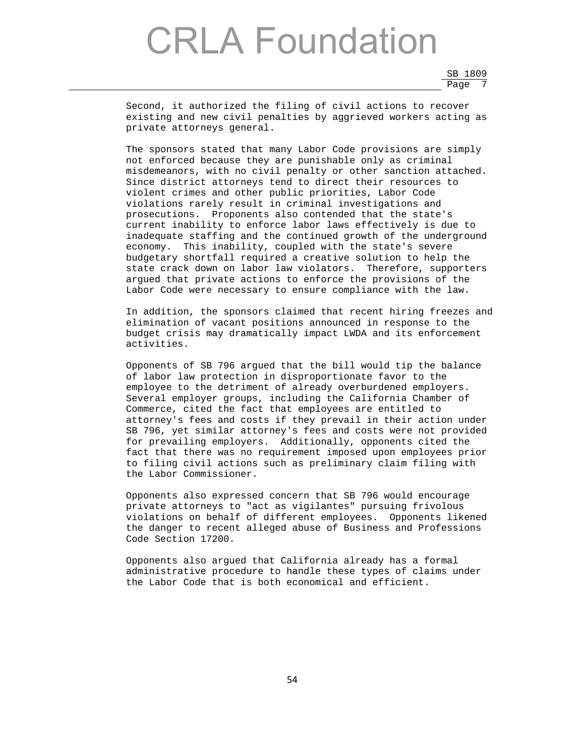SB 1809 Page 7

> Second, it authorized the filing of civil actions to recover existing and new civil penalties by aggrieved workers acting as private attorneys general.

> The sponsors stated that many Labor Code provisions are simply not enforced because they are punishable only as criminal misdemeanors, with no civil penalty or other sanction attached. Since district attorneys tend to direct their resources to violent crimes and other public priorities, Labor Code violations rarely result in criminal investigations and prosecutions. Proponents also contended that the state's current inability to enforce labor laws effectively is due to inadequate staffing and the continued growth of the underground economy. This inability, coupled with the state's severe budgetary shortfall required a creative solution to help the state crack down on labor law violators. Therefore, supporters argued that private actions to enforce the provisions of the Labor Code were necessary to ensure compliance with the law.

 In addition, the sponsors claimed that recent hiring freezes and elimination of vacant positions announced in response to the budget crisis may dramatically impact LWDA and its enforcement activities.

 Opponents of SB 796 argued that the bill would tip the balance of labor law protection in disproportionate favor to the employee to the detriment of already overburdened employers. Several employer groups, including the California Chamber of Commerce, cited the fact that employees are entitled to attorney's fees and costs if they prevail in their action under SB 796, yet similar attorney's fees and costs were not provided for prevailing employers. Additionally, opponents cited the fact that there was no requirement imposed upon employees prior to filing civil actions such as preliminary claim filing with the Labor Commissioner.

 Opponents also expressed concern that SB 796 would encourage private attorneys to "act as vigilantes" pursuing frivolous violations on behalf of different employees. Opponents likened the danger to recent alleged abuse of Business and Professions Code Section 17200.

 Opponents also argued that California already has a formal administrative procedure to handle these types of claims under the Labor Code that is both economical and efficient.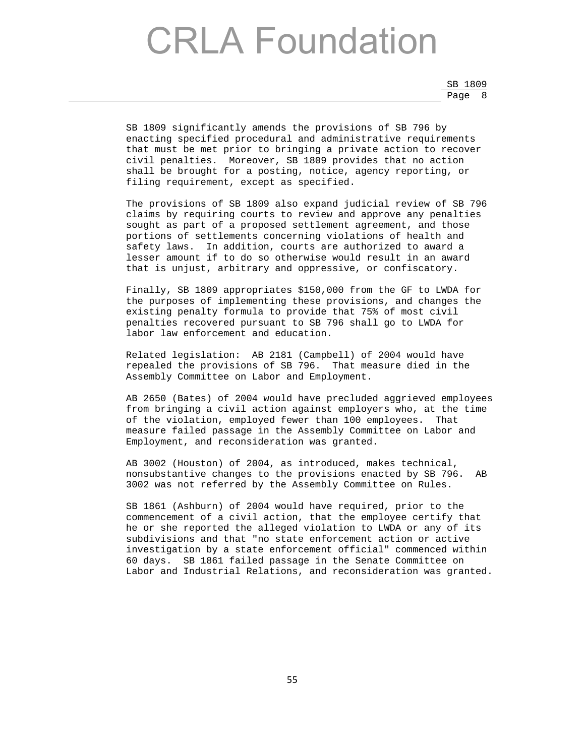SB 1809 <u>Page 8 and 2001 and 2001 and 2001 and 2001 and 2001 and 2001 and 2001 and 2001 and 2001 and 2001 and 2001 and 2001 and 2001 and 2001 and 2001 and 2001 and 2001 and 2001 and 2001 and 2001 and 2001 and 2001 and 2001 and 200</u>

> SB 1809 significantly amends the provisions of SB 796 by enacting specified procedural and administrative requirements that must be met prior to bringing a private action to recover civil penalties. Moreover, SB 1809 provides that no action shall be brought for a posting, notice, agency reporting, or filing requirement, except as specified.

 The provisions of SB 1809 also expand judicial review of SB 796 claims by requiring courts to review and approve any penalties sought as part of a proposed settlement agreement, and those portions of settlements concerning violations of health and safety laws. In addition, courts are authorized to award a lesser amount if to do so otherwise would result in an award that is unjust, arbitrary and oppressive, or confiscatory.

 Finally, SB 1809 appropriates \$150,000 from the GF to LWDA for the purposes of implementing these provisions, and changes the existing penalty formula to provide that 75% of most civil penalties recovered pursuant to SB 796 shall go to LWDA for labor law enforcement and education.

 Related legislation: AB 2181 (Campbell) of 2004 would have repealed the provisions of SB 796. That measure died in the Assembly Committee on Labor and Employment.

 AB 2650 (Bates) of 2004 would have precluded aggrieved employees from bringing a civil action against employers who, at the time of the violation, employed fewer than 100 employees. That measure failed passage in the Assembly Committee on Labor and Employment, and reconsideration was granted.

 AB 3002 (Houston) of 2004, as introduced, makes technical, nonsubstantive changes to the provisions enacted by SB 796. AB 3002 was not referred by the Assembly Committee on Rules.

 SB 1861 (Ashburn) of 2004 would have required, prior to the commencement of a civil action, that the employee certify that he or she reported the alleged violation to LWDA or any of its subdivisions and that "no state enforcement action or active investigation by a state enforcement official" commenced within 60 days. SB 1861 failed passage in the Senate Committee on Labor and Industrial Relations, and reconsideration was granted.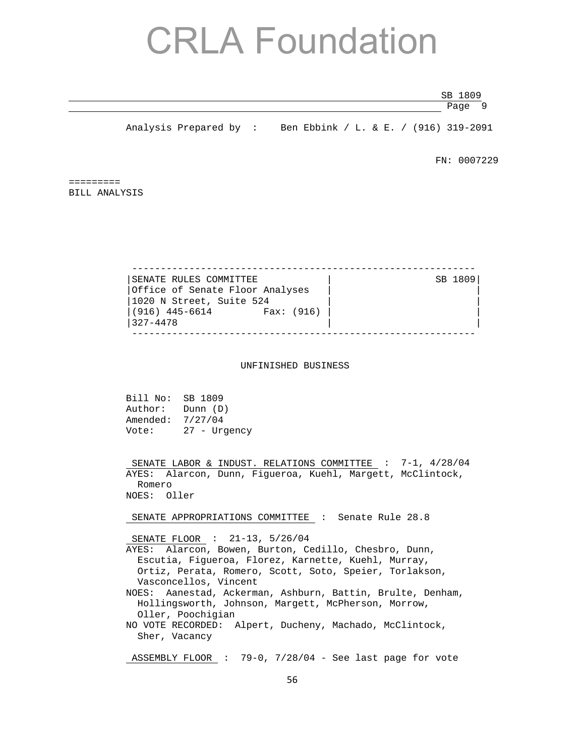SB 1809

<u>Page 9 and 2011 and 2012 and 2013 and 2014 and 2014 and 2014 and 2014 and 2014 and 2014 and 2014 and 2014 and 20</u>

Analysis Prepared by : Ben Ebbink / L. & E. / (916) 319-2091

FN: 0007229

========= BILL ANALYSIS

 ------------------------------------------------------------ |SENATE RULES COMMITTEE | SB 1809| | Office of Senate Floor Analyses |1020 N Street, Suite 524 |(916) 445-6614 Fax: (916) | |  $|327-4478$  | ------------------------------------------------------------

#### UNFINISHED BUSINESS

 Bill No: SB 1809 Author: Dunn (D) Amended: 7/27/04 Vote: 27 - Urgency

 SENATE LABOR & INDUST. RELATIONS COMMITTEE : 7-1, 4/28/04 AYES: Alarcon, Dunn, Figueroa, Kuehl, Margett, McClintock, Romero NOES: Oller

SENATE APPROPRIATIONS COMMITTEE : Senate Rule 28.8

 SENATE FLOOR : 21-13, 5/26/04 AYES: Alarcon, Bowen, Burton, Cedillo, Chesbro, Dunn, Escutia, Figueroa, Florez, Karnette, Kuehl, Murray, Ortiz, Perata, Romero, Scott, Soto, Speier, Torlakson, Vasconcellos, Vincent NOES: Aanestad, Ackerman, Ashburn, Battin, Brulte, Denham, Hollingsworth, Johnson, Margett, McPherson, Morrow, Oller, Poochigian NO VOTE RECORDED: Alpert, Ducheny, Machado, McClintock, Sher, Vacancy ASSEMBLY FLOOR : 79-0, 7/28/04 - See last page for vote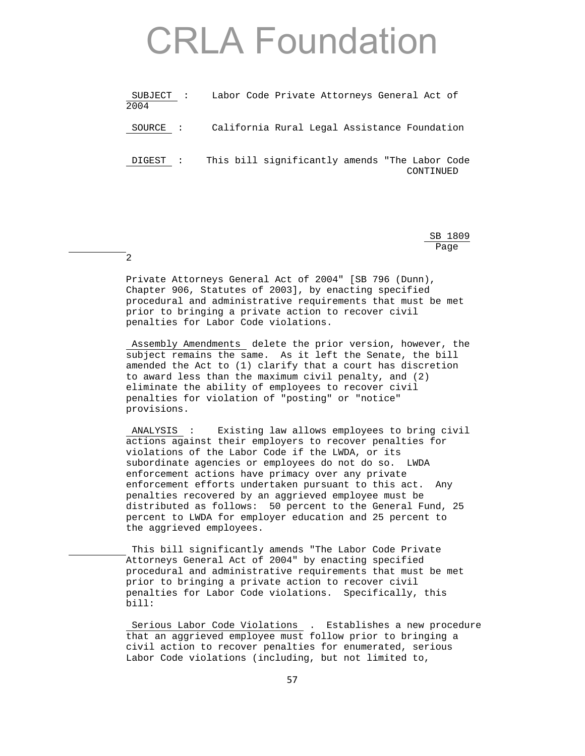| SUBJECT :<br>2004 | Labor Code Private Attorneys General Act of                 |
|-------------------|-------------------------------------------------------------|
| SOURCE :          | California Rural Legal Assistance Foundation                |
| DIGEST :          | This bill significantly amends "The Labor Code<br>CONTINUED |

SB 1809 <u>Page and the set of the set of the set of the set of the set of the set of the set of the set of the set of the set of the set of the set of the set of the set of the set of the set of the set of the set of the set of the</u>

> Private Attorneys General Act of 2004" [SB 796 (Dunn), Chapter 906, Statutes of 2003], by enacting specified procedural and administrative requirements that must be met prior to bringing a private action to recover civil penalties for Labor Code violations.

2

 Assembly Amendments delete the prior version, however, the subject remains the same. As it left the Senate, the bill amended the Act to (1) clarify that a court has discretion to award less than the maximum civil penalty, and (2) eliminate the ability of employees to recover civil penalties for violation of "posting" or "notice" provisions.

 ANALYSIS : Existing law allows employees to bring civil actions against their employers to recover penalties for violations of the Labor Code if the LWDA, or its subordinate agencies or employees do not do so. LWDA enforcement actions have primacy over any private enforcement efforts undertaken pursuant to this act. Any penalties recovered by an aggrieved employee must be distributed as follows: 50 percent to the General Fund, 25 percent to LWDA for employer education and 25 percent to the aggrieved employees.

 This bill significantly amends "The Labor Code Private Attorneys General Act of 2004" by enacting specified procedural and administrative requirements that must be met prior to bringing a private action to recover civil penalties for Labor Code violations. Specifically, this bill:

 Serious Labor Code Violations . Establishes a new procedure that an aggrieved employee must follow prior to bringing a civil action to recover penalties for enumerated, serious Labor Code violations (including, but not limited to,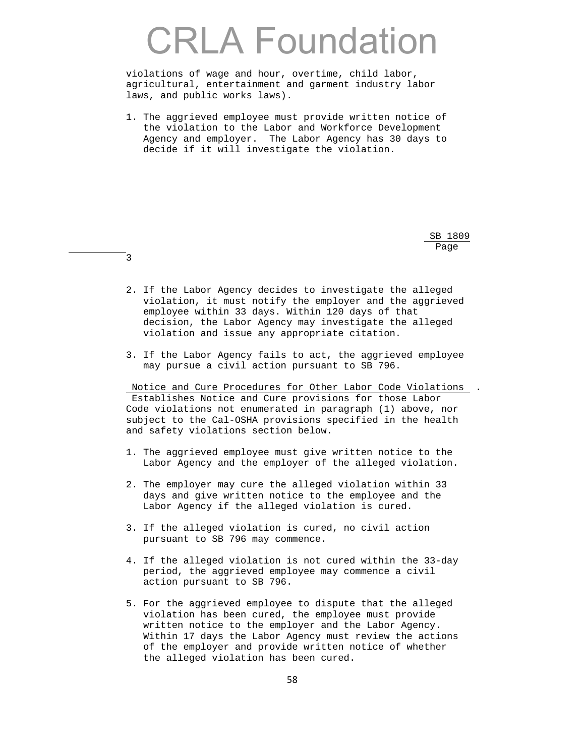violations of wage and hour, overtime, child labor, agricultural, entertainment and garment industry labor laws, and public works laws).

 1. The aggrieved employee must provide written notice of the violation to the Labor and Workforce Development Agency and employer. The Labor Agency has 30 days to decide if it will investigate the violation.

SB 1809 <u>Page and the set of the set of the set of the set of the set of the set of the set of the set of the set of the set of the set of the set of the set of the set of the set of the set of the set of the set of the set of the</u>

> 2. If the Labor Agency decides to investigate the alleged violation, it must notify the employer and the aggrieved employee within 33 days. Within 120 days of that decision, the Labor Agency may investigate the alleged violation and issue any appropriate citation.

3

 3. If the Labor Agency fails to act, the aggrieved employee may pursue a civil action pursuant to SB 796.

 Notice and Cure Procedures for Other Labor Code Violations . Establishes Notice and Cure provisions for those Labor Code violations not enumerated in paragraph (1) above, nor subject to the Cal-OSHA provisions specified in the health and safety violations section below.

- 1. The aggrieved employee must give written notice to the Labor Agency and the employer of the alleged violation.
- 2. The employer may cure the alleged violation within 33 days and give written notice to the employee and the Labor Agency if the alleged violation is cured.
- 3. If the alleged violation is cured, no civil action pursuant to SB 796 may commence.
- 4. If the alleged violation is not cured within the 33-day period, the aggrieved employee may commence a civil action pursuant to SB 796.
- 5. For the aggrieved employee to dispute that the alleged violation has been cured, the employee must provide written notice to the employer and the Labor Agency. Within 17 days the Labor Agency must review the actions of the employer and provide written notice of whether the alleged violation has been cured.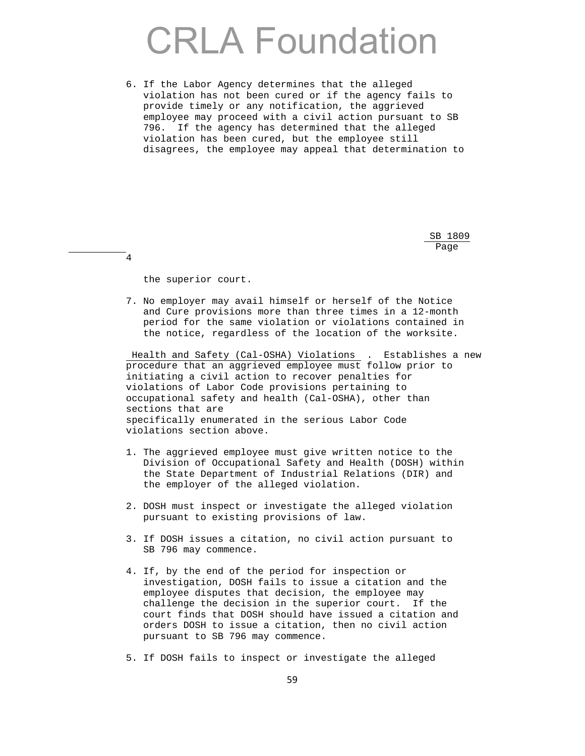6. If the Labor Agency determines that the alleged violation has not been cured or if the agency fails to provide timely or any notification, the aggrieved employee may proceed with a civil action pursuant to SB 796. If the agency has determined that the alleged violation has been cured, but the employee still disagrees, the employee may appeal that determination to

SB 1809 <u>Page and the set of the set of the set of the set of the set of the set of the set of the set of the set of the set of the set of the set of the set of the set of the set of the set of the set of the set of the set of the</u>

the superior court.

4

 7. No employer may avail himself or herself of the Notice and Cure provisions more than three times in a 12-month period for the same violation or violations contained in the notice, regardless of the location of the worksite.

 Health and Safety (Cal-OSHA) Violations . Establishes a new procedure that an aggrieved employee must follow prior to initiating a civil action to recover penalties for violations of Labor Code provisions pertaining to occupational safety and health (Cal-OSHA), other than sections that are specifically enumerated in the serious Labor Code violations section above.

- 1. The aggrieved employee must give written notice to the Division of Occupational Safety and Health (DOSH) within the State Department of Industrial Relations (DIR) and the employer of the alleged violation.
- 2. DOSH must inspect or investigate the alleged violation pursuant to existing provisions of law.
- 3. If DOSH issues a citation, no civil action pursuant to SB 796 may commence.
- 4. If, by the end of the period for inspection or investigation, DOSH fails to issue a citation and the employee disputes that decision, the employee may challenge the decision in the superior court. If the court finds that DOSH should have issued a citation and orders DOSH to issue a citation, then no civil action pursuant to SB 796 may commence.
- 5. If DOSH fails to inspect or investigate the alleged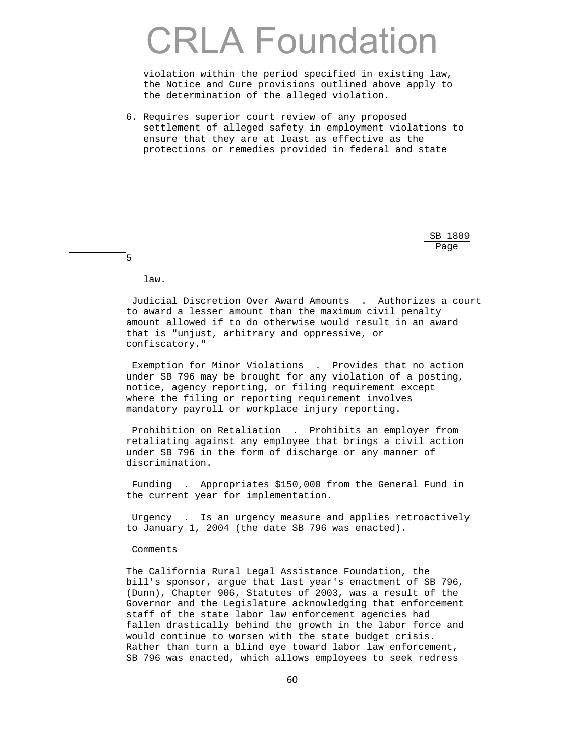violation within the period specified in existing law, the Notice and Cure provisions outlined above apply to the determination of the alleged violation.

 6. Requires superior court review of any proposed settlement of alleged safety in employment violations to ensure that they are at least as effective as the protections or remedies provided in federal and state

SB 1809 <u>Page and the set of the set of the set of the set of the set of the set of the set of the set of the set of the set of the set of the set of the set of the set of the set of the set of the set of the set of the set of the</u>

law.

5

 Judicial Discretion Over Award Amounts . Authorizes a court to award a lesser amount than the maximum civil penalty amount allowed if to do otherwise would result in an award that is "unjust, arbitrary and oppressive, or confiscatory."

 Exemption for Minor Violations . Provides that no action under SB 796 may be brought for any violation of a posting, notice, agency reporting, or filing requirement except where the filing or reporting requirement involves mandatory payroll or workplace injury reporting.

 Prohibition on Retaliation . Prohibits an employer from retaliating against any employee that brings a civil action under SB 796 in the form of discharge or any manner of discrimination.

 Funding . Appropriates \$150,000 from the General Fund in the current year for implementation.

 Urgency . Is an urgency measure and applies retroactively to January 1, 2004 (the date SB 796 was enacted).

#### Comments

 The California Rural Legal Assistance Foundation, the bill's sponsor, argue that last year's enactment of SB 796, (Dunn), Chapter 906, Statutes of 2003, was a result of the Governor and the Legislature acknowledging that enforcement staff of the state labor law enforcement agencies had fallen drastically behind the growth in the labor force and would continue to worsen with the state budget crisis. Rather than turn a blind eye toward labor law enforcement, SB 796 was enacted, which allows employees to seek redress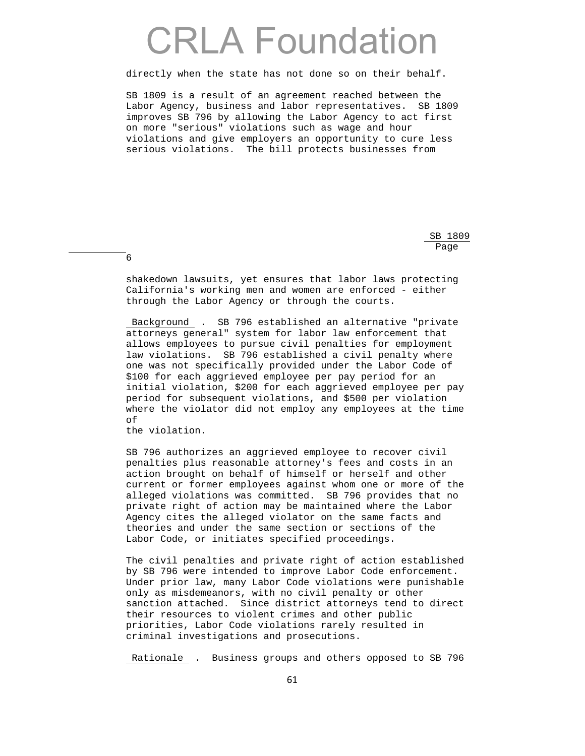directly when the state has not done so on their behalf.

 SB 1809 is a result of an agreement reached between the Labor Agency, business and labor representatives. SB 1809 improves SB 796 by allowing the Labor Agency to act first on more "serious" violations such as wage and hour violations and give employers an opportunity to cure less serious violations. The bill protects businesses from

SB 1809 <u>Page and the set of the set of the set of the set of the set of the set of the set of the set of the set of the set of the set of the set of the set of the set of the set of the set of the set of the set of the set of the</u>

> shakedown lawsuits, yet ensures that labor laws protecting California's working men and women are enforced - either through the Labor Agency or through the courts.

 Background . SB 796 established an alternative "private attorneys general" system for labor law enforcement that allows employees to pursue civil penalties for employment law violations. SB 796 established a civil penalty where one was not specifically provided under the Labor Code of \$100 for each aggrieved employee per pay period for an initial violation, \$200 for each aggrieved employee per pay period for subsequent violations, and \$500 per violation where the violator did not employ any employees at the time of

the violation.

6

 SB 796 authorizes an aggrieved employee to recover civil penalties plus reasonable attorney's fees and costs in an action brought on behalf of himself or herself and other current or former employees against whom one or more of the alleged violations was committed. SB 796 provides that no private right of action may be maintained where the Labor Agency cites the alleged violator on the same facts and theories and under the same section or sections of the Labor Code, or initiates specified proceedings.

 The civil penalties and private right of action established by SB 796 were intended to improve Labor Code enforcement. Under prior law, many Labor Code violations were punishable only as misdemeanors, with no civil penalty or other sanction attached. Since district attorneys tend to direct their resources to violent crimes and other public priorities, Labor Code violations rarely resulted in criminal investigations and prosecutions.

Rationale . Business groups and others opposed to SB 796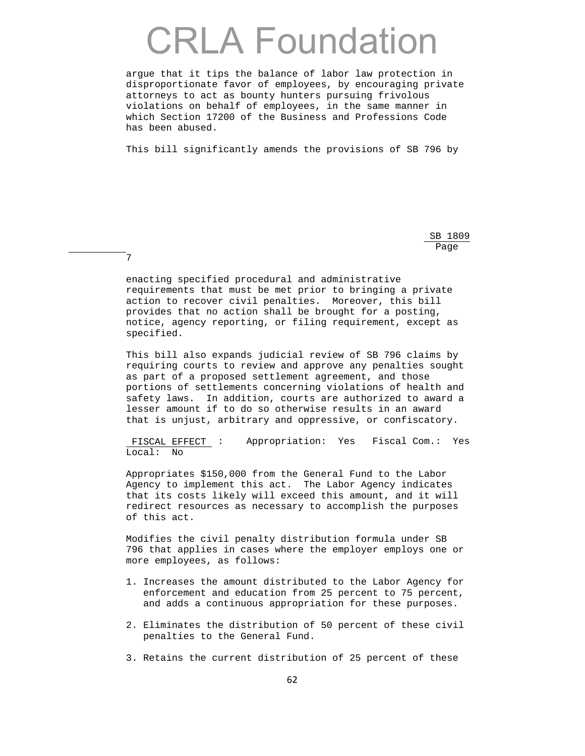argue that it tips the balance of labor law protection in disproportionate favor of employees, by encouraging private attorneys to act as bounty hunters pursuing frivolous violations on behalf of employees, in the same manner in which Section 17200 of the Business and Professions Code has been abused.

This bill significantly amends the provisions of SB 796 by

SB 1809 <u>Page and the set of the set of the set of the set of the set of the set of the set of the set of the set of the set of the set of the set of the set of the set of the set of the set of the set of the set of the set of the</u>

> enacting specified procedural and administrative requirements that must be met prior to bringing a private action to recover civil penalties. Moreover, this bill provides that no action shall be brought for a posting, notice, agency reporting, or filing requirement, except as specified.

7

 This bill also expands judicial review of SB 796 claims by requiring courts to review and approve any penalties sought as part of a proposed settlement agreement, and those portions of settlements concerning violations of health and safety laws. In addition, courts are authorized to award a lesser amount if to do so otherwise results in an award that is unjust, arbitrary and oppressive, or confiscatory.

 FISCAL EFFECT : Appropriation: Yes Fiscal Com.: Yes Local: No

 Appropriates \$150,000 from the General Fund to the Labor Agency to implement this act. The Labor Agency indicates that its costs likely will exceed this amount, and it will redirect resources as necessary to accomplish the purposes of this act.

 Modifies the civil penalty distribution formula under SB 796 that applies in cases where the employer employs one or more employees, as follows:

- 1. Increases the amount distributed to the Labor Agency for enforcement and education from 25 percent to 75 percent, and adds a continuous appropriation for these purposes.
- 2. Eliminates the distribution of 50 percent of these civil penalties to the General Fund.
- 3. Retains the current distribution of 25 percent of these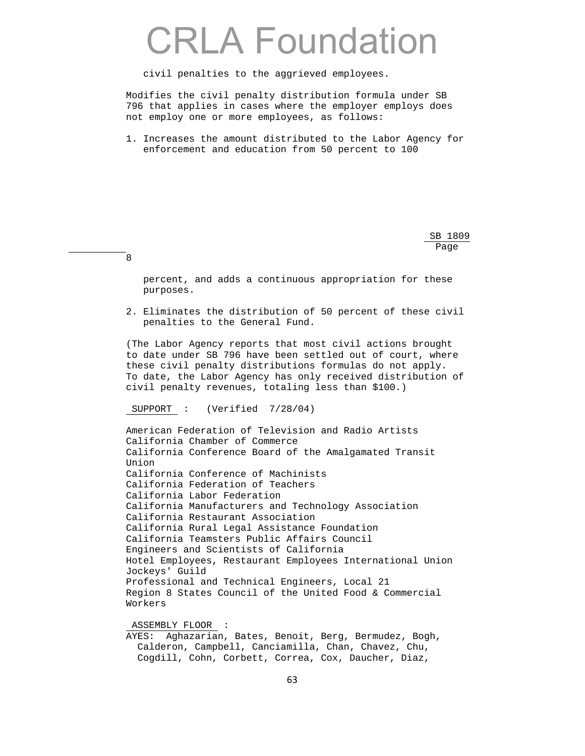civil penalties to the aggrieved employees.

 Modifies the civil penalty distribution formula under SB 796 that applies in cases where the employer employs does not employ one or more employees, as follows:

 1. Increases the amount distributed to the Labor Agency for enforcement and education from 50 percent to 100

SB 1809 <u>Page and the set of the set of the set of the set of the set of the set of the set of the set of the set of the set of the set of the set of the set of the set of the set of the set of the set of the set of the set of the</u>

> percent, and adds a continuous appropriation for these purposes.

 2. Eliminates the distribution of 50 percent of these civil penalties to the General Fund.

 (The Labor Agency reports that most civil actions brought to date under SB 796 have been settled out of court, where these civil penalty distributions formulas do not apply. To date, the Labor Agency has only received distribution of civil penalty revenues, totaling less than \$100.)

SUPPORT : (Verified 7/28/04)

8

 American Federation of Television and Radio Artists California Chamber of Commerce California Conference Board of the Amalgamated Transit Union California Conference of Machinists California Federation of Teachers California Labor Federation California Manufacturers and Technology Association California Restaurant Association California Rural Legal Assistance Foundation California Teamsters Public Affairs Council Engineers and Scientists of California Hotel Employees, Restaurant Employees International Union Jockeys' Guild Professional and Technical Engineers, Local 21 Region 8 States Council of the United Food & Commercial Workers

 ASSEMBLY FLOOR : AYES: Aghazarian, Bates, Benoit, Berg, Bermudez, Bogh, Calderon, Campbell, Canciamilla, Chan, Chavez, Chu, Cogdill, Cohn, Corbett, Correa, Cox, Daucher, Diaz,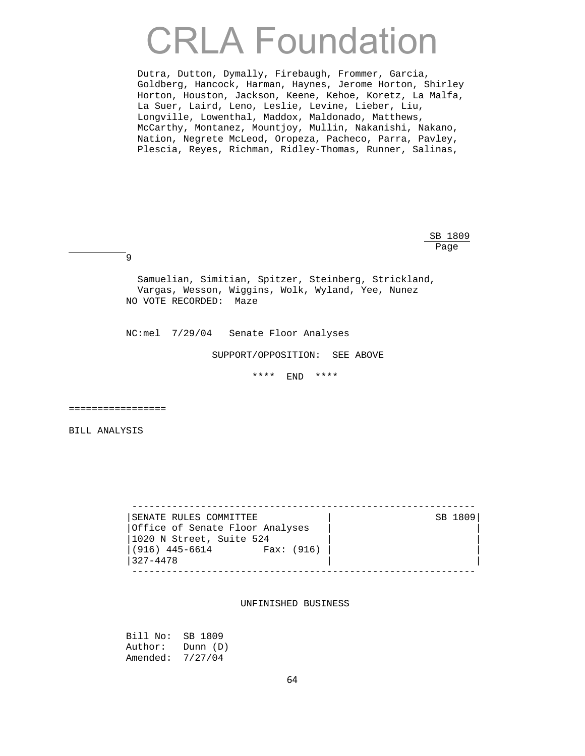Dutra, Dutton, Dymally, Firebaugh, Frommer, Garcia, Goldberg, Hancock, Harman, Haynes, Jerome Horton, Shirley Horton, Houston, Jackson, Keene, Kehoe, Koretz, La Malfa, La Suer, Laird, Leno, Leslie, Levine, Lieber, Liu, Longville, Lowenthal, Maddox, Maldonado, Matthews, McCarthy, Montanez, Mountjoy, Mullin, Nakanishi, Nakano, Nation, Negrete McLeod, Oropeza, Pacheco, Parra, Pavley, Plescia, Reyes, Richman, Ridley-Thomas, Runner, Salinas,

SB 1809 <u>Page and the set of the set of the set of the set of the set of the set of the set of the set of the set of the set of the set of the set of the set of the set of the set of the set of the set of the set of the set of the</u>

9

 Samuelian, Simitian, Spitzer, Steinberg, Strickland, Vargas, Wesson, Wiggins, Wolk, Wyland, Yee, Nunez NO VOTE RECORDED: Maze

NC:mel 7/29/04 Senate Floor Analyses

SUPPORT/OPPOSITION: SEE ABOVE

\*\*\*\* END \*\*\*\*

=================

BILL ANALYSIS

| SENATE RULES COMMITTEE          | SB 1809 |
|---------------------------------|---------|
| Office of Senate Floor Analyses |         |
| 1020 N Street, Suite 524        |         |
| (916) 445-6614<br>Fax: (916)    |         |
| 327-4478                        |         |
|                                 |         |

UNFINISHED BUSINESS

 Bill No: SB 1809 Author: Dunn (D) Amended: 7/27/04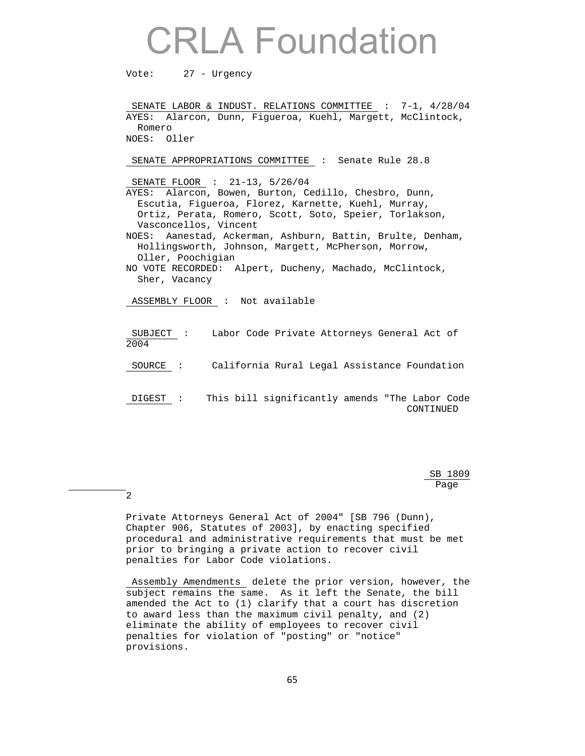Vote: 27 - Urgency

 SENATE LABOR & INDUST. RELATIONS COMMITTEE : 7-1, 4/28/04 AYES: Alarcon, Dunn, Figueroa, Kuehl, Margett, McClintock, Romero NOES: Oller

SENATE APPROPRIATIONS COMMITTEE : Senate Rule 28.8

 SENATE FLOOR : 21-13, 5/26/04 AYES: Alarcon, Bowen, Burton, Cedillo, Chesbro, Dunn, Escutia, Figueroa, Florez, Karnette, Kuehl, Murray, Ortiz, Perata, Romero, Scott, Soto, Speier, Torlakson, Vasconcellos, Vincent NOES: Aanestad, Ackerman, Ashburn, Battin, Brulte, Denham, Hollingsworth, Johnson, Margett, McPherson, Morrow, Oller, Poochigian NO VOTE RECORDED: Alpert, Ducheny, Machado, McClintock, Sher, Vacancy ASSEMBLY FLOOR : Not available SUBJECT : Labor Code Private Attorneys General Act of 2004 SOURCE : California Rural Legal Assistance Foundation DIGEST : This bill significantly amends "The Labor Code CONTINUED

SB 1809 <u>Page and the set of the set of the set of the set of the set of the set of the set of the set of the set of the set of the set of the set of the set of the set of the set of the set of the set of the set of the set of the</u>

2

 Private Attorneys General Act of 2004" [SB 796 (Dunn), Chapter 906, Statutes of 2003], by enacting specified procedural and administrative requirements that must be met prior to bringing a private action to recover civil penalties for Labor Code violations.

 Assembly Amendments delete the prior version, however, the subject remains the same. As it left the Senate, the bill amended the Act to (1) clarify that a court has discretion to award less than the maximum civil penalty, and (2) eliminate the ability of employees to recover civil penalties for violation of "posting" or "notice" provisions.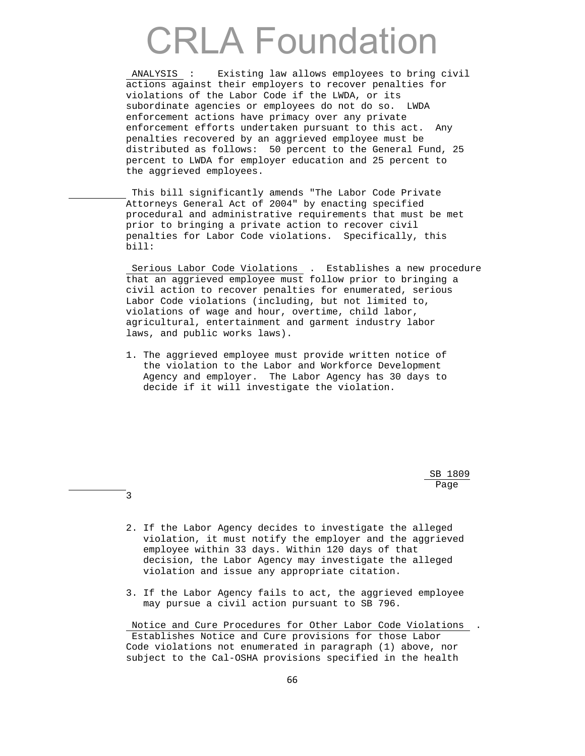ANALYSIS : Existing law allows employees to bring civil actions against their employers to recover penalties for violations of the Labor Code if the LWDA, or its subordinate agencies or employees do not do so. LWDA enforcement actions have primacy over any private enforcement efforts undertaken pursuant to this act. Any penalties recovered by an aggrieved employee must be distributed as follows: 50 percent to the General Fund, 25 percent to LWDA for employer education and 25 percent to the aggrieved employees.

 This bill significantly amends "The Labor Code Private Attorneys General Act of 2004" by enacting specified procedural and administrative requirements that must be met prior to bringing a private action to recover civil penalties for Labor Code violations. Specifically, this bill:

 Serious Labor Code Violations . Establishes a new procedure that an aggrieved employee must follow prior to bringing a civil action to recover penalties for enumerated, serious Labor Code violations (including, but not limited to, violations of wage and hour, overtime, child labor, agricultural, entertainment and garment industry labor laws, and public works laws).

 1. The aggrieved employee must provide written notice of the violation to the Labor and Workforce Development Agency and employer. The Labor Agency has 30 days to decide if it will investigate the violation.

SB 1809 <u>Page and the set of the set of the set of the set of the set of the set of the set of the set of the set of the set of the set of the set of the set of the set of the set of the set of the set of the set of the set of the</u>

> 2. If the Labor Agency decides to investigate the alleged violation, it must notify the employer and the aggrieved employee within 33 days. Within 120 days of that decision, the Labor Agency may investigate the alleged violation and issue any appropriate citation.

3

 3. If the Labor Agency fails to act, the aggrieved employee may pursue a civil action pursuant to SB 796.

 Notice and Cure Procedures for Other Labor Code Violations . Establishes Notice and Cure provisions for those Labor Code violations not enumerated in paragraph (1) above, nor subject to the Cal-OSHA provisions specified in the health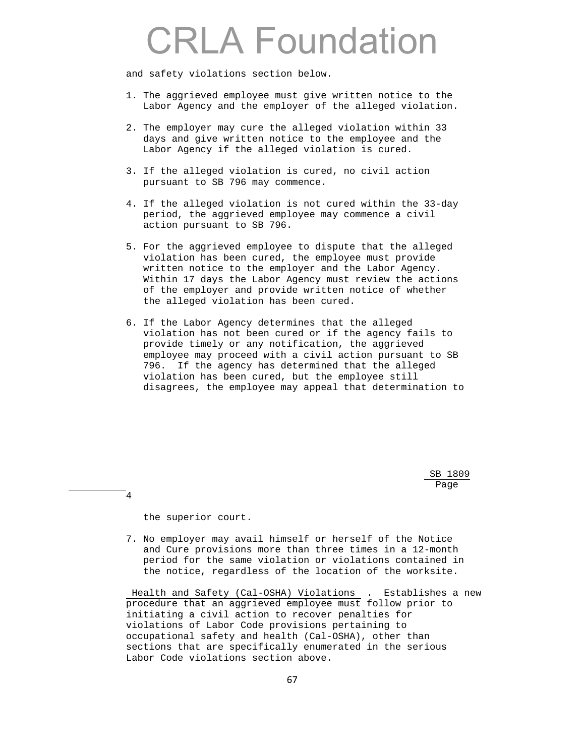and safety violations section below.

- 1. The aggrieved employee must give written notice to the Labor Agency and the employer of the alleged violation.
- 2. The employer may cure the alleged violation within 33 days and give written notice to the employee and the Labor Agency if the alleged violation is cured.
- 3. If the alleged violation is cured, no civil action pursuant to SB 796 may commence.
- 4. If the alleged violation is not cured within the 33-day period, the aggrieved employee may commence a civil action pursuant to SB 796.
- 5. For the aggrieved employee to dispute that the alleged violation has been cured, the employee must provide written notice to the employer and the Labor Agency. Within 17 days the Labor Agency must review the actions of the employer and provide written notice of whether the alleged violation has been cured.
- 6. If the Labor Agency determines that the alleged violation has not been cured or if the agency fails to provide timely or any notification, the aggrieved employee may proceed with a civil action pursuant to SB 796. If the agency has determined that the alleged violation has been cured, but the employee still disagrees, the employee may appeal that determination to

SB 1809 <u>Page and the set of the set of the set of the set of the set of the set of the set of the set of the set of the set of the set of the set of the set of the set of the set of the set of the set of the set of the set of the</u>

the superior court.

4

 7. No employer may avail himself or herself of the Notice and Cure provisions more than three times in a 12-month period for the same violation or violations contained in the notice, regardless of the location of the worksite.

 Health and Safety (Cal-OSHA) Violations . Establishes a new procedure that an aggrieved employee must follow prior to initiating a civil action to recover penalties for violations of Labor Code provisions pertaining to occupational safety and health (Cal-OSHA), other than sections that are specifically enumerated in the serious Labor Code violations section above.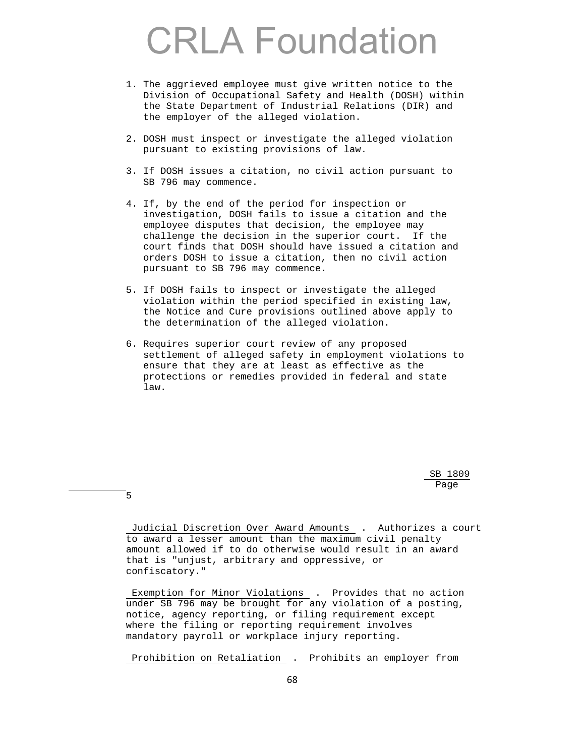- 1. The aggrieved employee must give written notice to the Division of Occupational Safety and Health (DOSH) within the State Department of Industrial Relations (DIR) and the employer of the alleged violation.
- 2. DOSH must inspect or investigate the alleged violation pursuant to existing provisions of law.
- 3. If DOSH issues a citation, no civil action pursuant to SB 796 may commence.
- 4. If, by the end of the period for inspection or investigation, DOSH fails to issue a citation and the employee disputes that decision, the employee may challenge the decision in the superior court. If the court finds that DOSH should have issued a citation and orders DOSH to issue a citation, then no civil action pursuant to SB 796 may commence.
- 5. If DOSH fails to inspect or investigate the alleged violation within the period specified in existing law, the Notice and Cure provisions outlined above apply to the determination of the alleged violation.
- 6. Requires superior court review of any proposed settlement of alleged safety in employment violations to ensure that they are at least as effective as the protections or remedies provided in federal and state law.

SB 1809 <u>Page and the set of the set of the set of the set of the set of the set of the set of the set of the set of the set of the set of the set of the set of the set of the set of the set of the set of the set of the set of the</u>

5

 Judicial Discretion Over Award Amounts . Authorizes a court to award a lesser amount than the maximum civil penalty amount allowed if to do otherwise would result in an award that is "unjust, arbitrary and oppressive, or confiscatory."

 Exemption for Minor Violations . Provides that no action under SB 796 may be brought for any violation of a posting, notice, agency reporting, or filing requirement except where the filing or reporting requirement involves mandatory payroll or workplace injury reporting.

Prohibition on Retaliation . Prohibits an employer from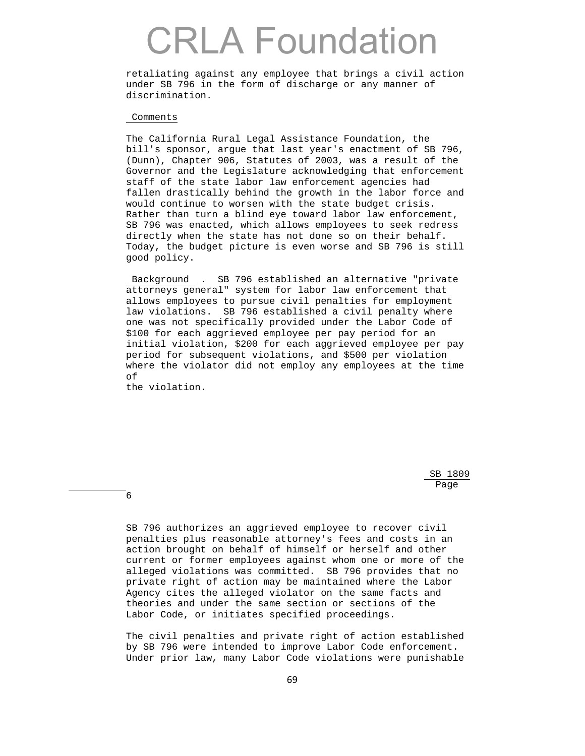retaliating against any employee that brings a civil action under SB 796 in the form of discharge or any manner of discrimination.

#### Comments

 The California Rural Legal Assistance Foundation, the bill's sponsor, argue that last year's enactment of SB 796, (Dunn), Chapter 906, Statutes of 2003, was a result of the Governor and the Legislature acknowledging that enforcement staff of the state labor law enforcement agencies had fallen drastically behind the growth in the labor force and would continue to worsen with the state budget crisis. Rather than turn a blind eye toward labor law enforcement, SB 796 was enacted, which allows employees to seek redress directly when the state has not done so on their behalf. Today, the budget picture is even worse and SB 796 is still good policy.

 Background . SB 796 established an alternative "private attorneys general" system for labor law enforcement that allows employees to pursue civil penalties for employment law violations. SB 796 established a civil penalty where one was not specifically provided under the Labor Code of \$100 for each aggrieved employee per pay period for an initial violation, \$200 for each aggrieved employee per pay period for subsequent violations, and \$500 per violation where the violator did not employ any employees at the time  $\cap f$ 

the violation.

SB 1809 <u>Page and the set of the set of the set of the set of the set of the set of the set of the set of the set of the set of the set of the set of the set of the set of the set of the set of the set of the set of the set of the</u>

6

 SB 796 authorizes an aggrieved employee to recover civil penalties plus reasonable attorney's fees and costs in an action brought on behalf of himself or herself and other current or former employees against whom one or more of the alleged violations was committed. SB 796 provides that no private right of action may be maintained where the Labor Agency cites the alleged violator on the same facts and theories and under the same section or sections of the Labor Code, or initiates specified proceedings.

 The civil penalties and private right of action established by SB 796 were intended to improve Labor Code enforcement. Under prior law, many Labor Code violations were punishable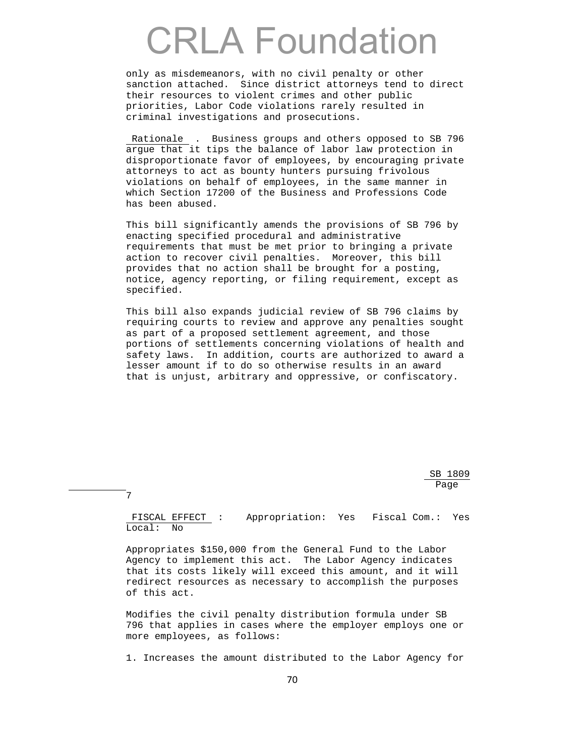only as misdemeanors, with no civil penalty or other sanction attached. Since district attorneys tend to direct their resources to violent crimes and other public priorities, Labor Code violations rarely resulted in criminal investigations and prosecutions.

 Rationale . Business groups and others opposed to SB 796 argue that it tips the balance of labor law protection in disproportionate favor of employees, by encouraging private attorneys to act as bounty hunters pursuing frivolous violations on behalf of employees, in the same manner in which Section 17200 of the Business and Professions Code has been abused.

 This bill significantly amends the provisions of SB 796 by enacting specified procedural and administrative requirements that must be met prior to bringing a private action to recover civil penalties. Moreover, this bill provides that no action shall be brought for a posting, notice, agency reporting, or filing requirement, except as specified.

 This bill also expands judicial review of SB 796 claims by requiring courts to review and approve any penalties sought as part of a proposed settlement agreement, and those portions of settlements concerning violations of health and safety laws. In addition, courts are authorized to award a lesser amount if to do so otherwise results in an award that is unjust, arbitrary and oppressive, or confiscatory.

SB 1809 <u>Page and the set of the set of the set of the set of the set of the set of the set of the set of the set of the set of the set of the set of the set of the set of the set of the set of the set of the set of the set of the</u>

> FISCAL EFFECT : Appropriation: Yes Fiscal Com.: Yes Local: No

7

 Appropriates \$150,000 from the General Fund to the Labor Agency to implement this act. The Labor Agency indicates that its costs likely will exceed this amount, and it will redirect resources as necessary to accomplish the purposes of this act.

 Modifies the civil penalty distribution formula under SB 796 that applies in cases where the employer employs one or more employees, as follows:

1. Increases the amount distributed to the Labor Agency for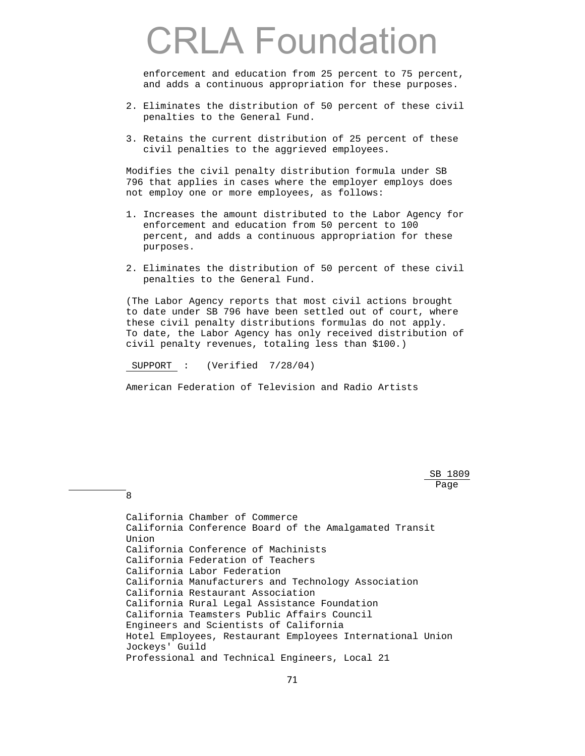enforcement and education from 25 percent to 75 percent, and adds a continuous appropriation for these purposes.

- 2. Eliminates the distribution of 50 percent of these civil penalties to the General Fund.
- 3. Retains the current distribution of 25 percent of these civil penalties to the aggrieved employees.

 Modifies the civil penalty distribution formula under SB 796 that applies in cases where the employer employs does not employ one or more employees, as follows:

- 1. Increases the amount distributed to the Labor Agency for enforcement and education from 50 percent to 100 percent, and adds a continuous appropriation for these purposes.
- 2. Eliminates the distribution of 50 percent of these civil penalties to the General Fund.

 (The Labor Agency reports that most civil actions brought to date under SB 796 have been settled out of court, where these civil penalty distributions formulas do not apply. To date, the Labor Agency has only received distribution of civil penalty revenues, totaling less than \$100.)

SUPPORT : (Verified 7/28/04)

8

American Federation of Television and Radio Artists

SB 1809 <u>Page and the set of the set of the set of the set of the set of the set of the set of the set of the set of the set of the set of the set of the set of the set of the set of the set of the set of the set of the set of the</u>

> California Chamber of Commerce California Conference Board of the Amalgamated Transit Union California Conference of Machinists California Federation of Teachers California Labor Federation California Manufacturers and Technology Association California Restaurant Association California Rural Legal Assistance Foundation California Teamsters Public Affairs Council Engineers and Scientists of California Hotel Employees, Restaurant Employees International Union Jockeys' Guild Professional and Technical Engineers, Local 21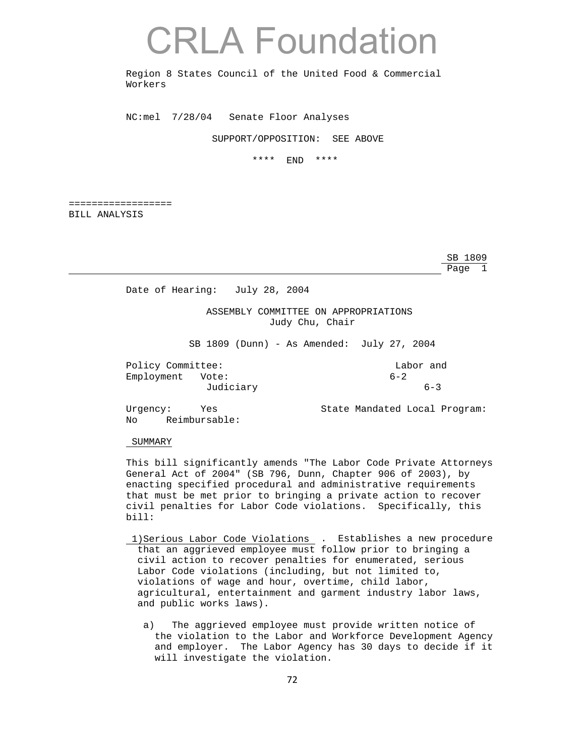Region 8 States Council of the United Food & Commercial Workers

NC:mel 7/28/04 Senate Floor Analyses

SUPPORT/OPPOSITION: SEE ABOVE

\*\*\*\* END \*\*\*\*

================== BILL ANALYSIS

 SB 1809 Page 1 Date of Hearing: July 28, 2004 ASSEMBLY COMMITTEE ON APPROPRIATIONS Judy Chu, Chair SB 1809 (Dunn) - As Amended: July 27, 2004 Policy Committee: Labor and Employment Vote: 6-2 Judiciary 6-3 Urgency: Yes State Mandated Local Program: No Reimbursable: SUMMARY

 This bill significantly amends "The Labor Code Private Attorneys General Act of 2004" (SB 796, Dunn, Chapter 906 of 2003), by enacting specified procedural and administrative requirements that must be met prior to bringing a private action to recover civil penalties for Labor Code violations. Specifically, this bill:

1) Serious Labor Code Violations . Establishes a new procedure that an aggrieved employee must follow prior to bringing a civil action to recover penalties for enumerated, serious Labor Code violations (including, but not limited to, violations of wage and hour, overtime, child labor, agricultural, entertainment and garment industry labor laws, and public works laws).

 a) The aggrieved employee must provide written notice of the violation to the Labor and Workforce Development Agency and employer. The Labor Agency has 30 days to decide if it will investigate the violation.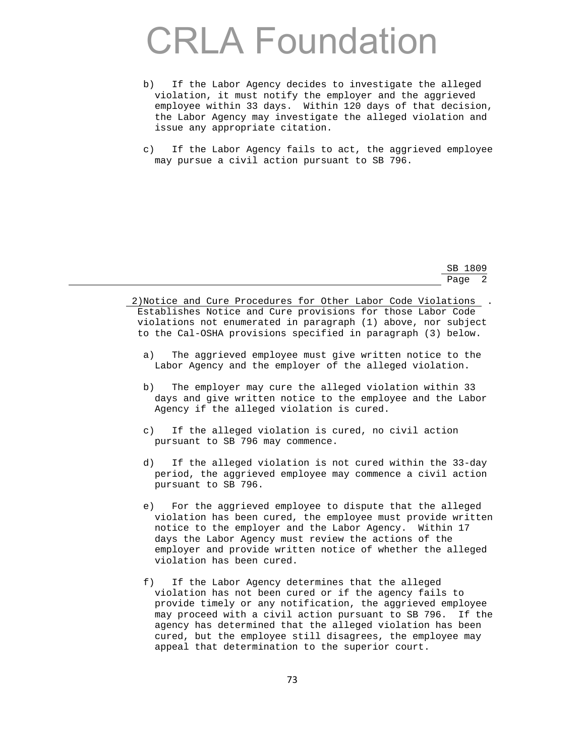- b) If the Labor Agency decides to investigate the alleged violation, it must notify the employer and the aggrieved employee within 33 days. Within 120 days of that decision, the Labor Agency may investigate the alleged violation and issue any appropriate citation.
- c) If the Labor Agency fails to act, the aggrieved employee may pursue a civil action pursuant to SB 796.

| SB 1809 |   |
|---------|---|
| Page    | ▵ |

- 2)Notice and Cure Procedures for Other Labor Code Violations . Establishes Notice and Cure provisions for those Labor Code violations not enumerated in paragraph (1) above, nor subject to the Cal-OSHA provisions specified in paragraph (3) below.
	- a) The aggrieved employee must give written notice to the Labor Agency and the employer of the alleged violation.
	- b) The employer may cure the alleged violation within 33 days and give written notice to the employee and the Labor Agency if the alleged violation is cured.
	- c) If the alleged violation is cured, no civil action pursuant to SB 796 may commence.
	- d) If the alleged violation is not cured within the 33-day period, the aggrieved employee may commence a civil action pursuant to SB 796.
	- e) For the aggrieved employee to dispute that the alleged violation has been cured, the employee must provide written notice to the employer and the Labor Agency. Within 17 days the Labor Agency must review the actions of the employer and provide written notice of whether the alleged violation has been cured.
	- f) If the Labor Agency determines that the alleged violation has not been cured or if the agency fails to provide timely or any notification, the aggrieved employee may proceed with a civil action pursuant to SB 796. If the agency has determined that the alleged violation has been cured, but the employee still disagrees, the employee may appeal that determination to the superior court.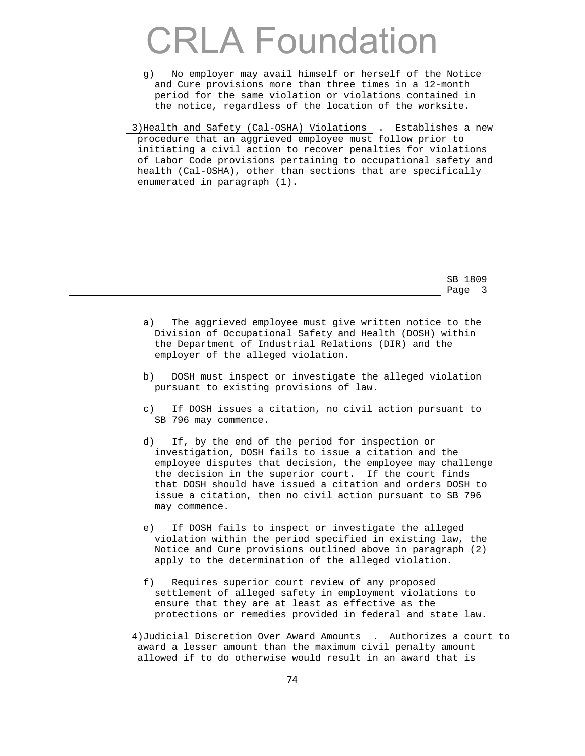- g) No employer may avail himself or herself of the Notice and Cure provisions more than three times in a 12-month period for the same violation or violations contained in the notice, regardless of the location of the worksite.
- 3)Health and Safety (Cal-OSHA) Violations . Establishes a new procedure that an aggrieved employee must follow prior to initiating a civil action to recover penalties for violations of Labor Code provisions pertaining to occupational safety and health (Cal-OSHA), other than sections that are specifically enumerated in paragraph (1).

| RΒ          | $\times$ U |     |
|-------------|------------|-----|
| ae<br>- - - |            | - - |

- a) The aggrieved employee must give written notice to the Division of Occupational Safety and Health (DOSH) within the Department of Industrial Relations (DIR) and the employer of the alleged violation.
- b) DOSH must inspect or investigate the alleged violation pursuant to existing provisions of law.
- c) If DOSH issues a citation, no civil action pursuant to SB 796 may commence.
- d) If, by the end of the period for inspection or investigation, DOSH fails to issue a citation and the employee disputes that decision, the employee may challenge the decision in the superior court. If the court finds that DOSH should have issued a citation and orders DOSH to issue a citation, then no civil action pursuant to SB 796 may commence.
- e) If DOSH fails to inspect or investigate the alleged violation within the period specified in existing law, the Notice and Cure provisions outlined above in paragraph (2) apply to the determination of the alleged violation.
- f) Requires superior court review of any proposed settlement of alleged safety in employment violations to ensure that they are at least as effective as the protections or remedies provided in federal and state law.
- 4)Judicial Discretion Over Award Amounts . Authorizes a court to award a lesser amount than the maximum civil penalty amount allowed if to do otherwise would result in an award that is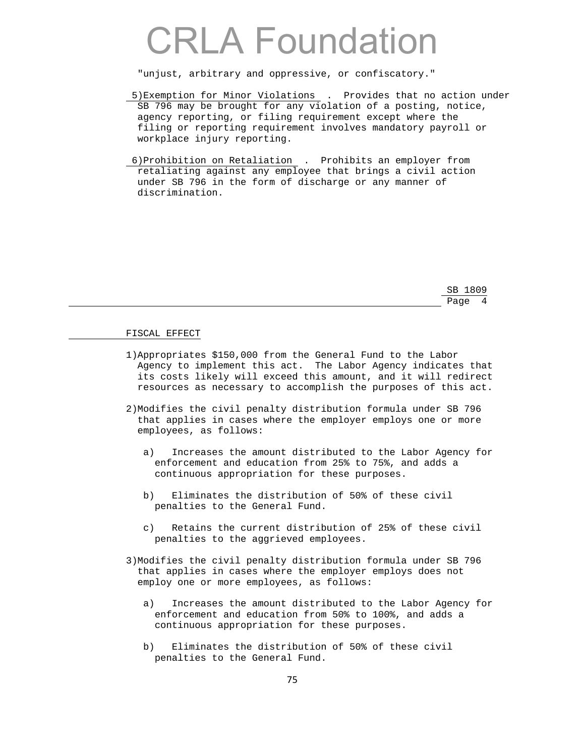"unjust, arbitrary and oppressive, or confiscatory."

- 5)Exemption for Minor Violations . Provides that no action under SB 796 may be brought for any violation of a posting, notice, agency reporting, or filing requirement except where the filing or reporting requirement involves mandatory payroll or workplace injury reporting.
- 6)Prohibition on Retaliation . Prohibits an employer from retaliating against any employee that brings a civil action under SB 796 in the form of discharge or any manner of discrimination.

 SB 1809 Page 4

#### FISCAL EFFECT

- 1)Appropriates \$150,000 from the General Fund to the Labor Agency to implement this act. The Labor Agency indicates that its costs likely will exceed this amount, and it will redirect resources as necessary to accomplish the purposes of this act.
- 2)Modifies the civil penalty distribution formula under SB 796 that applies in cases where the employer employs one or more employees, as follows:
	- a) Increases the amount distributed to the Labor Agency for enforcement and education from 25% to 75%, and adds a continuous appropriation for these purposes.
	- b) Eliminates the distribution of 50% of these civil penalties to the General Fund.
	- c) Retains the current distribution of 25% of these civil penalties to the aggrieved employees.
- 3)Modifies the civil penalty distribution formula under SB 796 that applies in cases where the employer employs does not employ one or more employees, as follows:
	- a) Increases the amount distributed to the Labor Agency for enforcement and education from 50% to 100%, and adds a continuous appropriation for these purposes.
	- b) Eliminates the distribution of 50% of these civil penalties to the General Fund.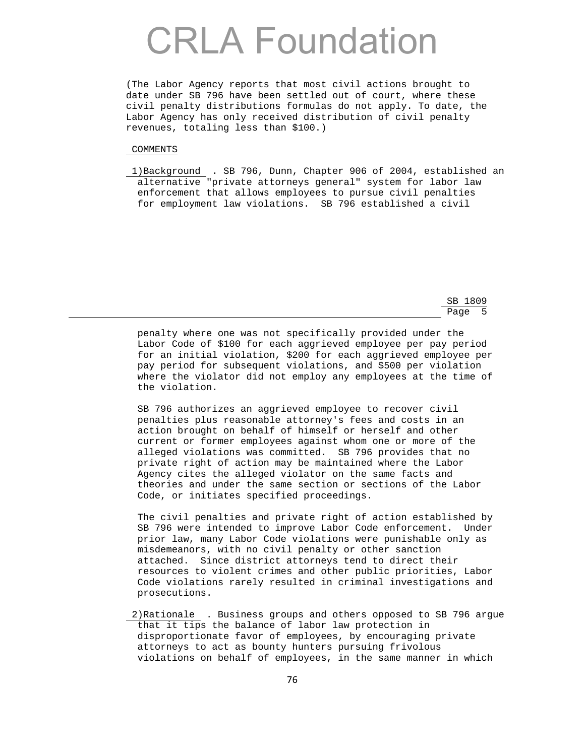(The Labor Agency reports that most civil actions brought to date under SB 796 have been settled out of court, where these civil penalty distributions formulas do not apply. To date, the Labor Agency has only received distribution of civil penalty revenues, totaling less than \$100.)

#### COMMENTS

 1)Background . SB 796, Dunn, Chapter 906 of 2004, established an alternative "private attorneys general" system for labor law enforcement that allows employees to pursue civil penalties for employment law violations. SB 796 established a civil

 SB 1809 <u>Page 5 and 2001 and 2001 and 2001 and 2001 and 2001 and 2001 and 2001 and 2001 and 2001 and 2001 and 2001 and 2001 and 2001 and 2001 and 2001 and 2001 and 2001 and 2001 and 2001 and 2001 and 2001 and 2001 and 2001 and 200</u>

> penalty where one was not specifically provided under the Labor Code of \$100 for each aggrieved employee per pay period for an initial violation, \$200 for each aggrieved employee per pay period for subsequent violations, and \$500 per violation where the violator did not employ any employees at the time of the violation.

 SB 796 authorizes an aggrieved employee to recover civil penalties plus reasonable attorney's fees and costs in an action brought on behalf of himself or herself and other current or former employees against whom one or more of the alleged violations was committed. SB 796 provides that no private right of action may be maintained where the Labor Agency cites the alleged violator on the same facts and theories and under the same section or sections of the Labor Code, or initiates specified proceedings.

 The civil penalties and private right of action established by SB 796 were intended to improve Labor Code enforcement. Under prior law, many Labor Code violations were punishable only as misdemeanors, with no civil penalty or other sanction attached. Since district attorneys tend to direct their resources to violent crimes and other public priorities, Labor Code violations rarely resulted in criminal investigations and prosecutions.

 2)Rationale . Business groups and others opposed to SB 796 argue that it tips the balance of labor law protection in disproportionate favor of employees, by encouraging private attorneys to act as bounty hunters pursuing frivolous violations on behalf of employees, in the same manner in which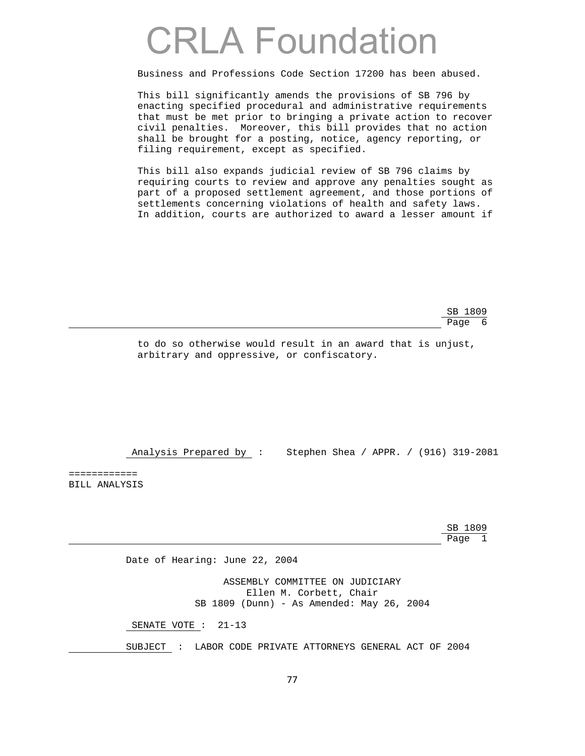Business and Professions Code Section 17200 has been abused.

 This bill significantly amends the provisions of SB 796 by enacting specified procedural and administrative requirements that must be met prior to bringing a private action to recover civil penalties. Moreover, this bill provides that no action shall be brought for a posting, notice, agency reporting, or filing requirement, except as specified.

 This bill also expands judicial review of SB 796 claims by requiring courts to review and approve any penalties sought as part of a proposed settlement agreement, and those portions of settlements concerning violations of health and safety laws. In addition, courts are authorized to award a lesser amount if

SB 1809 Page 6

> to do so otherwise would result in an award that is unjust, arbitrary and oppressive, or confiscatory.

Analysis Prepared by : Stephen Shea / APPR. / (916) 319-2081

============ BILL ANALYSIS

SB 1809 Page 1

Date of Hearing: June 22, 2004

 ASSEMBLY COMMITTEE ON JUDICIARY Ellen M. Corbett, Chair SB 1809 (Dunn) - As Amended: May 26, 2004

SENATE VOTE : 21-13

SUBJECT : LABOR CODE PRIVATE ATTORNEYS GENERAL ACT OF 2004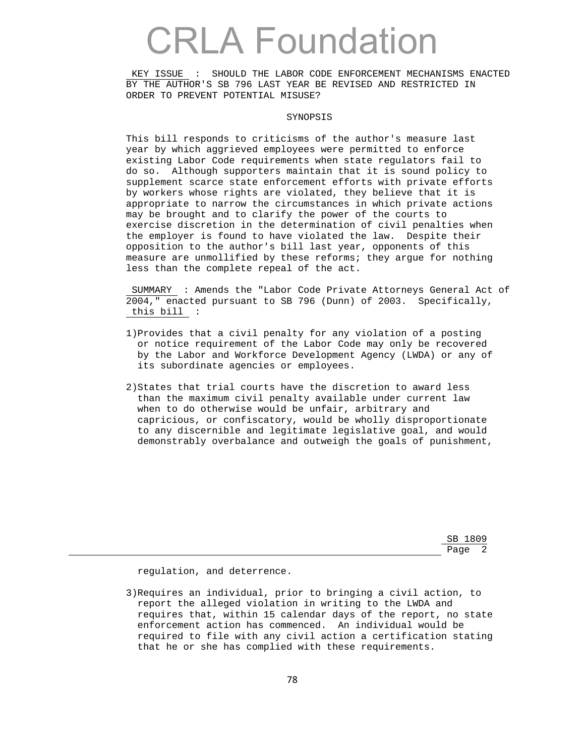KEY ISSUE : SHOULD THE LABOR CODE ENFORCEMENT MECHANISMS ENACTED BY THE AUTHOR'S SB 796 LAST YEAR BE REVISED AND RESTRICTED IN ORDER TO PREVENT POTENTIAL MISUSE?

#### SYNOPSIS

 This bill responds to criticisms of the author's measure last year by which aggrieved employees were permitted to enforce existing Labor Code requirements when state regulators fail to do so. Although supporters maintain that it is sound policy to supplement scarce state enforcement efforts with private efforts by workers whose rights are violated, they believe that it is appropriate to narrow the circumstances in which private actions may be brought and to clarify the power of the courts to exercise discretion in the determination of civil penalties when the employer is found to have violated the law. Despite their opposition to the author's bill last year, opponents of this measure are unmollified by these reforms; they argue for nothing less than the complete repeal of the act.

 SUMMARY : Amends the "Labor Code Private Attorneys General Act of 2004," enacted pursuant to SB 796 (Dunn) of 2003. Specifically, this bill :

- 1)Provides that a civil penalty for any violation of a posting or notice requirement of the Labor Code may only be recovered by the Labor and Workforce Development Agency (LWDA) or any of its subordinate agencies or employees.
- 2)States that trial courts have the discretion to award less than the maximum civil penalty available under current law when to do otherwise would be unfair, arbitrary and capricious, or confiscatory, would be wholly disproportionate to any discernible and legitimate legislative goal, and would demonstrably overbalance and outweigh the goals of punishment,

 SB 1809 Page 2 and 2 and 2 and 2 and 2 and 2 and 2 and 2 and 2 and 2 and 2 and 2 and 2 and 2 and 2 and 2 and 2 and 2 and 2

regulation, and deterrence.

 3)Requires an individual, prior to bringing a civil action, to report the alleged violation in writing to the LWDA and requires that, within 15 calendar days of the report, no state enforcement action has commenced. An individual would be required to file with any civil action a certification stating that he or she has complied with these requirements.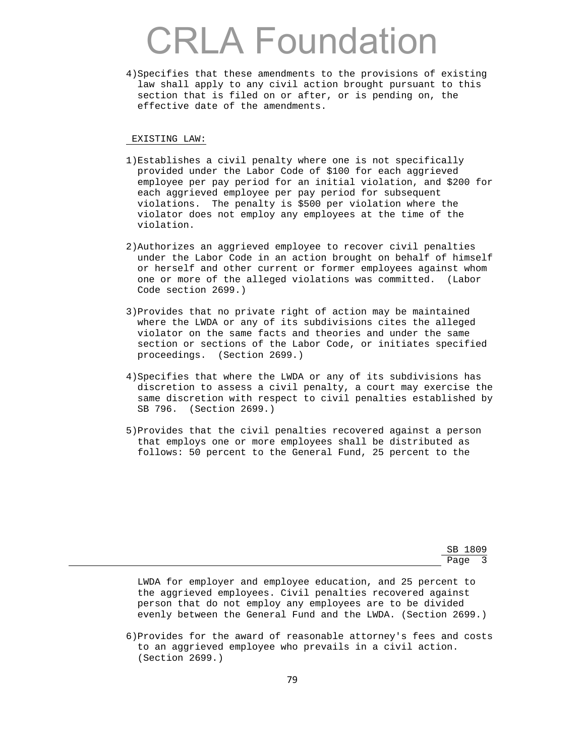4)Specifies that these amendments to the provisions of existing law shall apply to any civil action brought pursuant to this section that is filed on or after, or is pending on, the effective date of the amendments.

#### EXISTING LAW:

- 1)Establishes a civil penalty where one is not specifically provided under the Labor Code of \$100 for each aggrieved employee per pay period for an initial violation, and \$200 for each aggrieved employee per pay period for subsequent violations. The penalty is \$500 per violation where the violator does not employ any employees at the time of the violation.
- 2)Authorizes an aggrieved employee to recover civil penalties under the Labor Code in an action brought on behalf of himself or herself and other current or former employees against whom one or more of the alleged violations was committed. (Labor Code section 2699.)
- 3)Provides that no private right of action may be maintained where the LWDA or any of its subdivisions cites the alleged violator on the same facts and theories and under the same section or sections of the Labor Code, or initiates specified proceedings. (Section 2699.)
- 4)Specifies that where the LWDA or any of its subdivisions has discretion to assess a civil penalty, a court may exercise the same discretion with respect to civil penalties established by SB 796. (Section 2699.)
- 5)Provides that the civil penalties recovered against a person that employs one or more employees shall be distributed as follows: 50 percent to the General Fund, 25 percent to the

| SB<br>L809 |   |
|------------|---|
| Page       | ັ |
|            |   |

 LWDA for employer and employee education, and 25 percent to the aggrieved employees. Civil penalties recovered against person that do not employ any employees are to be divided evenly between the General Fund and the LWDA. (Section 2699.)

 6)Provides for the award of reasonable attorney's fees and costs to an aggrieved employee who prevails in a civil action. (Section 2699.)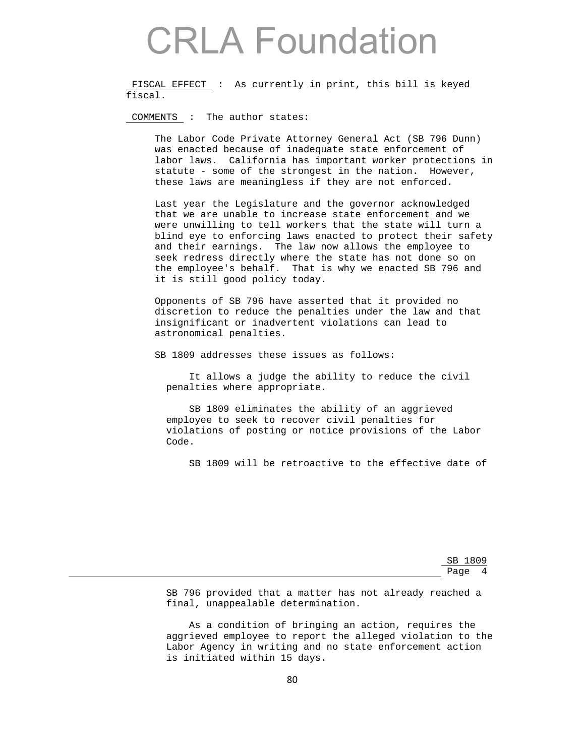FISCAL EFFECT : As currently in print, this bill is keyed fiscal.

COMMENTS : The author states:

 The Labor Code Private Attorney General Act (SB 796 Dunn) was enacted because of inadequate state enforcement of labor laws. California has important worker protections in statute - some of the strongest in the nation. However, these laws are meaningless if they are not enforced.

 Last year the Legislature and the governor acknowledged that we are unable to increase state enforcement and we were unwilling to tell workers that the state will turn a blind eye to enforcing laws enacted to protect their safety and their earnings. The law now allows the employee to seek redress directly where the state has not done so on the employee's behalf. That is why we enacted SB 796 and it is still good policy today.

 Opponents of SB 796 have asserted that it provided no discretion to reduce the penalties under the law and that insignificant or inadvertent violations can lead to astronomical penalties.

SB 1809 addresses these issues as follows:

 It allows a judge the ability to reduce the civil penalties where appropriate.

 SB 1809 eliminates the ability of an aggrieved employee to seek to recover civil penalties for violations of posting or notice provisions of the Labor Code.

SB 1809 will be retroactive to the effective date of

 SB 1809 Page 4

> SB 796 provided that a matter has not already reached a final, unappealable determination.

 As a condition of bringing an action, requires the aggrieved employee to report the alleged violation to the Labor Agency in writing and no state enforcement action is initiated within 15 days.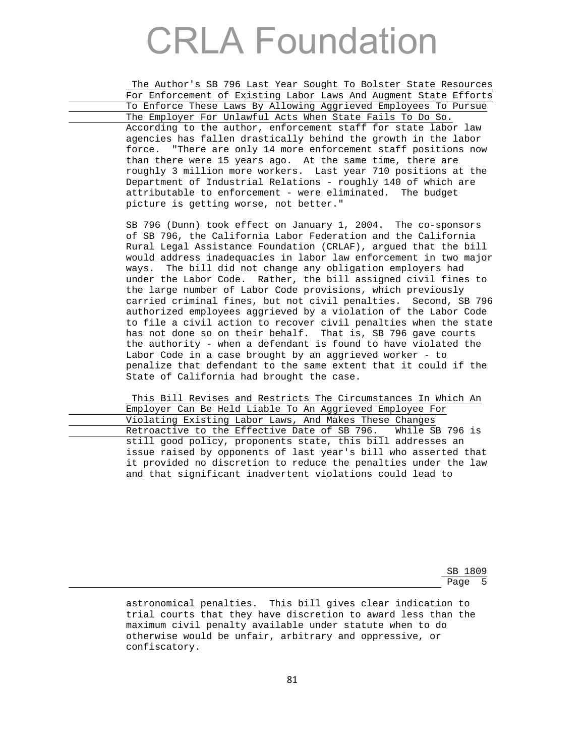The Author's SB 796 Last Year Sought To Bolster State Resources For Enforcement of Existing Labor Laws And Augment State Efforts To Enforce These Laws By Allowing Aggrieved Employees To Pursue The Employer For Unlawful Acts When State Fails To Do So. According to the author, enforcement staff for state labor law agencies has fallen drastically behind the growth in the labor force. "There are only 14 more enforcement staff positions now than there were 15 years ago. At the same time, there are roughly 3 million more workers. Last year 710 positions at the Department of Industrial Relations - roughly 140 of which are attributable to enforcement - were eliminated. The budget picture is getting worse, not better."

 SB 796 (Dunn) took effect on January 1, 2004. The co-sponsors of SB 796, the California Labor Federation and the California Rural Legal Assistance Foundation (CRLAF), argued that the bill would address inadequacies in labor law enforcement in two major ways. The bill did not change any obligation employers had under the Labor Code. Rather, the bill assigned civil fines to the large number of Labor Code provisions, which previously carried criminal fines, but not civil penalties. Second, SB 796 authorized employees aggrieved by a violation of the Labor Code to file a civil action to recover civil penalties when the state has not done so on their behalf. That is, SB 796 gave courts the authority - when a defendant is found to have violated the Labor Code in a case brought by an aggrieved worker - to penalize that defendant to the same extent that it could if the State of California had brought the case.

 This Bill Revises and Restricts The Circumstances In Which An Employer Can Be Held Liable To An Aggrieved Employee For Violating Existing Labor Laws, And Makes These Changes Retroactive to the Effective Date of SB 796. While SB 796 is still good policy, proponents state, this bill addresses an issue raised by opponents of last year's bill who asserted that it provided no discretion to reduce the penalties under the law and that significant inadvertent violations could lead to

 SB 1809 <u>Page 5 and 2001 and 2001 and 2001 and 2001 and 2001 and 2001 and 2001 and 2001 and 2001 and 2001 and 2001 and 2001 and 2001 and 2001 and 2001 and 2001 and 2001 and 2001 and 2001 and 2001 and 2001 and 2001 and 2001 and 200</u>

> astronomical penalties. This bill gives clear indication to trial courts that they have discretion to award less than the maximum civil penalty available under statute when to do otherwise would be unfair, arbitrary and oppressive, or confiscatory.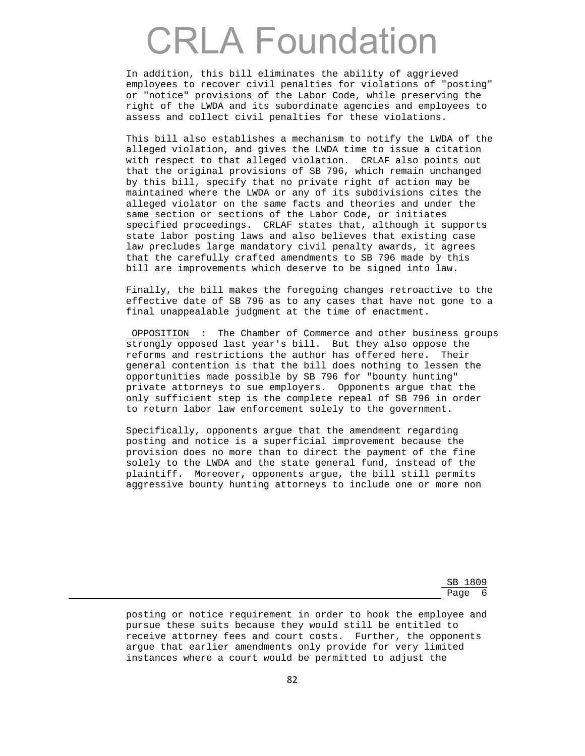In addition, this bill eliminates the ability of aggrieved employees to recover civil penalties for violations of "posting" or "notice" provisions of the Labor Code, while preserving the right of the LWDA and its subordinate agencies and employees to assess and collect civil penalties for these violations.

 This bill also establishes a mechanism to notify the LWDA of the alleged violation, and gives the LWDA time to issue a citation with respect to that alleged violation. CRLAF also points out that the original provisions of SB 796, which remain unchanged by this bill, specify that no private right of action may be maintained where the LWDA or any of its subdivisions cites the alleged violator on the same facts and theories and under the same section or sections of the Labor Code, or initiates specified proceedings. CRLAF states that, although it supports state labor posting laws and also believes that existing case law precludes large mandatory civil penalty awards, it agrees that the carefully crafted amendments to SB 796 made by this bill are improvements which deserve to be signed into law.

 Finally, the bill makes the foregoing changes retroactive to the effective date of SB 796 as to any cases that have not gone to a final unappealable judgment at the time of enactment.

 OPPOSITION : The Chamber of Commerce and other business groups strongly opposed last year's bill. But they also oppose the reforms and restrictions the author has offered here. Their general contention is that the bill does nothing to lessen the opportunities made possible by SB 796 for "bounty hunting" private attorneys to sue employers. Opponents argue that the only sufficient step is the complete repeal of SB 796 in order to return labor law enforcement solely to the government.

 Specifically, opponents argue that the amendment regarding posting and notice is a superficial improvement because the provision does no more than to direct the payment of the fine solely to the LWDA and the state general fund, instead of the plaintiff. Moreover, opponents argue, the bill still permits aggressive bounty hunting attorneys to include one or more non

| SВ   | 1809 |  |
|------|------|--|
| Page |      |  |

 posting or notice requirement in order to hook the employee and pursue these suits because they would still be entitled to receive attorney fees and court costs. Further, the opponents argue that earlier amendments only provide for very limited instances where a court would be permitted to adjust the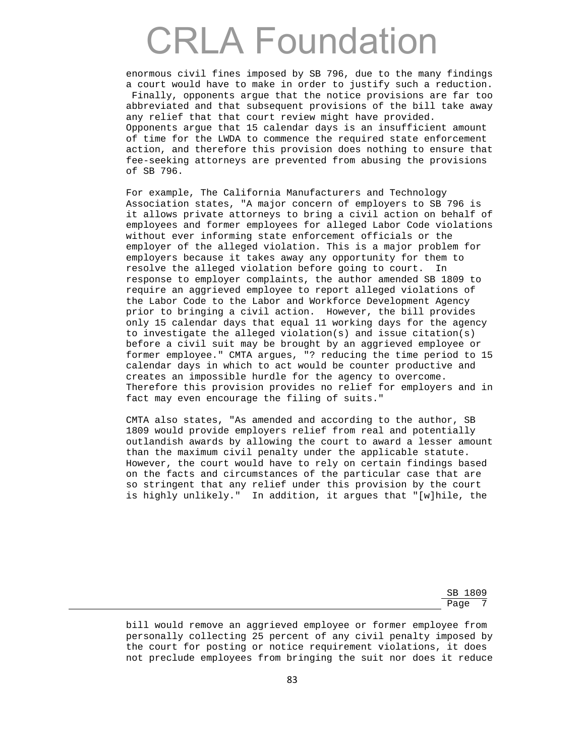enormous civil fines imposed by SB 796, due to the many findings a court would have to make in order to justify such a reduction. Finally, opponents argue that the notice provisions are far too abbreviated and that subsequent provisions of the bill take away any relief that that court review might have provided. Opponents argue that 15 calendar days is an insufficient amount of time for the LWDA to commence the required state enforcement action, and therefore this provision does nothing to ensure that fee-seeking attorneys are prevented from abusing the provisions of SB 796.

 For example, The California Manufacturers and Technology Association states, "A major concern of employers to SB 796 is it allows private attorneys to bring a civil action on behalf of employees and former employees for alleged Labor Code violations without ever informing state enforcement officials or the employer of the alleged violation. This is a major problem for employers because it takes away any opportunity for them to resolve the alleged violation before going to court. In response to employer complaints, the author amended SB 1809 to require an aggrieved employee to report alleged violations of the Labor Code to the Labor and Workforce Development Agency prior to bringing a civil action. However, the bill provides only 15 calendar days that equal 11 working days for the agency to investigate the alleged violation(s) and issue citation(s) before a civil suit may be brought by an aggrieved employee or former employee." CMTA argues, "? reducing the time period to 15 calendar days in which to act would be counter productive and creates an impossible hurdle for the agency to overcome. Therefore this provision provides no relief for employers and in fact may even encourage the filing of suits."

 CMTA also states, "As amended and according to the author, SB 1809 would provide employers relief from real and potentially outlandish awards by allowing the court to award a lesser amount than the maximum civil penalty under the applicable statute. However, the court would have to rely on certain findings based on the facts and circumstances of the particular case that are so stringent that any relief under this provision by the court is highly unlikely." In addition, it argues that "[w]hile, the

 SB 1809 Page 7 and 2012 and 2012 and 2012 and 2012 and 2012 and 2012 and 2012 and 2012 and 2012 and 2012 and 2012 and

> bill would remove an aggrieved employee or former employee from personally collecting 25 percent of any civil penalty imposed by the court for posting or notice requirement violations, it does not preclude employees from bringing the suit nor does it reduce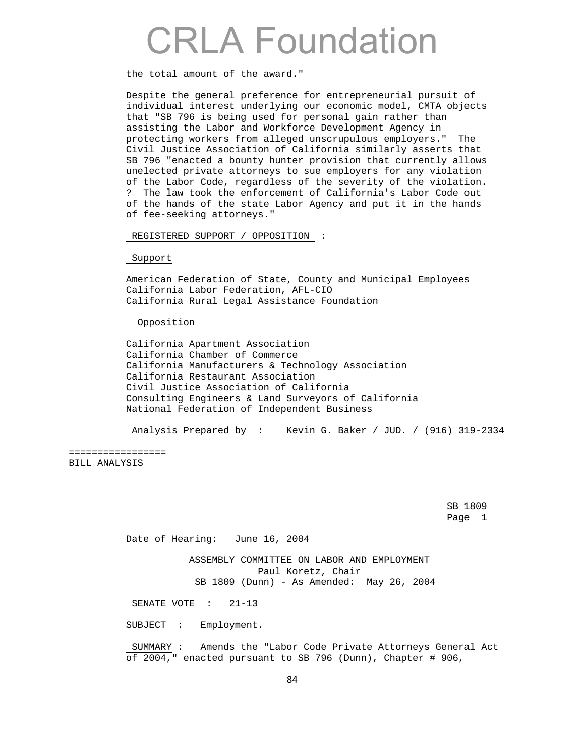the total amount of the award."

 Despite the general preference for entrepreneurial pursuit of individual interest underlying our economic model, CMTA objects that "SB 796 is being used for personal gain rather than assisting the Labor and Workforce Development Agency in protecting workers from alleged unscrupulous employers." The Civil Justice Association of California similarly asserts that SB 796 "enacted a bounty hunter provision that currently allows unelected private attorneys to sue employers for any violation of the Labor Code, regardless of the severity of the violation. ? The law took the enforcement of California's Labor Code out of the hands of the state Labor Agency and put it in the hands of fee-seeking attorneys."

REGISTERED SUPPORT / OPPOSITION :

Support

 American Federation of State, County and Municipal Employees California Labor Federation, AFL-CIO California Rural Legal Assistance Foundation

**Opposition** 

 California Apartment Association California Chamber of Commerce California Manufacturers & Technology Association California Restaurant Association Civil Justice Association of California Consulting Engineers & Land Surveyors of California National Federation of Independent Business

Analysis Prepared by : Kevin G. Baker / JUD. / (916) 319-2334

================ BILL ANALYSIS

 SB 1809 Page 1

Date of Hearing: June 16, 2004

 ASSEMBLY COMMITTEE ON LABOR AND EMPLOYMENT Paul Koretz, Chair SB 1809 (Dunn) - As Amended: May 26, 2004

SENATE VOTE : 21-13

SUBJECT : Employment.

 SUMMARY : Amends the "Labor Code Private Attorneys General Act of 2004," enacted pursuant to SB 796 (Dunn), Chapter # 906,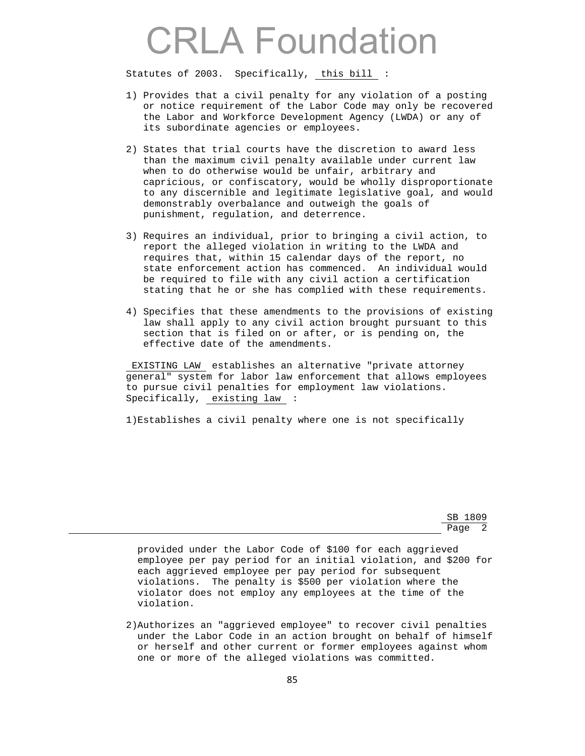Statutes of 2003. Specifically, this bill :

- 1) Provides that a civil penalty for any violation of a posting or notice requirement of the Labor Code may only be recovered the Labor and Workforce Development Agency (LWDA) or any of its subordinate agencies or employees.
- 2) States that trial courts have the discretion to award less than the maximum civil penalty available under current law when to do otherwise would be unfair, arbitrary and capricious, or confiscatory, would be wholly disproportionate to any discernible and legitimate legislative goal, and would demonstrably overbalance and outweigh the goals of punishment, regulation, and deterrence.
- 3) Requires an individual, prior to bringing a civil action, to report the alleged violation in writing to the LWDA and requires that, within 15 calendar days of the report, no state enforcement action has commenced. An individual would be required to file with any civil action a certification stating that he or she has complied with these requirements.
- 4) Specifies that these amendments to the provisions of existing law shall apply to any civil action brought pursuant to this section that is filed on or after, or is pending on, the effective date of the amendments.

 EXISTING LAW establishes an alternative "private attorney general" system for labor law enforcement that allows employees to pursue civil penalties for employment law violations. Specifically, existing law :

1)Establishes a civil penalty where one is not specifically

| SВ   | 1809 |   |
|------|------|---|
| Page |      | ▵ |

 provided under the Labor Code of \$100 for each aggrieved employee per pay period for an initial violation, and \$200 for each aggrieved employee per pay period for subsequent violations. The penalty is \$500 per violation where the violator does not employ any employees at the time of the violation.

 2)Authorizes an "aggrieved employee" to recover civil penalties under the Labor Code in an action brought on behalf of himself or herself and other current or former employees against whom one or more of the alleged violations was committed.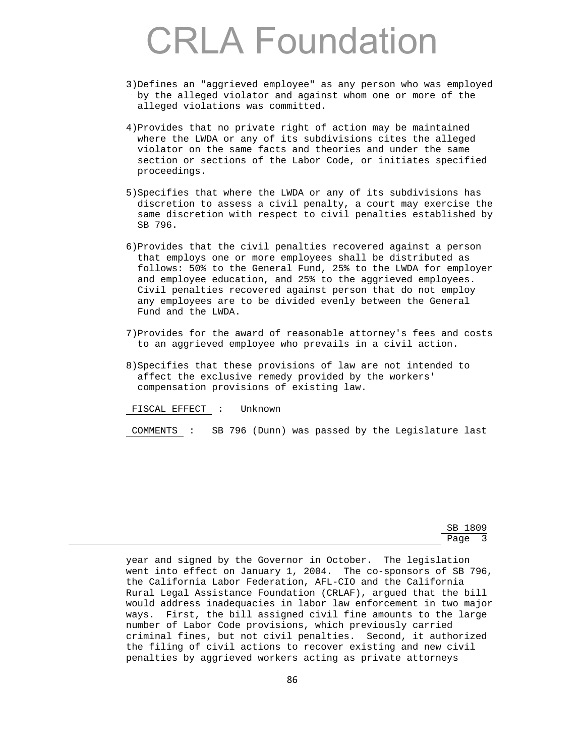- 3)Defines an "aggrieved employee" as any person who was employed by the alleged violator and against whom one or more of the alleged violations was committed.
- 4)Provides that no private right of action may be maintained where the LWDA or any of its subdivisions cites the alleged violator on the same facts and theories and under the same section or sections of the Labor Code, or initiates specified proceedings.
- 5)Specifies that where the LWDA or any of its subdivisions has discretion to assess a civil penalty, a court may exercise the same discretion with respect to civil penalties established by SB 796.
- 6)Provides that the civil penalties recovered against a person that employs one or more employees shall be distributed as follows: 50% to the General Fund, 25% to the LWDA for employer and employee education, and 25% to the aggrieved employees. Civil penalties recovered against person that do not employ any employees are to be divided evenly between the General Fund and the LWDA.
- 7)Provides for the award of reasonable attorney's fees and costs to an aggrieved employee who prevails in a civil action.
- 8)Specifies that these provisions of law are not intended to affect the exclusive remedy provided by the workers' compensation provisions of existing law.

FISCAL EFFECT : Unknown

COMMENTS : SB 796 (Dunn) was passed by the Legislature last

SB 1809  $\overline{\phantom{a}}$  Page 3

> year and signed by the Governor in October. The legislation went into effect on January 1, 2004. The co-sponsors of SB 796, the California Labor Federation, AFL-CIO and the California Rural Legal Assistance Foundation (CRLAF), argued that the bill would address inadequacies in labor law enforcement in two major ways. First, the bill assigned civil fine amounts to the large number of Labor Code provisions, which previously carried criminal fines, but not civil penalties. Second, it authorized the filing of civil actions to recover existing and new civil penalties by aggrieved workers acting as private attorneys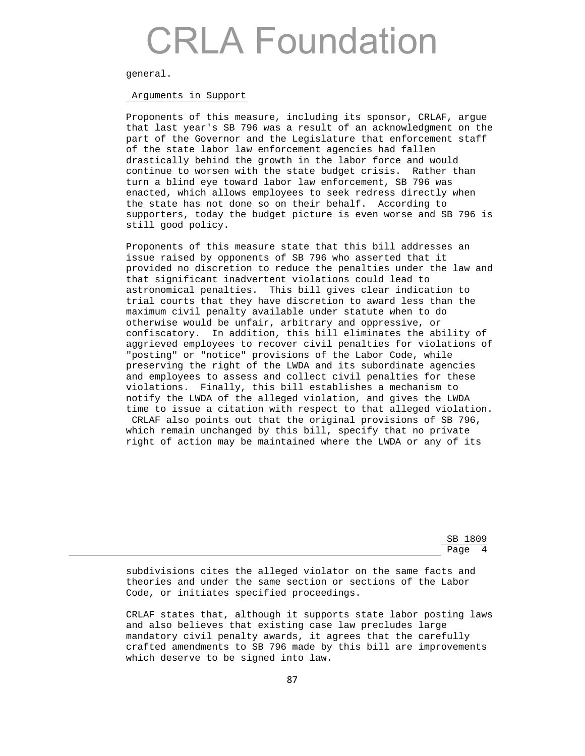general.

#### Arguments in Support

 Proponents of this measure, including its sponsor, CRLAF, argue that last year's SB 796 was a result of an acknowledgment on the part of the Governor and the Legislature that enforcement staff of the state labor law enforcement agencies had fallen drastically behind the growth in the labor force and would continue to worsen with the state budget crisis. Rather than turn a blind eye toward labor law enforcement, SB 796 was enacted, which allows employees to seek redress directly when the state has not done so on their behalf. According to supporters, today the budget picture is even worse and SB 796 is still good policy.

 Proponents of this measure state that this bill addresses an issue raised by opponents of SB 796 who asserted that it provided no discretion to reduce the penalties under the law and that significant inadvertent violations could lead to astronomical penalties. This bill gives clear indication to trial courts that they have discretion to award less than the maximum civil penalty available under statute when to do otherwise would be unfair, arbitrary and oppressive, or confiscatory. In addition, this bill eliminates the ability of aggrieved employees to recover civil penalties for violations of "posting" or "notice" provisions of the Labor Code, while preserving the right of the LWDA and its subordinate agencies and employees to assess and collect civil penalties for these violations. Finally, this bill establishes a mechanism to notify the LWDA of the alleged violation, and gives the LWDA time to issue a citation with respect to that alleged violation. CRLAF also points out that the original provisions of SB 796, which remain unchanged by this bill, specify that no private right of action may be maintained where the LWDA or any of its

 SB 1809 experience of the state of the state of the state of the state of the state of the state of the state of the state of the state of the state of the state of the state of the state of the state of the state of the state of

> subdivisions cites the alleged violator on the same facts and theories and under the same section or sections of the Labor Code, or initiates specified proceedings.

 CRLAF states that, although it supports state labor posting laws and also believes that existing case law precludes large mandatory civil penalty awards, it agrees that the carefully crafted amendments to SB 796 made by this bill are improvements which deserve to be signed into law.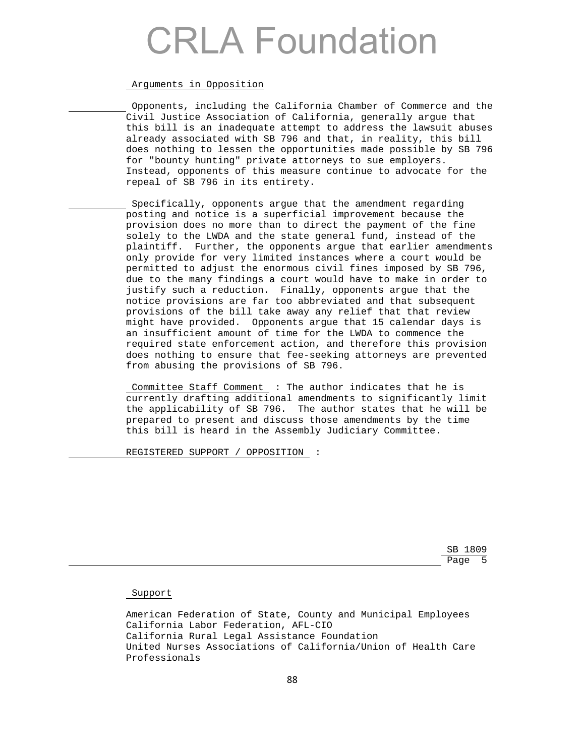#### Arguments in Opposition

 Opponents, including the California Chamber of Commerce and the Civil Justice Association of California, generally argue that this bill is an inadequate attempt to address the lawsuit abuses already associated with SB 796 and that, in reality, this bill does nothing to lessen the opportunities made possible by SB 796 for "bounty hunting" private attorneys to sue employers. Instead, opponents of this measure continue to advocate for the repeal of SB 796 in its entirety.

 Specifically, opponents argue that the amendment regarding posting and notice is a superficial improvement because the provision does no more than to direct the payment of the fine solely to the LWDA and the state general fund, instead of the plaintiff. Further, the opponents argue that earlier amendments only provide for very limited instances where a court would be permitted to adjust the enormous civil fines imposed by SB 796, due to the many findings a court would have to make in order to justify such a reduction. Finally, opponents argue that the notice provisions are far too abbreviated and that subsequent provisions of the bill take away any relief that that review might have provided. Opponents argue that 15 calendar days is an insufficient amount of time for the LWDA to commence the required state enforcement action, and therefore this provision does nothing to ensure that fee-seeking attorneys are prevented from abusing the provisions of SB 796.

 Committee Staff Comment : The author indicates that he is currently drafting additional amendments to significantly limit the applicability of SB 796. The author states that he will be prepared to present and discuss those amendments by the time this bill is heard in the Assembly Judiciary Committee.

REGISTERED SUPPORT / OPPOSITION :

 SB 1809 <u>Page 5 and 2001 and 2001 and 2001 and 2001 and 2001 and 2001 and 2001 and 2001 and 2001 and 2001 and 2001 and 2001 and 2001 and 2001 and 2001 and 2001 and 2001 and 2001 and 2001 and 2001 and 2001 and 2001 and 2001 and 200</u>

Support

 American Federation of State, County and Municipal Employees California Labor Federation, AFL-CIO California Rural Legal Assistance Foundation United Nurses Associations of California/Union of Health Care Professionals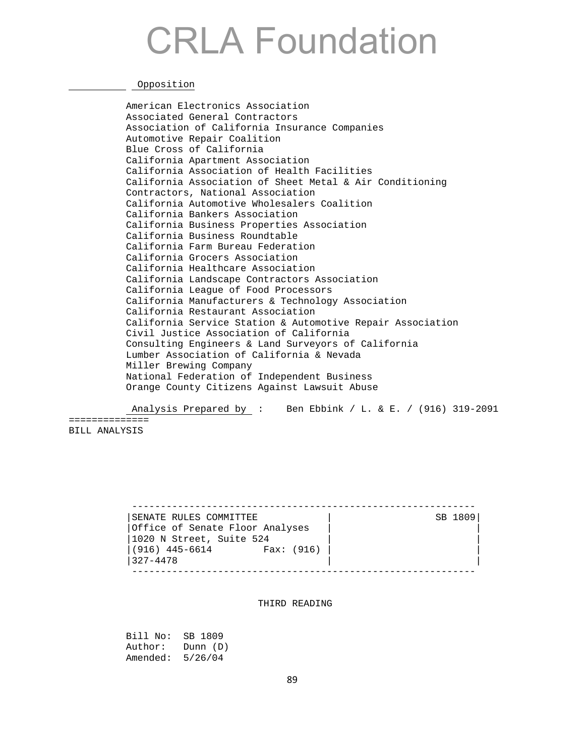#### **COPPOSITION**

 American Electronics Association Associated General Contractors Association of California Insurance Companies Automotive Repair Coalition Blue Cross of California California Apartment Association California Association of Health Facilities California Association of Sheet Metal & Air Conditioning Contractors, National Association California Automotive Wholesalers Coalition California Bankers Association California Business Properties Association California Business Roundtable California Farm Bureau Federation California Grocers Association California Healthcare Association California Landscape Contractors Association California League of Food Processors California Manufacturers & Technology Association California Restaurant Association California Service Station & Automotive Repair Association Civil Justice Association of California Consulting Engineers & Land Surveyors of California Lumber Association of California & Nevada Miller Brewing Company National Federation of Independent Business Orange County Citizens Against Lawsuit Abuse

 Analysis Prepared by : Ben Ebbink / L. & E. / (916) 319-2091 ============== BILL ANALYSIS

 ------------------------------------------------------------ |SENATE RULES COMMITTEE | | SENATE 88 1809| |Office of Senate Floor Analyses | | |1020 N Street, Suite 524 |(916) 445-6614 Fax: (916) | | |327-4478 | | ------------------------------------------------------------

#### THIRD READING

 Bill No: SB 1809 Author: Dunn (D) Amended: 5/26/04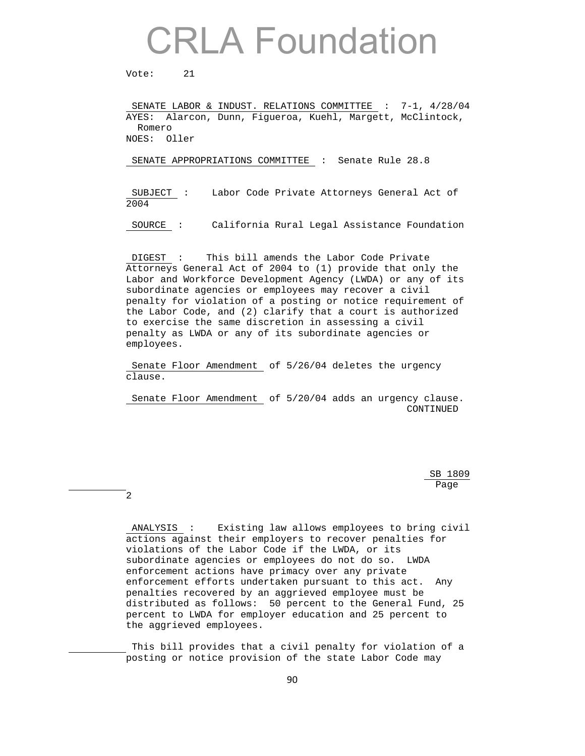Vote: 21

 SENATE LABOR & INDUST. RELATIONS COMMITTEE : 7-1, 4/28/04 AYES: Alarcon, Dunn, Figueroa, Kuehl, Margett, McClintock, Romero NOES: Oller

SENATE APPROPRIATIONS COMMITTEE : Senate Rule 28.8

 SUBJECT : Labor Code Private Attorneys General Act of 2004

SOURCE : California Rural Legal Assistance Foundation

 DIGEST : This bill amends the Labor Code Private Attorneys General Act of 2004 to (1) provide that only the Labor and Workforce Development Agency (LWDA) or any of its subordinate agencies or employees may recover a civil penalty for violation of a posting or notice requirement of the Labor Code, and (2) clarify that a court is authorized to exercise the same discretion in assessing a civil penalty as LWDA or any of its subordinate agencies or employees.

 Senate Floor Amendment of 5/26/04 deletes the urgency clause.

 Senate Floor Amendment of 5/20/04 adds an urgency clause. CONTINUED

SB 1809 <u>Page and the set of the set of the set of the set of the set of the set of the set of the set of the set of the set of the set of the set of the set of the set of the set of the set of the set of the set of the set of the</u>

2

 ANALYSIS : Existing law allows employees to bring civil actions against their employers to recover penalties for violations of the Labor Code if the LWDA, or its subordinate agencies or employees do not do so. LWDA enforcement actions have primacy over any private enforcement efforts undertaken pursuant to this act. Any penalties recovered by an aggrieved employee must be distributed as follows: 50 percent to the General Fund, 25 percent to LWDA for employer education and 25 percent to the aggrieved employees.

 This bill provides that a civil penalty for violation of a posting or notice provision of the state Labor Code may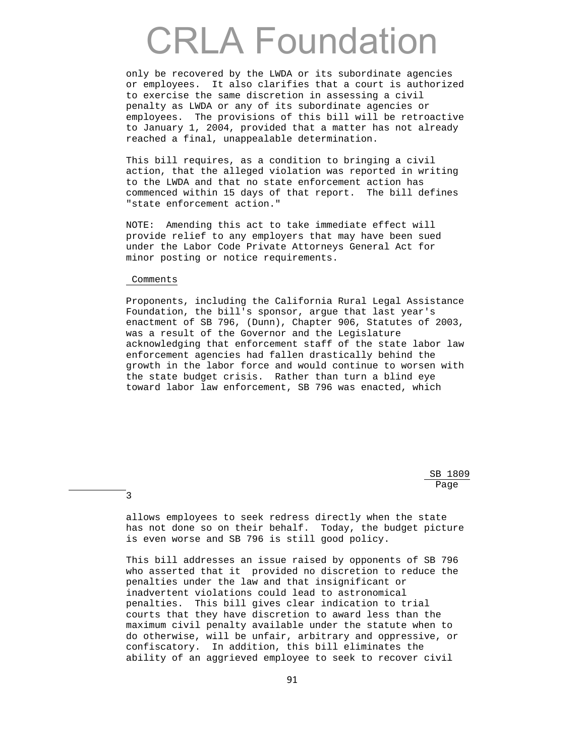only be recovered by the LWDA or its subordinate agencies or employees. It also clarifies that a court is authorized to exercise the same discretion in assessing a civil penalty as LWDA or any of its subordinate agencies or employees. The provisions of this bill will be retroactive to January 1, 2004, provided that a matter has not already reached a final, unappealable determination.

 This bill requires, as a condition to bringing a civil action, that the alleged violation was reported in writing to the LWDA and that no state enforcement action has commenced within 15 days of that report. The bill defines "state enforcement action."

 NOTE: Amending this act to take immediate effect will provide relief to any employers that may have been sued under the Labor Code Private Attorneys General Act for minor posting or notice requirements.

#### Comments

3

 Proponents, including the California Rural Legal Assistance Foundation, the bill's sponsor, argue that last year's enactment of SB 796, (Dunn), Chapter 906, Statutes of 2003, was a result of the Governor and the Legislature acknowledging that enforcement staff of the state labor law enforcement agencies had fallen drastically behind the growth in the labor force and would continue to worsen with the state budget crisis. Rather than turn a blind eye toward labor law enforcement, SB 796 was enacted, which

SB 1809 <u>Page and the set of the set of the set of the set of the set of the set of the set of the set of the set of the set of the set of the set of the set of the set of the set of the set of the set of the set of the set of the</u>

> allows employees to seek redress directly when the state has not done so on their behalf. Today, the budget picture is even worse and SB 796 is still good policy.

 This bill addresses an issue raised by opponents of SB 796 who asserted that it provided no discretion to reduce the penalties under the law and that insignificant or inadvertent violations could lead to astronomical penalties. This bill gives clear indication to trial courts that they have discretion to award less than the maximum civil penalty available under the statute when to do otherwise, will be unfair, arbitrary and oppressive, or confiscatory. In addition, this bill eliminates the ability of an aggrieved employee to seek to recover civil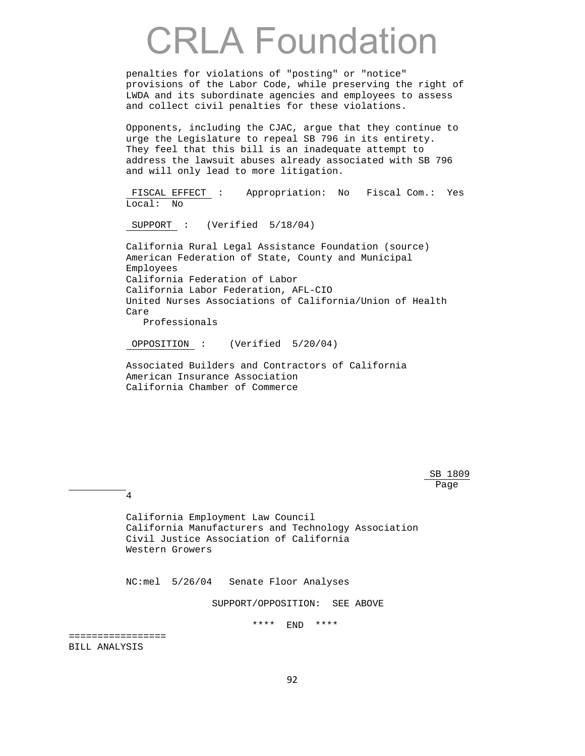penalties for violations of "posting" or "notice" provisions of the Labor Code, while preserving the right of LWDA and its subordinate agencies and employees to assess and collect civil penalties for these violations.

 Opponents, including the CJAC, argue that they continue to urge the Legislature to repeal SB 796 in its entirety. They feel that this bill is an inadequate attempt to address the lawsuit abuses already associated with SB 796 and will only lead to more litigation.

 FISCAL EFFECT : Appropriation: No Fiscal Com.: Yes Local: No

SUPPORT : (Verified 5/18/04)

 California Rural Legal Assistance Foundation (source) American Federation of State, County and Municipal Employees California Federation of Labor California Labor Federation, AFL-CIO United Nurses Associations of California/Union of Health Care

Professionals

OPPOSITION : (Verified 5/20/04)

 Associated Builders and Contractors of California American Insurance Association California Chamber of Commerce

SB 1809 <u>Page and the set of the set of the set of the set of the set of the set of the set of the set of the set of the set of the set of the set of the set of the set of the set of the set of the set of the set of the set of the</u>

> California Employment Law Council California Manufacturers and Technology Association Civil Justice Association of California Western Growers

NC:mel 5/26/04 Senate Floor Analyses

SUPPORT/OPPOSITION: SEE ABOVE

\*\*\*\* END \*\*\*\*

================= BILL ANALYSIS

4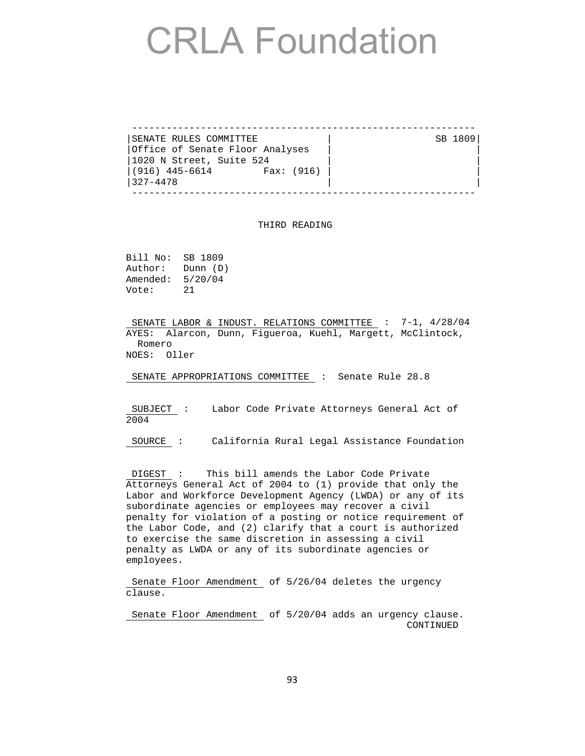```
 ------------------------------------------------------------ 
       |SENATE RULES COMMITTEE | SENATE | SB 1809|
       | Office of Senate Floor Analyses
        |1020 N Street, Suite 524 | | 
         |(916) 445-6614 Fax: (916) | | 
|327-4478 ------------------------------------------------------------
```
#### THIRD READING

 Bill No: SB 1809 Author: Dunn (D) Amended: 5/20/04 Vote: 21

SENATE LABOR & INDUST. RELATIONS COMMITTEE : 7-1, 4/28/04 AYES: Alarcon, Dunn, Figueroa, Kuehl, Margett, McClintock, Romero NOES: Oller

SENATE APPROPRIATIONS COMMITTEE : Senate Rule 28.8

 SUBJECT : Labor Code Private Attorneys General Act of 2004

SOURCE : California Rural Legal Assistance Foundation

 DIGEST : This bill amends the Labor Code Private Attorneys General Act of 2004 to (1) provide that only the Labor and Workforce Development Agency (LWDA) or any of its subordinate agencies or employees may recover a civil penalty for violation of a posting or notice requirement of the Labor Code, and (2) clarify that a court is authorized to exercise the same discretion in assessing a civil penalty as LWDA or any of its subordinate agencies or employees.

 Senate Floor Amendment of 5/26/04 deletes the urgency clause.

 Senate Floor Amendment of 5/20/04 adds an urgency clause. CONTINUED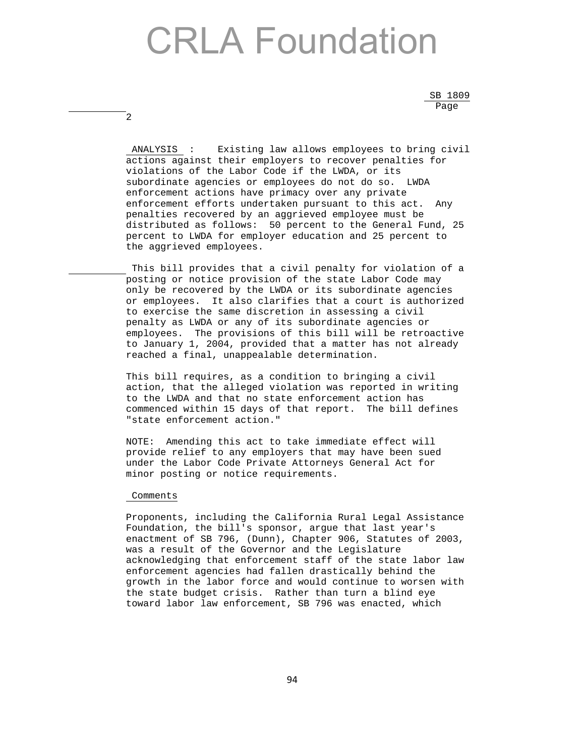SB 1809 <u>Page and the set of the set of the set of the set of the set of the set of the set of the set of the set of the set of the set of the set of the set of the set of the set of the set of the set of the set of the set of the</u>

> ANALYSIS : Existing law allows employees to bring civil actions against their employers to recover penalties for violations of the Labor Code if the LWDA, or its subordinate agencies or employees do not do so. LWDA enforcement actions have primacy over any private enforcement efforts undertaken pursuant to this act. Any penalties recovered by an aggrieved employee must be distributed as follows: 50 percent to the General Fund, 25 percent to LWDA for employer education and 25 percent to the aggrieved employees.

 This bill provides that a civil penalty for violation of a posting or notice provision of the state Labor Code may only be recovered by the LWDA or its subordinate agencies or employees. It also clarifies that a court is authorized to exercise the same discretion in assessing a civil penalty as LWDA or any of its subordinate agencies or employees. The provisions of this bill will be retroactive to January 1, 2004, provided that a matter has not already reached a final, unappealable determination.

 This bill requires, as a condition to bringing a civil action, that the alleged violation was reported in writing to the LWDA and that no state enforcement action has commenced within 15 days of that report. The bill defines "state enforcement action."

 NOTE: Amending this act to take immediate effect will provide relief to any employers that may have been sued under the Labor Code Private Attorneys General Act for minor posting or notice requirements.

#### Comments

2

 Proponents, including the California Rural Legal Assistance Foundation, the bill's sponsor, argue that last year's enactment of SB 796, (Dunn), Chapter 906, Statutes of 2003, was a result of the Governor and the Legislature acknowledging that enforcement staff of the state labor law enforcement agencies had fallen drastically behind the growth in the labor force and would continue to worsen with the state budget crisis. Rather than turn a blind eye toward labor law enforcement, SB 796 was enacted, which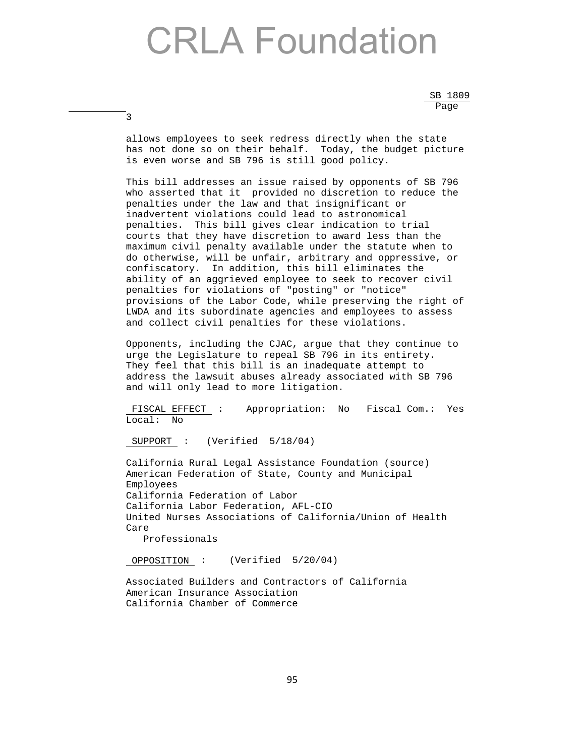SB 1809 <u>Page and the set of the set of the set of the set of the set of the set of the set of the set of the set of the set of the set of the set of the set of the set of the set of the set of the set of the set of the set of the</u>

> allows employees to seek redress directly when the state has not done so on their behalf. Today, the budget picture is even worse and SB 796 is still good policy.

> This bill addresses an issue raised by opponents of SB 796 who asserted that it provided no discretion to reduce the penalties under the law and that insignificant or inadvertent violations could lead to astronomical penalties. This bill gives clear indication to trial courts that they have discretion to award less than the maximum civil penalty available under the statute when to do otherwise, will be unfair, arbitrary and oppressive, or confiscatory. In addition, this bill eliminates the ability of an aggrieved employee to seek to recover civil penalties for violations of "posting" or "notice" provisions of the Labor Code, while preserving the right of LWDA and its subordinate agencies and employees to assess and collect civil penalties for these violations.

 Opponents, including the CJAC, argue that they continue to urge the Legislature to repeal SB 796 in its entirety. They feel that this bill is an inadequate attempt to address the lawsuit abuses already associated with SB 796 and will only lead to more litigation.

 FISCAL EFFECT : Appropriation: No Fiscal Com.: Yes Local: No

SUPPORT : (Verified 5/18/04)

 California Rural Legal Assistance Foundation (source) American Federation of State, County and Municipal Employees California Federation of Labor California Labor Federation, AFL-CIO United Nurses Associations of California/Union of Health Care

Professionals

3

OPPOSITION : (Verified 5/20/04)

 Associated Builders and Contractors of California American Insurance Association California Chamber of Commerce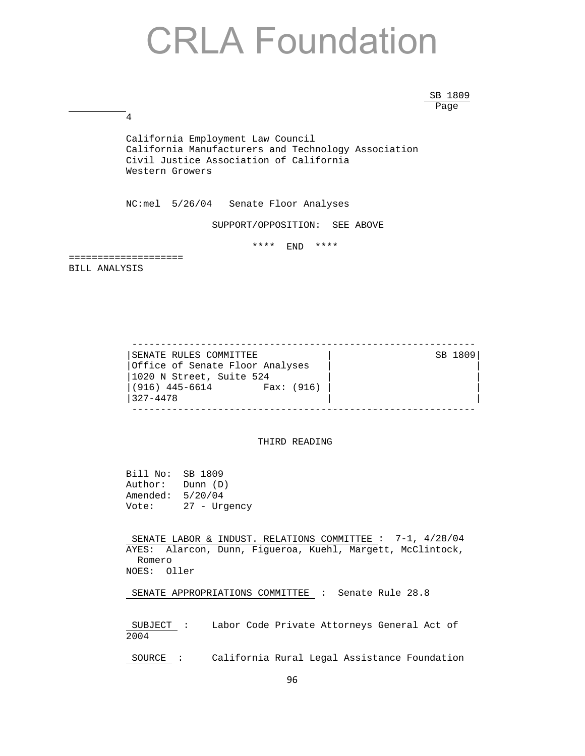SB 1809<br>Page <u>Page and the set of the set of the set of the set of the set of the set of the set of the set of the set of the set of the set of the set of the set of the set of the set of the set of the set of the set of the set of the</u>

> California Employment Law Council California Manufacturers and Technology Association Civil Justice Association of California Western Growers

NC:mel 5/26/04 Senate Floor Analyses

SUPPORT/OPPOSITION: SEE ABOVE

\*\*\*\* END \*\*\*\*

==================== BILL ANALYSIS

4

 ------------------------------------------------------------ |SENATE RULES COMMITTEE | SENATE SB 1809| |Office of Senate Floor Analyses | | |1020 N Street, Suite 524 | |  $|(916) 445-6614$  Fax:  $(916)$  |327-4478 | | ------------------------------------------------------------

#### THIRD READING

 Bill No: SB 1809 Author: Dunn (D) Amended: 5/20/04 Vote: 27 - Urgency

 SENATE LABOR & INDUST. RELATIONS COMMITTEE : 7-1, 4/28/04 AYES: Alarcon, Dunn, Figueroa, Kuehl, Margett, McClintock, Romero NOES: Oller

SENATE APPROPRIATIONS COMMITTEE : Senate Rule 28.8

 SUBJECT : Labor Code Private Attorneys General Act of 2004

SOURCE : California Rural Legal Assistance Foundation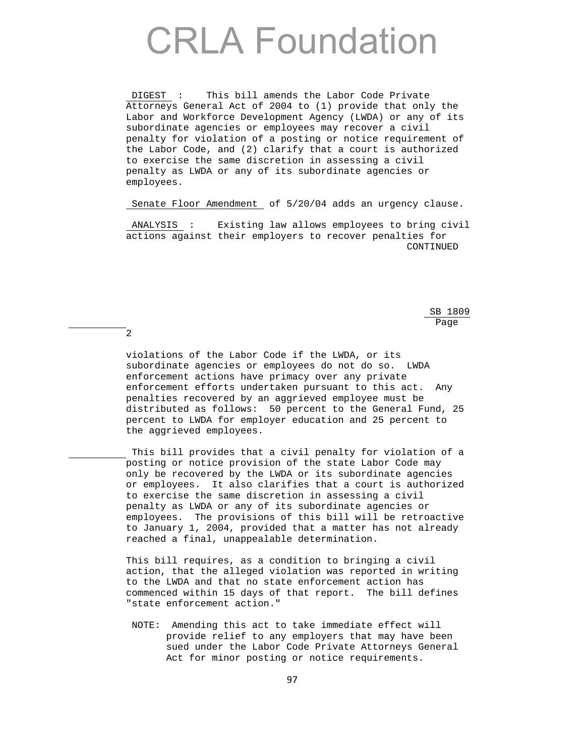DIGEST : This bill amends the Labor Code Private Attorneys General Act of 2004 to (1) provide that only the Labor and Workforce Development Agency (LWDA) or any of its subordinate agencies or employees may recover a civil penalty for violation of a posting or notice requirement of the Labor Code, and (2) clarify that a court is authorized to exercise the same discretion in assessing a civil penalty as LWDA or any of its subordinate agencies or employees.

Senate Floor Amendment of 5/20/04 adds an urgency clause.

 ANALYSIS : Existing law allows employees to bring civil actions against their employers to recover penalties for CONTINUED

SB 1809 <u>Page and the set of the set of the set of the set of the set of the set of the set of the set of the set of the set of the set of the set of the set of the set of the set of the set of the set of the set of the set of the</u>

2

 violations of the Labor Code if the LWDA, or its subordinate agencies or employees do not do so. LWDA enforcement actions have primacy over any private enforcement efforts undertaken pursuant to this act. Any penalties recovered by an aggrieved employee must be distributed as follows: 50 percent to the General Fund, 25 percent to LWDA for employer education and 25 percent to the aggrieved employees.

 This bill provides that a civil penalty for violation of a posting or notice provision of the state Labor Code may only be recovered by the LWDA or its subordinate agencies or employees. It also clarifies that a court is authorized to exercise the same discretion in assessing a civil penalty as LWDA or any of its subordinate agencies or employees. The provisions of this bill will be retroactive to January 1, 2004, provided that a matter has not already reached a final, unappealable determination.

 This bill requires, as a condition to bringing a civil action, that the alleged violation was reported in writing to the LWDA and that no state enforcement action has commenced within 15 days of that report. The bill defines "state enforcement action."

 NOTE: Amending this act to take immediate effect will provide relief to any employers that may have been sued under the Labor Code Private Attorneys General Act for minor posting or notice requirements.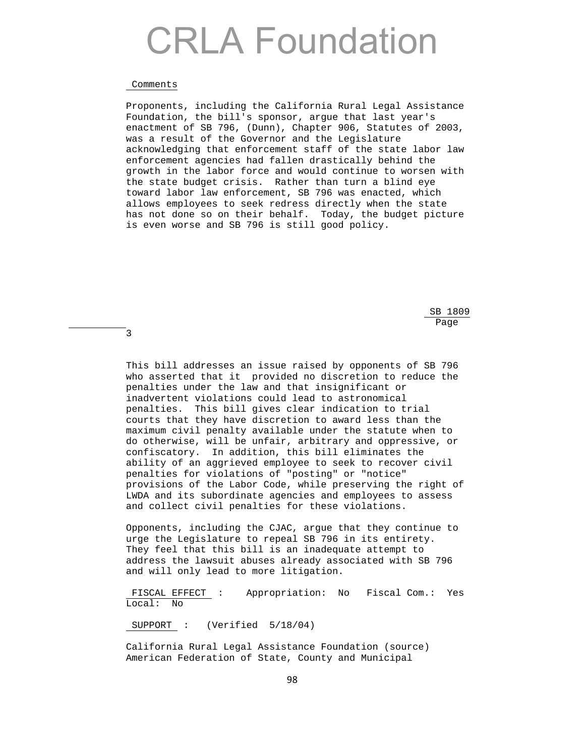#### Comments

 Proponents, including the California Rural Legal Assistance Foundation, the bill's sponsor, argue that last year's enactment of SB 796, (Dunn), Chapter 906, Statutes of 2003, was a result of the Governor and the Legislature acknowledging that enforcement staff of the state labor law enforcement agencies had fallen drastically behind the growth in the labor force and would continue to worsen with the state budget crisis. Rather than turn a blind eye toward labor law enforcement, SB 796 was enacted, which allows employees to seek redress directly when the state has not done so on their behalf. Today, the budget picture is even worse and SB 796 is still good policy.

SB 1809 <u>Page and the set of the set of the set of the set of the set of the set of the set of the set of the set of the set of the set of the set of the set of the set of the set of the set of the set of the set of the set of the</u>

3

 This bill addresses an issue raised by opponents of SB 796 who asserted that it provided no discretion to reduce the penalties under the law and that insignificant or inadvertent violations could lead to astronomical penalties. This bill gives clear indication to trial courts that they have discretion to award less than the maximum civil penalty available under the statute when to do otherwise, will be unfair, arbitrary and oppressive, or confiscatory. In addition, this bill eliminates the ability of an aggrieved employee to seek to recover civil penalties for violations of "posting" or "notice" provisions of the Labor Code, while preserving the right of LWDA and its subordinate agencies and employees to assess and collect civil penalties for these violations.

 Opponents, including the CJAC, argue that they continue to urge the Legislature to repeal SB 796 in its entirety. They feel that this bill is an inadequate attempt to address the lawsuit abuses already associated with SB 796 and will only lead to more litigation.

 FISCAL EFFECT : Appropriation: No Fiscal Com.: Yes Local: No

SUPPORT : (Verified 5/18/04)

 California Rural Legal Assistance Foundation (source) American Federation of State, County and Municipal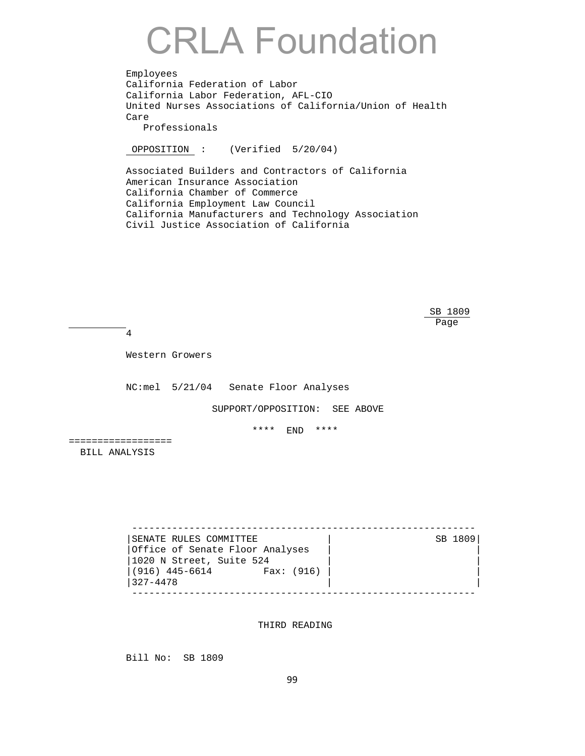Employees California Federation of Labor California Labor Federation, AFL-CIO United Nurses Associations of California/Union of Health Care Professionals

OPPOSITION : (Verified 5/20/04)

 Associated Builders and Contractors of California American Insurance Association California Chamber of Commerce California Employment Law Council California Manufacturers and Technology Association Civil Justice Association of California

 SB 1809 <u>Page and the set of the set of the set of the set of the set of the set of the set of the set of the set of the set of the set of the set of the set of the set of the set of the set of the set of the set of the set of the</u>

 $4$ 

Western Growers

NC:mel 5/21/04 Senate Floor Analyses

SUPPORT/OPPOSITION: SEE ABOVE

\*\*\*\* END \*\*\*\*

================== BILL ANALYSIS

> ------------------------------------------------------------ |SENATE RULES COMMITTEE | SENATE | SENATE RULES COMMITTEE |Office of Senate Floor Analyses | | |1020 N Street, Suite 524 | | |(916) 445-6614 Fax: (916) | | |327-4478 | | ------------------------------------------------------------

#### THIRD READING

Bill No: SB 1809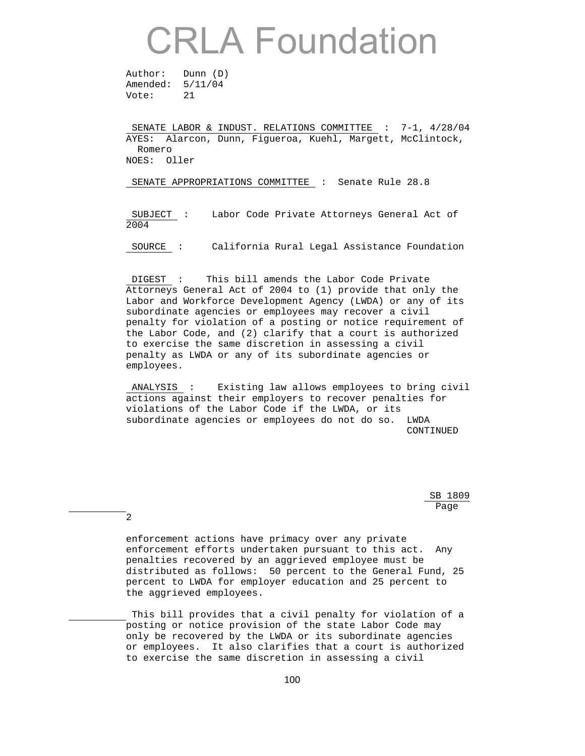Author: Dunn (D) Amended: 5/11/04 Vote: 21

 SENATE LABOR & INDUST. RELATIONS COMMITTEE : 7-1, 4/28/04 AYES: Alarcon, Dunn, Figueroa, Kuehl, Margett, McClintock, Romero NOES: Oller

SENATE APPROPRIATIONS COMMITTEE : Senate Rule 28.8

 SUBJECT : Labor Code Private Attorneys General Act of 2004

SOURCE : California Rural Legal Assistance Foundation

 DIGEST : This bill amends the Labor Code Private Attorneys General Act of 2004 to (1) provide that only the Labor and Workforce Development Agency (LWDA) or any of its subordinate agencies or employees may recover a civil penalty for violation of a posting or notice requirement of the Labor Code, and (2) clarify that a court is authorized to exercise the same discretion in assessing a civil penalty as LWDA or any of its subordinate agencies or employees.

 ANALYSIS : Existing law allows employees to bring civil actions against their employers to recover penalties for violations of the Labor Code if the LWDA, or its subordinate agencies or employees do not do so. LWDA CONTINUED

SB 1809 <u>Page and the set of the set of the set of the set of the set of the set of the set of the set of the set of the set of the set of the set of the set of the set of the set of the set of the set of the set of the set of the</u>

2

 enforcement actions have primacy over any private enforcement efforts undertaken pursuant to this act. Any penalties recovered by an aggrieved employee must be distributed as follows: 50 percent to the General Fund, 25 percent to LWDA for employer education and 25 percent to the aggrieved employees.

 This bill provides that a civil penalty for violation of a posting or notice provision of the state Labor Code may only be recovered by the LWDA or its subordinate agencies or employees. It also clarifies that a court is authorized to exercise the same discretion in assessing a civil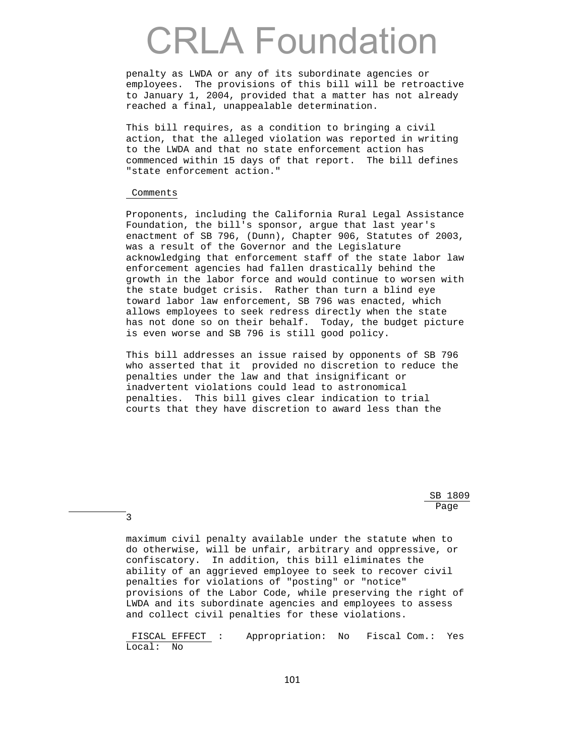penalty as LWDA or any of its subordinate agencies or employees. The provisions of this bill will be retroactive to January 1, 2004, provided that a matter has not already reached a final, unappealable determination.

 This bill requires, as a condition to bringing a civil action, that the alleged violation was reported in writing to the LWDA and that no state enforcement action has commenced within 15 days of that report. The bill defines "state enforcement action."

#### Comments

 Proponents, including the California Rural Legal Assistance Foundation, the bill's sponsor, argue that last year's enactment of SB 796, (Dunn), Chapter 906, Statutes of 2003, was a result of the Governor and the Legislature acknowledging that enforcement staff of the state labor law enforcement agencies had fallen drastically behind the growth in the labor force and would continue to worsen with the state budget crisis. Rather than turn a blind eye toward labor law enforcement, SB 796 was enacted, which allows employees to seek redress directly when the state has not done so on their behalf. Today, the budget picture is even worse and SB 796 is still good policy.

 This bill addresses an issue raised by opponents of SB 796 who asserted that it provided no discretion to reduce the penalties under the law and that insignificant or inadvertent violations could lead to astronomical penalties. This bill gives clear indication to trial courts that they have discretion to award less than the

SB 1809 <u>Page and the set of the set of the set of the set of the set of the set of the set of the set of the set of the set of the set of the set of the set of the set of the set of the set of the set of the set of the set of the</u>

3

 maximum civil penalty available under the statute when to do otherwise, will be unfair, arbitrary and oppressive, or confiscatory. In addition, this bill eliminates the ability of an aggrieved employee to seek to recover civil penalties for violations of "posting" or "notice" provisions of the Labor Code, while preserving the right of LWDA and its subordinate agencies and employees to assess and collect civil penalties for these violations.

 FISCAL EFFECT : Appropriation: No Fiscal Com.: Yes Local: No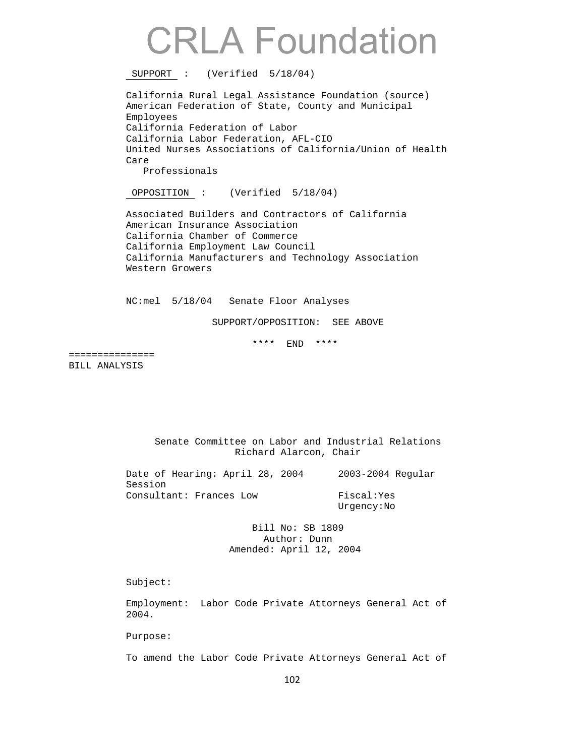SUPPORT : (Verified 5/18/04)

 California Rural Legal Assistance Foundation (source) American Federation of State, County and Municipal Employees California Federation of Labor California Labor Federation, AFL-CIO United Nurses Associations of California/Union of Health Care

Professionals

OPPOSITION : (Verified 5/18/04)

 Associated Builders and Contractors of California American Insurance Association California Chamber of Commerce California Employment Law Council California Manufacturers and Technology Association Western Growers

NC:mel 5/18/04 Senate Floor Analyses

SUPPORT/OPPOSITION: SEE ABOVE

\*\*\*\* END \*\*\*\*

=============== BILL ANALYSIS

> Senate Committee on Labor and Industrial Relations Richard Alarcon, Chair

 Date of Hearing: April 28, 2004 2003-2004 Regular Session Consultant: Frances Low Fiscal:Yes

Urgency:No

 Bill No: SB 1809 Author: Dunn Amended: April 12, 2004

Subject:

 Employment: Labor Code Private Attorneys General Act of 2004.

Purpose:

To amend the Labor Code Private Attorneys General Act of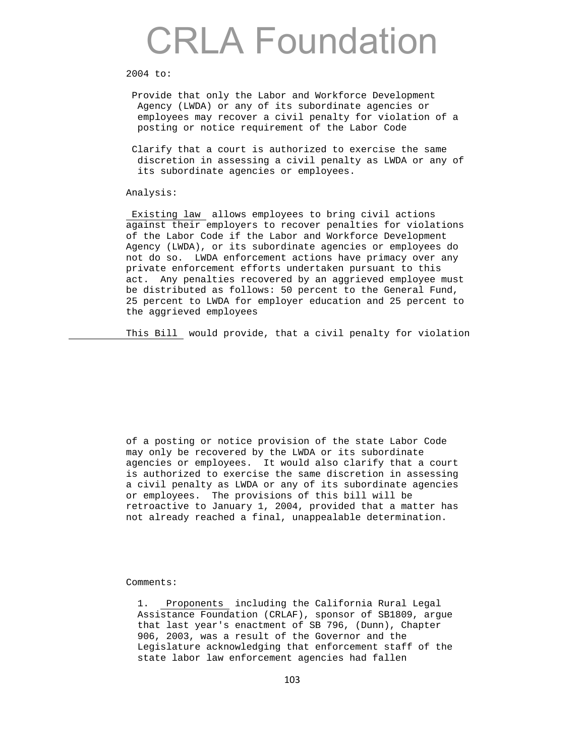2004 to:

- Provide that only the Labor and Workforce Development Agency (LWDA) or any of its subordinate agencies or employees may recover a civil penalty for violation of a posting or notice requirement of the Labor Code
- Clarify that a court is authorized to exercise the same discretion in assessing a civil penalty as LWDA or any of its subordinate agencies or employees.

Analysis:

 Existing law allows employees to bring civil actions against their employers to recover penalties for violations of the Labor Code if the Labor and Workforce Development Agency (LWDA), or its subordinate agencies or employees do not do so. LWDA enforcement actions have primacy over any private enforcement efforts undertaken pursuant to this act. Any penalties recovered by an aggrieved employee must be distributed as follows: 50 percent to the General Fund, 25 percent to LWDA for employer education and 25 percent to the aggrieved employees

This Bill would provide, that a civil penalty for violation

 of a posting or notice provision of the state Labor Code may only be recovered by the LWDA or its subordinate agencies or employees. It would also clarify that a court is authorized to exercise the same discretion in assessing a civil penalty as LWDA or any of its subordinate agencies or employees. The provisions of this bill will be retroactive to January 1, 2004, provided that a matter has not already reached a final, unappealable determination.

Comments:

Proponents including the California Rural Legal Assistance Foundation (CRLAF), sponsor of SB1809, argue that last year's enactment of SB 796, (Dunn), Chapter 906, 2003, was a result of the Governor and the Legislature acknowledging that enforcement staff of the state labor law enforcement agencies had fallen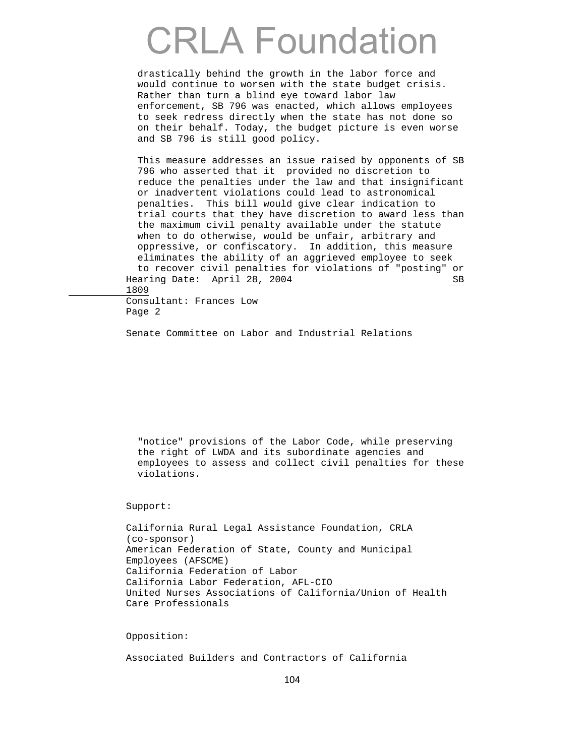drastically behind the growth in the labor force and would continue to worsen with the state budget crisis. Rather than turn a blind eye toward labor law enforcement, SB 796 was enacted, which allows employees to seek redress directly when the state has not done so on their behalf. Today, the budget picture is even worse and SB 796 is still good policy.

 This measure addresses an issue raised by opponents of SB 796 who asserted that it provided no discretion to reduce the penalties under the law and that insignificant or inadvertent violations could lead to astronomical penalties. This bill would give clear indication to trial courts that they have discretion to award less than the maximum civil penalty available under the statute when to do otherwise, would be unfair, arbitrary and oppressive, or confiscatory. In addition, this measure eliminates the ability of an aggrieved employee to seek to recover civil penalties for violations of "posting" or Hearing Date: April 28, 2004 SB 1809

 Consultant: Frances Low Page 2

Senate Committee on Labor and Industrial Relations

 "notice" provisions of the Labor Code, while preserving the right of LWDA and its subordinate agencies and employees to assess and collect civil penalties for these violations.

Support:

 California Rural Legal Assistance Foundation, CRLA (co-sponsor) American Federation of State, County and Municipal Employees (AFSCME) California Federation of Labor California Labor Federation, AFL-CIO United Nurses Associations of California/Union of Health Care Professionals

Opposition:

Associated Builders and Contractors of California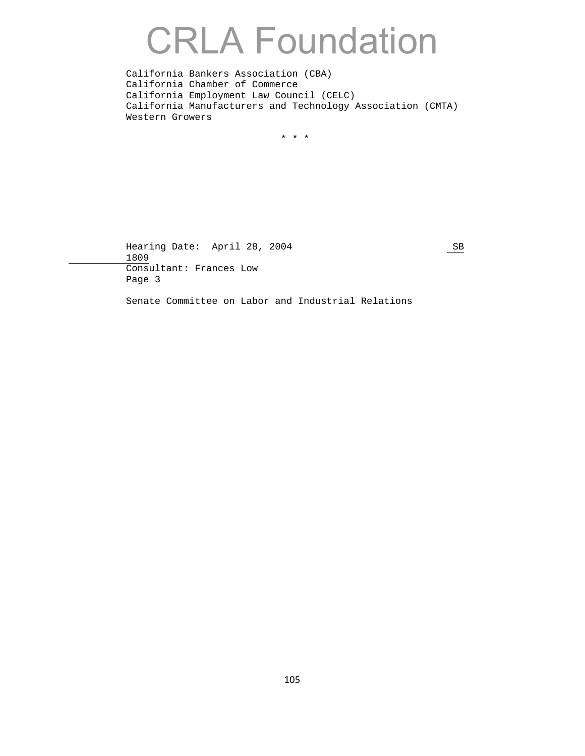California Bankers Association (CBA) California Chamber of Commerce California Employment Law Council (CELC) California Manufacturers and Technology Association (CMTA) Western Growers

\* \* \*

Hearing Date: April 28, 2004 SB 1809 Consultant: Frances Low Page 3

Senate Committee on Labor and Industrial Relations